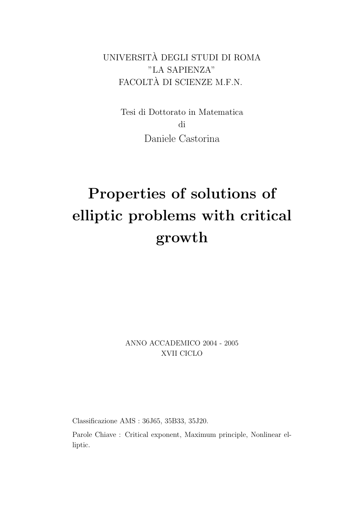UNIVERSITA DEGLI STUDI DI ROMA ` "LA SAPIENZA" FACOLTA DI SCIENZE M.F.N. `

> Tesi di Dottorato in Matematica di Daniele Castorina

# Properties of solutions of elliptic problems with critical growth

ANNO ACCADEMICO 2004 - 2005 XVII CICLO

Classificazione AMS : 36J65, 35B33, 35J20.

Parole Chiave : Critical exponent, Maximum principle, Nonlinear elliptic.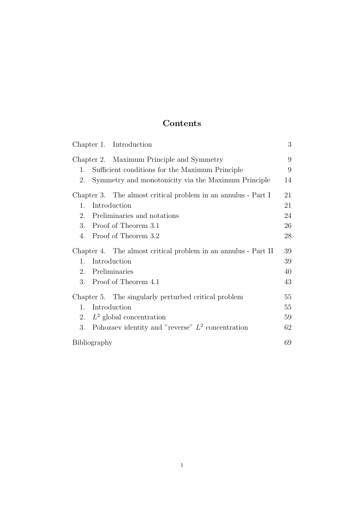# Contents

|                                                      | Chapter 1. Introduction                                        | 3  |
|------------------------------------------------------|----------------------------------------------------------------|----|
|                                                      | Chapter 2. Maximum Principle and Symmetry                      | 9  |
| 1.                                                   | Sufficient conditions for the Maximum Principle                | 9  |
| 2.                                                   | Symmetry and monotonicity via the Maximum Principle            | 14 |
|                                                      | Chapter 3. The almost critical problem in an annulus - Part I  | 21 |
| $\mathbf{1}$ .                                       | Introduction                                                   | 21 |
| 2.                                                   | Preliminaries and notations                                    | 24 |
| 3.                                                   | Proof of Theorem 3.1                                           | 26 |
| 4.                                                   | Proof of Theorem 3.2                                           | 28 |
|                                                      | Chapter 4. The almost critical problem in an annulus - Part II |    |
| 1.                                                   | Introduction                                                   | 39 |
| 2.                                                   | Preliminaries                                                  | 40 |
| 3.                                                   | Proof of Theorem 4.1                                           | 43 |
| Chapter 5. The singularly perturbed critical problem |                                                                | 55 |
| 1.                                                   | Introduction                                                   | 55 |
| 2.                                                   | $L^2$ global concentration                                     | 59 |
| 3.                                                   | Pohozaev identity and "reverse" $L^2$ concentration            | 62 |
| Bibliography                                         |                                                                | 69 |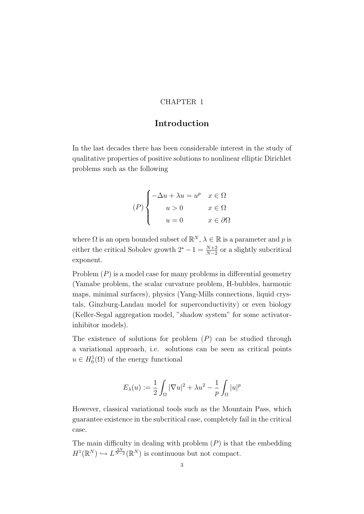#### CHAPTER 1

# Introduction

In the last decades there has been considerable interest in the study of qualitative properties of positive solutions to nonlinear elliptic Dirichlet problems such as the following

$$
(P)\begin{cases}\n-\Delta u + \lambda u = u^p & x \in \Omega \\
u > 0 & x \in \Omega \\
u = 0 & x \in \partial\Omega\n\end{cases}
$$

where  $\Omega$  is an open bounded subset of  $\mathbb{R}^N$ ,  $\lambda \in \mathbb{R}$  is a parameter and p is either the critical Sobolev growth  $2^* - 1 = \frac{N+2}{N-2}$  or a slightly subcritical exponent.

Problem  $(P)$  is a model case for many problems in differential geometry (Yamabe problem, the scalar curvature problem, H-bubbles, harmonic maps, minimal surfaces), physics (Yang-Mills connections, liquid crystals, Ginzburg-Landau model for superconductivity) or even biology (Keller-Segal aggregation model, "shadow system" for some activatorinhibitor models).

The existence of solutions for problem  $(P)$  can be studied through a variational approach, i.e. solutions can be seen as critical points  $u \in H_0^1(\Omega)$  of the energy functional

$$
E_{\lambda}(u) := \frac{1}{2} \int_{\Omega} |\nabla u|^2 + \lambda u^2 - \frac{1}{p} \int_{\Omega} |u|^p
$$

However, classical variational tools such as the Mountain Pass, which guarantee existence in the subcritical case, completely fail in the critical case.

The main difficulty in dealing with problem  $(P)$  is that the embedding  $H^1(\mathbb{R}^N) \hookrightarrow L^{\frac{2N}{N-2}}(\mathbb{R}^N)$  is continuous but not compact.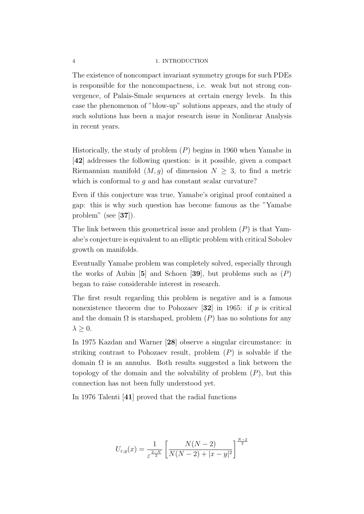#### 4 1. INTRODUCTION

The existence of noncompact invariant symmetry groups for such PDEs is responsible for the noncompactness, i.e. weak but not strong convergence, of Palais-Smale sequences at certain energy levels. In this case the phenomenon of "blow-up" solutions appears, and the study of such solutions has been a major research issue in Nonlinear Analysis in recent years.

Historically, the study of problem  $(P)$  begins in 1960 when Yamabe in [42] addresses the following question: is it possible, given a compact Riemannian manifold  $(M, g)$  of dimension  $N \geq 3$ , to find a metric which is conformal to  $q$  and has constant scalar curvature?

Even if this conjecture was true, Yamabe's original proof contained a gap: this is why such question has become famous as the "Yamabe problem" (see [37]).

The link between this geometrical issue and problem  $(P)$  is that Yamabe's conjecture is equivalent to an elliptic problem with critical Sobolev growth on manifolds.

Eventually Yamabe problem was completely solved, especially through the works of Aubin [5] and Schoen [39], but problems such as  $(P)$ began to raise considerable interest in research.

The first result regarding this problem is negative and is a famous nonexistence theorem due to Pohozaev [32] in 1965: if  $p$  is critical and the domain  $\Omega$  is starshaped, problem  $(P)$  has no solutions for any  $\lambda \geq 0$ .

In 1975 Kazdan and Warner [28] observe a singular circumstance: in striking contrast to Pohozaev result, problem  $(P)$  is solvable if the domain  $\Omega$  is an annulus. Both results suggested a link between the topology of the domain and the solvability of problem  $(P)$ , but this connection has not been fully understood yet.

In 1976 Talenti [41] proved that the radial functions

$$
U_{\varepsilon,y}(x) = \frac{1}{\varepsilon^{\frac{2-N}{2}}} \left[ \frac{N(N-2)}{N(N-2) + |x-y|^2} \right]^{\frac{N-2}{2}}
$$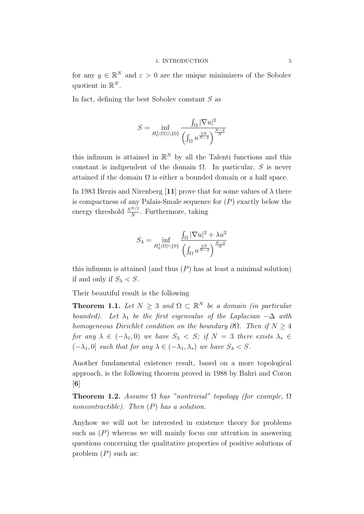for any  $y \in \mathbb{R}^N$  and  $\varepsilon > 0$  are the unique minimizers of the Sobolev quotient in  $\mathbb{R}^N$ .

In fact, defining the best Sobolev constant S as

$$
S = \inf_{H_0^1(\Omega)\setminus\{0\}} \frac{\int_{\Omega} |\nabla u|^2}{\left(\int_{\Omega} u^{\frac{2N}{N-2}}\right)^{\frac{N-2}{N}}}
$$

this infimum is attained in  $\mathbb{R}^N$  by all the Talenti functions and this constant is indipendent of the domain  $\Omega$ . In particular, S is never attained if the domain  $\Omega$  is either a bounded domain or a half space.

In 1983 Brezis and Nirenberg [11] prove that for some values of  $\lambda$  there is compactness of any Palais-Smale sequence for  $(P)$  exactly below the energy threshold  $\frac{S^{N/2}}{N}$ . Furthermore, taking

$$
S_{\lambda} = \inf_{H_0^1(\Omega) \backslash \{0\}} \frac{\int_{\Omega} |\nabla u|^2 + \lambda u^2}{\left(\int_{\Omega} u^{\frac{2N}{N-2}}\right)^{\frac{N-2}{N}}}
$$

this infimum is attained (and thus  $(P)$  has at least a minimal solution) if and only if  $S_{\lambda} < S$ .

Their beautiful result is the following

**Theorem 1.1.** Let  $N \geq 3$  and  $\Omega \subset \mathbb{R}^N$  be a domain (in particular bounded). Let  $\lambda_1$  be the first eigenvalue of the Laplacian  $-\Delta$  with homogeneous Dirichlet condition on the boundary  $\partial\Omega$ . Then if  $N \geq 4$ for any  $\lambda \in (-\lambda_1, 0)$  we have  $S_{\lambda} < S$ ; if  $N = 3$  there exists  $\lambda_* \in$  $(-\lambda_1, 0]$  such that for any  $\lambda \in (-\lambda_1, \lambda_*)$  we have  $S_\lambda < S$ .

Another fundamental existence result, based on a more topological approach, is the following theorem proved in 1988 by Bahri and Coron  $\lceil 6 \rceil$ 

**Theorem 1.2.** Assume  $\Omega$  has "nontrivial" topology (for example,  $\Omega$ noncontractible). Then  $(P)$  has a solution.

Anyhow we will not be interested in existence theory for problems such as  $(P)$  whereas we will mainly focus our attention in answering questions concerning the qualitative properties of positive solutions of problem  $(P)$  such as: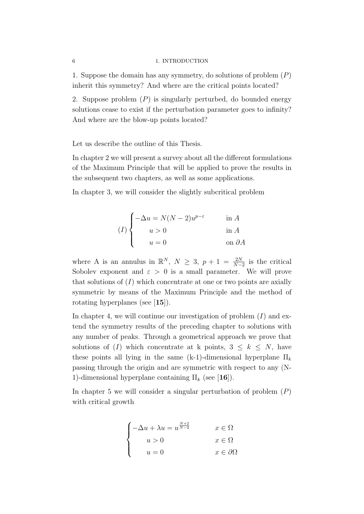#### 6 1. INTRODUCTION

1. Suppose the domain has any symmetry, do solutions of problem  $(P)$ inherit this symmetry? And where are the critical points located?

2. Suppose problem  $(P)$  is singularly perturbed, do bounded energy solutions cease to exist if the perturbation parameter goes to infinity? And where are the blow-up points located?

Let us describe the outline of this Thesis.

In chapter 2 we will present a survey about all the different formulations of the Maximum Principle that will be applied to prove the results in the subsequent two chapters, as well as some applications.

In chapter 3, we will consider the slightly subcritical problem

$$
(I) \begin{cases} -\Delta u = N(N-2)u^{p-\varepsilon} & \text{in } A \\ u > 0 & \text{in } A \\ u = 0 & \text{on } \partial A \end{cases}
$$

where A is an annulus in  $\mathbb{R}^N$ ,  $N \geq 3$ ,  $p+1 = \frac{2N}{N-2}$  is the critical Sobolev exponent and  $\varepsilon > 0$  is a small parameter. We will prove that solutions of  $(I)$  which concentrate at one or two points are axially symmetric by means of the Maximum Principle and the method of rotating hyperplanes (see [15]).

In chapter 4, we will continue our investigation of problem  $(I)$  and extend the symmetry results of the preceding chapter to solutions with any number of peaks. Through a geometrical approach we prove that solutions of (I) which concentrate at k points,  $3 \leq k \leq N$ , have these points all lying in the same (k-1)-dimensional hyperplane  $\Pi_k$ passing through the origin and are symmetric with respect to any (N-1)-dimensional hyperplane containing  $\Pi_k$  (see [16]).

In chapter 5 we will consider a singular perturbation of problem  $(P)$ with critical growth

$$
\begin{cases}\n-\Delta u + \lambda u = u^{\frac{N+2}{N-2}} & x \in \Omega \\
u > 0 & x \in \Omega \\
u = 0 & x \in \partial\Omega\n\end{cases}
$$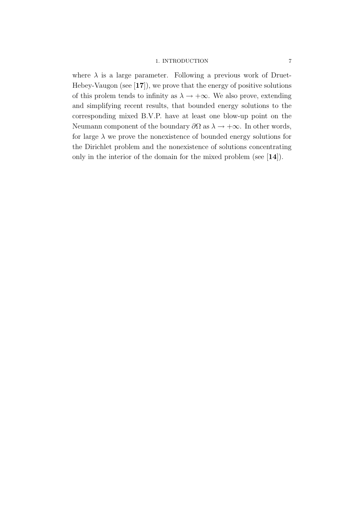#### 1. INTRODUCTION 7

where  $\lambda$  is a large parameter. Following a previous work of Druet-Hebey-Vaugon (see  $[17]$ ), we prove that the energy of positive solutions of this prolem tends to infinity as  $\lambda \to +\infty$ . We also prove, extending and simplifying recent results, that bounded energy solutions to the corresponding mixed B.V.P. have at least one blow-up point on the Neumann component of the boundary  $\partial\Omega$  as  $\lambda \to +\infty$ . In other words, for large  $\lambda$  we prove the nonexistence of bounded energy solutions for the Dirichlet problem and the nonexistence of solutions concentrating only in the interior of the domain for the mixed problem (see [14]).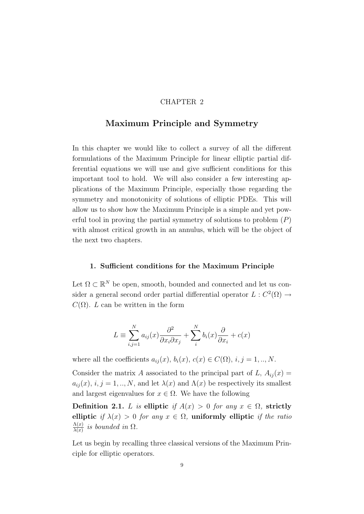#### CHAPTER 2

## Maximum Principle and Symmetry

In this chapter we would like to collect a survey of all the different formulations of the Maximum Principle for linear elliptic partial differential equations we will use and give sufficient conditions for this important tool to hold. We will also consider a few interesting applications of the Maximum Principle, especially those regarding the symmetry and monotonicity of solutions of elliptic PDEs. This will allow us to show how the Maximum Principle is a simple and yet powerful tool in proving the partial symmetry of solutions to problem  $(P)$ with almost critical growth in an annulus, which will be the object of the next two chapters.

#### 1. Sufficient conditions for the Maximum Principle

Let  $\Omega \subset \mathbb{R}^N$  be open, smooth, bounded and connected and let us consider a general second order partial differential operator  $L: C^2(\Omega) \to$  $C(\Omega)$ . L can be written in the form

$$
L \equiv \sum_{i,j=1}^{N} a_{ij}(x) \frac{\partial^2}{\partial x_i \partial x_j} + \sum_{i}^{N} b_i(x) \frac{\partial}{\partial x_i} + c(x)
$$

where all the coefficients  $a_{ij}(x)$ ,  $b_i(x)$ ,  $c(x) \in C(\Omega)$ ,  $i, j = 1, ..., N$ .

Consider the matrix A associated to the principal part of L,  $A_{ij}(x)$  =  $a_{ij}(x), i, j = 1, ..., N$ , and let  $\lambda(x)$  and  $\Lambda(x)$  be respectively its smallest and largest eigenvalues for  $x \in \Omega$ . We have the following

Definition 2.1. L is elliptic if  $A(x) > 0$  for any  $x \in \Omega$ , strictly elliptic if  $\lambda(x) > 0$  for any  $x \in \Omega$ , uniformly elliptic if the ratio  $\Lambda(x)$  $\frac{\Lambda(x)}{\lambda(x)}$  is bounded in  $\Omega$ .

Let us begin by recalling three classical versions of the Maximum Principle for elliptic operators.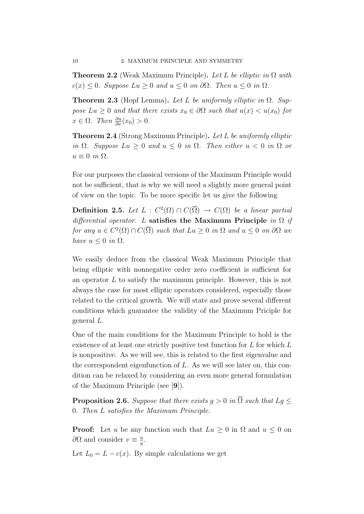**Theorem 2.2** (Weak Maximum Principle). Let L be elliptic in  $\Omega$  with  $c(x) \leq 0$ . Suppose  $Lu \geq 0$  and  $u \leq 0$  on  $\partial\Omega$ . Then  $u \leq 0$  in  $\Omega$ .

**Theorem 2.3** (Hopf Lemma). Let L be uniformly elliptic in  $\Omega$ . Suppose  $Lu \geq 0$  and that there exists  $x_0 \in \partial\Omega$  such that  $u(x) < u(x_0)$  for  $x \in \Omega$ . Then  $\frac{\partial u}{\partial \nu}(x_0) > 0$ .

Theorem 2.4 (Strong Maximum Principle). Let L be uniformly elliptic in  $\Omega$ . Suppose  $Lu \geq 0$  and  $u \leq 0$  in  $\Omega$ . Then either  $u < 0$  in  $\Omega$  or  $u \equiv 0$  in  $\Omega$ .

For our purposes the classical versions of the Maximum Principle would not be sufficient, that is why we will need a slightly more general point of view on the topic. To be more specific let us give the following

**Definition 2.5.** Let  $L : C^2(\Omega) \cap C(\overline{\Omega}) \rightarrow C(\Omega)$  be a linear partial differential operator. L satisfies the Maximum Principle in  $\Omega$  if for any  $u \in C^2(\Omega) \cap C(\overline{\Omega})$  such that  $Lu \geq 0$  in  $\Omega$  and  $u \leq 0$  on  $\partial \Omega$  we have  $u \leq 0$  in  $\Omega$ .

We easily deduce from the classical Weak Maximum Principle that being elliptic with nonnegative order zero coefficient is sufficient for an operator L to satisfy the maximum principle. However, this is not always the case for most elliptic operators considered, especially those related to the critical growth. We will state and prove several different conditions which guarantee the validity of the Maximum Priciple for general L.

One of the main conditions for the Maximum Principle to hold is the existence of at least one strictly positive test function for L for which L is nonpositive. As we will see, this is related to the first eigenvalue and the correspondent eigenfunction of  $L$ . As we will see later on, this condition can be relaxed by considering an even more general formulation of the Maximum Principle (see [9]).

**Proposition 2.6.** Suppose that there exists  $q > 0$  in  $\overline{\Omega}$  such that  $Lq \leq$ 0. Then L satisfies the Maximum Principle.

**Proof:** Let u be any function such that  $Lu \geq 0$  in  $\Omega$  and  $u \leq 0$  on  $\partial\Omega$  and consider  $v \equiv \frac{u}{a}$  $\frac{u}{g}$ .

Let  $L_0 = L - c(x)$ . By simple calculations we get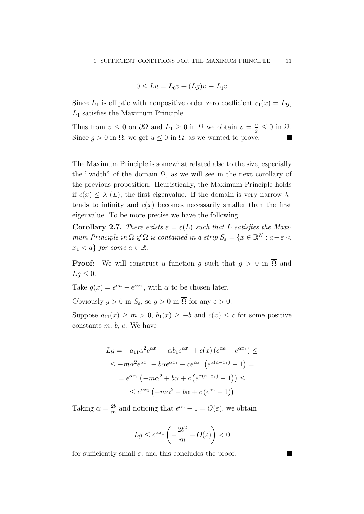$$
0 \le Lu = L_0 v + (Lg)v \equiv L_1 v
$$

Since  $L_1$  is elliptic with nonpositive order zero coefficient  $c_1(x) = Lg$ ,  $L_1$  satisfies the Maximum Principle.

Thus from  $v \leq 0$  on  $\partial\Omega$  and  $L_1 \geq 0$  in  $\Omega$  we obtain  $v = \frac{u}{g} \leq 0$  in  $\Omega$ . Since  $g > 0$  in  $\overline{\Omega}$ , we get  $u \leq 0$  in  $\Omega$ , as we wanted to prove.

The Maximum Principle is somewhat related also to the size, especially the "width" of the domain  $\Omega$ , as we will see in the next corollary of the previous proposition. Heuristically, the Maximum Principle holds if  $c(x) \leq \lambda_1(L)$ , the first eigenvalue. If the domain is very narrow  $\lambda_1$ tends to infinity and  $c(x)$  becomes necessarily smaller than the first eigenvalue. To be more precise we have the following

**Corollary 2.7.** There exists  $\varepsilon = \varepsilon(L)$  such that L satisfies the Maximum Principle in  $\Omega$  if  $\overline{\Omega}$  is contained in a strip  $S_{\varepsilon} = \{x \in \mathbb{R}^N : a - \varepsilon$  $x_1 < a$  for some  $a \in \mathbb{R}$ .

**Proof:** We will construct a function g such that  $q > 0$  in  $\overline{\Omega}$  and  $Lg \leq 0$ .

Take  $g(x) = e^{\alpha a} - e^{\alpha x_1}$ , with  $\alpha$  to be chosen later.

Obviously  $q > 0$  in  $S_{\varepsilon}$ , so  $q > 0$  in  $\overline{\Omega}$  for any  $\varepsilon > 0$ .

Suppose  $a_{11}(x) \ge m > 0$ ,  $b_1(x) \ge -b$  and  $c(x) \le c$  for some positive constants  $m, b, c$ . We have

$$
Lg = -a_{11}\alpha^2 e^{\alpha x_1} - \alpha b_1 e^{\alpha x_1} + c(x) (e^{\alpha a} - e^{\alpha x_1}) \le
$$
  
\n
$$
\le -m\alpha^2 e^{\alpha x_1} + b\alpha e^{\alpha x_1} + c e^{\alpha x_1} (e^{\alpha(a-x_1)} - 1) =
$$
  
\n
$$
= e^{\alpha x_1} (-m\alpha^2 + b\alpha + c (e^{\alpha(a-x_1)} - 1)) \le
$$
  
\n
$$
\le e^{\alpha x_1} (-m\alpha^2 + b\alpha + c (e^{\alpha \varepsilon} - 1))
$$

Taking  $\alpha = \frac{2b}{m}$  $\frac{2b}{m}$  and noticing that  $e^{\alpha \varepsilon} - 1 = O(\varepsilon)$ , we obtain

$$
Lg \le e^{\alpha x_1} \left(-\frac{2b^2}{m} + O(\varepsilon)\right) < 0
$$

for sufficiently small  $\varepsilon$ , and this concludes the proof.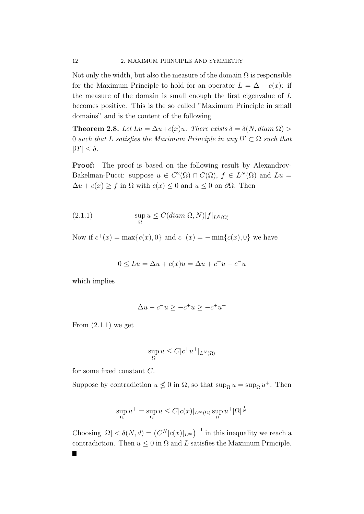Not only the width, but also the measure of the domain  $\Omega$  is responsible for the Maximum Principle to hold for an operator  $L = \Delta + c(x)$ : if the measure of the domain is small enough the first eigenvalue of L becomes positive. This is the so called "Maximum Principle in small domains" and is the content of the following

**Theorem 2.8.** Let  $Lu = \Delta u + c(x)u$ . There exists  $\delta = \delta(N, diam \Omega) >$ 0 such that L satisfies the Maximum Principle in any  $\Omega' \subset \Omega$  such that  $|\Omega'| \leq \delta$ .

Proof: The proof is based on the following result by Alexandrov-Bakelman-Pucci: suppose  $u \in C^2(\Omega) \cap C(\overline{\Omega})$ ,  $f \in L^N(\Omega)$  and  $Lu =$  $\Delta u + c(x) \ge f$  in  $\Omega$  with  $c(x) \le 0$  and  $u \le 0$  on  $\partial \Omega$ . Then

(2.1.1) 
$$
\sup_{\Omega} u \leq C(diam \Omega, N) |f|_{L^{N}(\Omega)}
$$

Now if  $c^+(x) = \max\{c(x), 0\}$  and  $c^-(x) = -\min\{c(x), 0\}$  we have

$$
0 \le Lu = \Delta u + c(x)u = \Delta u + c^+u - c^-u
$$

which implies

$$
\Delta u - c^- u \ge -c^+ u \ge -c^+ u^+
$$

From  $(2.1.1)$  we get

$$
\sup_{\Omega} u \leq C|c^+u^+|_{L^N(\Omega)}
$$

for some fixed constant C.

Suppose by contradiction  $u \nleq 0$  in  $\Omega$ , so that  $\sup_{\Omega} u = \sup_{\Omega} u^+$ . Then

$$
\sup_{\Omega} u^{+} = \sup_{\Omega} u \le C |c(x)|_{L^{\infty}(\Omega)} \sup_{\Omega} u^{+} |\Omega|^{\frac{1}{N}}
$$

Choosing  $|\Omega| < \delta(N, d) = (C^N |c(x)|_{L^\infty})^{-1}$  in this inequality we reach a contradiction. Then  $u \leq 0$  in  $\Omega$  and L satisfies the Maximum Principle.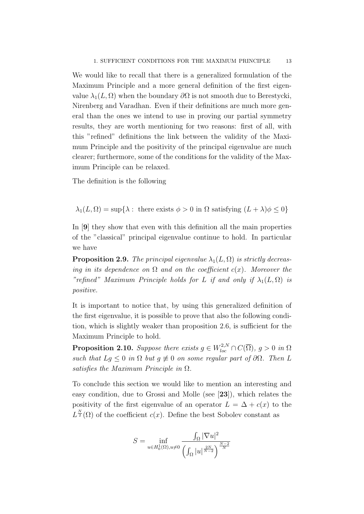We would like to recall that there is a generalized formulation of the Maximum Principle and a more general definition of the first eigenvalue  $\lambda_1(L, \Omega)$  when the boundary  $\partial \Omega$  is not smooth due to Berestycki, Nirenberg and Varadhan. Even if their definitions are much more general than the ones we intend to use in proving our partial symmetry results, they are worth mentioning for two reasons: first of all, with this "refined" definitions the link between the validity of the Maximum Principle and the positivity of the principal eigenvalue are much clearer; furthermore, some of the conditions for the validity of the Maximum Principle can be relaxed.

The definition is the following

$$
\lambda_1(L,\Omega) = \sup \{ \lambda : \text{ there exists } \phi > 0 \text{ in } \Omega \text{ satisfying } (L + \lambda)\phi \le 0 \}
$$

In [9] they show that even with this definition all the main properties of the "classical" principal eigenvalue continue to hold. In particular we have

**Proposition 2.9.** The principal eigenvalue  $\lambda_1(L, \Omega)$  is strictly decreasing in its dependence on  $\Omega$  and on the coefficient  $c(x)$ . Moreover the "refined" Maximum Principle holds for L if and only if  $\lambda_1(L, \Omega)$  is positive.

It is important to notice that, by using this generalized definition of the first eigenvalue, it is possible to prove that also the following condition, which is slightly weaker than proposition 2.6, is sufficient for the Maximum Principle to hold.

**Proposition 2.10.** Suppose there exists  $g \in W_{loc}^{2,N} \cap C(\overline{\Omega})$ ,  $g > 0$  in  $\Omega$ such that  $Lg \leq 0$  in  $\Omega$  but  $g \neq 0$  on some regular part of  $\partial \Omega$ . Then L satisfies the Maximum Principle in  $\Omega$ .

To conclude this section we would like to mention an interesting and easy condition, due to Grossi and Molle (see [23]), which relates the positivity of the first eigenvalue of an operator  $L = \Delta + c(x)$  to the  $L^{\frac{N}{2}}(\Omega)$  of the coefficient  $c(x)$ . Define the best Sobolev constant as

$$
S = \inf_{u \in H_0^1(\Omega), u \neq 0} \frac{\int_{\Omega} |\nabla u|^2}{\left(\int_{\Omega} |u|^{\frac{2N}{N-2}}\right)^{\frac{N-2}{N}}}
$$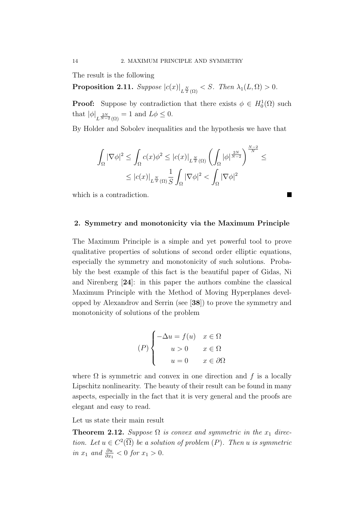The result is the following

Proposition 2.11. Suppose  $\left| c(x) \right|_{L^{\frac{N}{2}}(\Omega)} < S$ . Then  $\lambda_1(L, \Omega) > 0$ .

**Proof:** Suppose by contradiction that there exists  $\phi \in H_0^1(\Omega)$  such that  $|\phi|_{L^{\frac{2N}{N-2}}(\Omega)} = 1$  and  $L\phi \leq 0$ .

By Holder and Sobolev inequalities and the hypothesis we have that

$$
\begin{aligned} \int_{\Omega} |\nabla \phi|^2&\leq \int_{\Omega} c(x) \phi^2\leq |c(x)|_{L^{\frac{N}{2}}(\Omega)} \left(\int_{\Omega} |\phi|^{\frac{2N}{N-2}}\right)^{\frac{N-2}{N}}\leq\\ &\leq |c(x)|_{L^{\frac{N}{2}}(\Omega)} \frac{1}{S}\int_{\Omega} |\nabla \phi|^2<\int_{\Omega} |\nabla \phi|^2 \end{aligned}
$$

T

which is a contradiction.

### 2. Symmetry and monotonicity via the Maximum Principle

The Maximum Principle is a simple and yet powerful tool to prove qualitative properties of solutions of second order elliptic equations, especially the symmetry and monotonicity of such solutions. Probably the best example of this fact is the beautiful paper of Gidas, Ni and Nirenberg [24]: in this paper the authors combine the classical Maximum Principle with the Method of Moving Hyperplanes developped by Alexandrov and Serrin (see [38]) to prove the symmetry and monotonicity of solutions of the problem

$$
(P)\begin{cases}\n-\Delta u = f(u) & x \in \Omega \\
u > 0 & x \in \Omega \\
u = 0 & x \in \partial\Omega\n\end{cases}
$$

where  $\Omega$  is symmetric and convex in one direction and f is a locally Lipschitz nonlinearity. The beauty of their result can be found in many aspects, especially in the fact that it is very general and the proofs are elegant and easy to read.

Let us state their main result

**Theorem 2.12.** Suppose  $\Omega$  is convex and symmetric in the  $x_1$  direction. Let  $u \in C^2(\overline{\Omega})$  be a solution of problem  $(P)$ . Then u is symmetric in  $x_1$  and  $\frac{\partial u}{\partial x_1} < 0$  for  $x_1 > 0$ .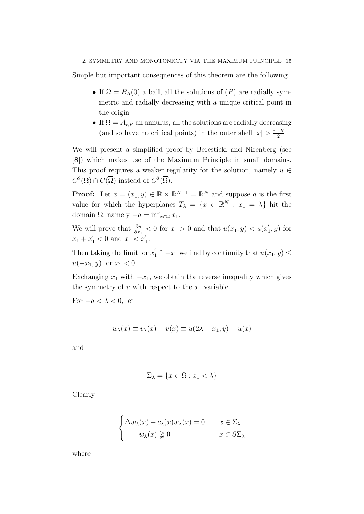Simple but important consequences of this theorem are the following

- If  $\Omega = B_R(0)$  a ball, all the solutions of  $(P)$  are radially symmetric and radially decreasing with a unique critical point in the origin
- If  $\Omega = A_{r,R}$  an annulus, all the solutions are radially decreasing (and so have no critical points) in the outer shell  $|x| > \frac{r+R}{2}$ 2

We will present a simplified proof by Beresticki and Nirenberg (see [8]) which makes use of the Maximum Principle in small domains. This proof requires a weaker regularity for the solution, namely  $u \in$  $C^2(\Omega) \cap C(\overline{\Omega})$  instead of  $C^2(\overline{\Omega})$ .

**Proof:** Let  $x = (x_1, y) \in \mathbb{R} \times \mathbb{R}^{N-1} = \mathbb{R}^N$  and suppose a is the first value for which the hyperplanes  $T_{\lambda} = \{x \in \mathbb{R}^{N} : x_1 = \lambda\}$  hit the domain  $\Omega$ , namely  $-a = \inf_{x \in \Omega} x_1$ .

We will prove that  $\frac{\partial u}{\partial x_1} < 0$  for  $x_1 > 0$  and that  $u(x_1, y) < u(x_1)$  $y_1, y$  for  $x_1 + x_1' < 0$  and  $x_1 < x_1'$  $\frac{1}{1}$ .

Then taking the limit for  $x_1' \uparrow -x_1$  we find by continuity that  $u(x_1, y) \leq$  $u(-x_1, y)$  for  $x_1 < 0$ .

Exchanging  $x_1$  with  $-x_1$ , we obtain the reverse inequality which gives the symmetry of  $u$  with respect to the  $x_1$  variable.

For  $-a < \lambda < 0$ , let

$$
w_{\lambda}(x) \equiv v_{\lambda}(x) - v(x) \equiv u(2\lambda - x_1, y) - u(x)
$$

and

$$
\Sigma_{\lambda} = \{ x \in \Omega : x_1 < \lambda \}
$$

Clearly

$$
\begin{cases} \Delta w_{\lambda}(x) + c_{\lambda}(x)w_{\lambda}(x) = 0 & x \in \Sigma_{\lambda} \\ w_{\lambda}(x) \geq 0 & x \in \partial \Sigma_{\lambda} \end{cases}
$$

where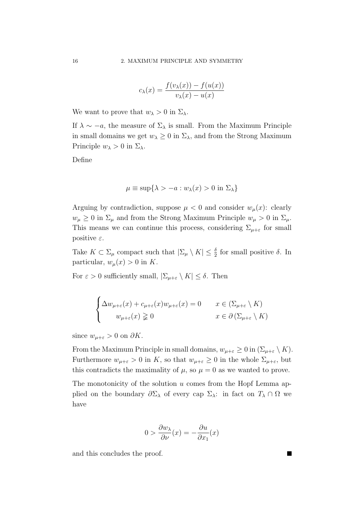$$
c_{\lambda}(x) = \frac{f(v_{\lambda}(x)) - f(u(x))}{v_{\lambda}(x) - u(x)}
$$

We want to prove that  $w_{\lambda} > 0$  in  $\Sigma_{\lambda}$ .

If  $\lambda \sim -a$ , the measure of  $\Sigma_{\lambda}$  is small. From the Maximum Principle in small domains we get  $w_{\lambda} \geq 0$  in  $\Sigma_{\lambda}$ , and from the Strong Maximum Principle  $w_{\lambda} > 0$  in  $\Sigma_{\lambda}$ .

Define

$$
\mu \equiv \sup \{ \lambda > -a : w_{\lambda}(x) > 0 \text{ in } \Sigma_{\lambda} \}
$$

Arguing by contradiction, suppose  $\mu < 0$  and consider  $w_{\mu}(x)$ : clearly  $w_{\mu} \geq 0$  in  $\Sigma_{\mu}$  and from the Strong Maximum Principle  $w_{\mu} > 0$  in  $\Sigma_{\mu}$ . This means we can continue this process, considering  $\Sigma_{\mu+\varepsilon}$  for small positive  $\varepsilon$ .

Take  $K \subset \Sigma_{\mu}$  compact such that  $|\Sigma_{\mu} \setminus K| \leq \frac{\delta}{2}$  for small positive  $\delta$ . In particular,  $w_u(x) > 0$  in K.

For  $\varepsilon > 0$  sufficiently small,  $|\Sigma_{\mu+\varepsilon} \setminus K| \leq \delta$ . Then

$$
\begin{cases} \Delta w_{\mu+\varepsilon}(x) + c_{\mu+\varepsilon}(x)w_{\mu+\varepsilon}(x) = 0 & x \in (\Sigma_{\mu+\varepsilon} \setminus K) \\ w_{\mu+\varepsilon}(x) \geq 0 & x \in \partial (\Sigma_{\mu+\varepsilon} \setminus K) \end{cases}
$$

since  $w_{\mu+\varepsilon} > 0$  on  $\partial K$ .

From the Maximum Principle in small domains,  $w_{\mu+\varepsilon} \geq 0$  in  $(\Sigma_{\mu+\varepsilon} \setminus K)$ . Furthermore  $w_{\mu+\varepsilon} > 0$  in K, so that  $w_{\mu+\varepsilon} \geq 0$  in the whole  $\Sigma_{\mu+\varepsilon}$ , but this contradicts the maximality of  $\mu$ , so  $\mu = 0$  as we wanted to prove.

The monotonicity of the solution  $u$  comes from the Hopf Lemma applied on the boundary  $\partial \Sigma_{\lambda}$  of every cap  $\Sigma_{\lambda}$ : in fact on  $T_{\lambda} \cap \Omega$  we have

$$
0 > \frac{\partial w_{\lambda}}{\partial \nu}(x) = -\frac{\partial u}{\partial x_1}(x)
$$

and this concludes the proof.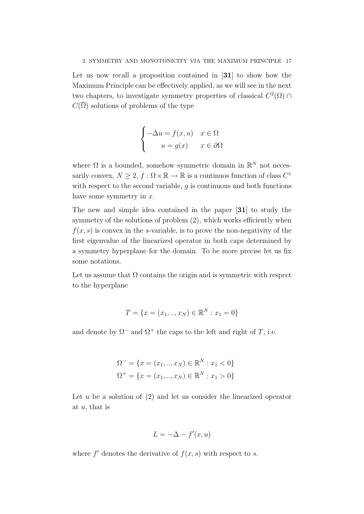Let us now recall a proposition contained in [31] to show how the Maximum Principle can be effectively applied, as we will see in the next two chapters, to investigate symmetry properties of classical  $C^2(\Omega) \cap$  $C(\overline{\Omega})$  solutions of problems of the type

$$
\begin{cases}\n-\Delta u = f(x, u) & x \in \Omega \\
u = g(x) & x \in \partial\Omega\n\end{cases}
$$

where  $\Omega$  is a bounded, somehow symmetric domain in  $\mathbb{R}^N$  not necessarily convex,  $N \geq 2$ ,  $f : \Omega \times \mathbb{R} \to \mathbb{R}$  is a continuos function of class  $C^1$ with respect to the second variable,  $q$  is continuous and both functions have some symmetry in  $x$ .

The new and simple idea contained in the paper [31] to study the symmetry of the solutions of problem  $(2)$ , which works efficiently when  $f(x, s)$  is convex in the s-variable, is to prove the non-negativity of the first eigenvalue of the linearized operator in both caps determined by a symmetry hyperplane for the domain. To be more precise let us fix some notations.

Let us assume that  $\Omega$  contains the origin and is symmetric with respect to the hyperplane

$$
T = \{x = (x_1, ..., x_N) \in \mathbb{R}^N : x_1 = 0\}
$$

and denote by  $\Omega^-$  and  $\Omega^+$  the caps to the left and right of T, i.e.

$$
\Omega^{-} = \{ x = (x_1, ..., x_N) \in \mathbb{R}^N : x_1 < 0 \}
$$
\n
$$
\Omega^{+} = \{ x = (x_1, ..., x_N) \in \mathbb{R}^N : x_1 > 0 \}
$$

Let  $u$  be a solution of  $(2)$  and let us consider the linearized operator at  $u$ , that is

$$
L = -\Delta - f'(x, u)
$$

where  $f'$  denotes the derivative of  $f(x, s)$  with respect to s.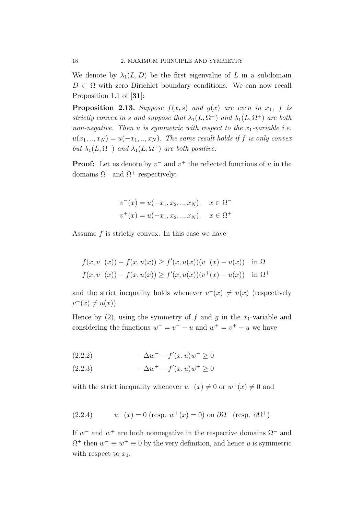We denote by  $\lambda_1(L, D)$  be the first eigenvalue of L in a subdomain  $D \subset \Omega$  with zero Dirichlet boundary conditions. We can now recall Proposition 1.1 of [31]:

**Proposition 2.13.** Suppose  $f(x, s)$  and  $g(x)$  are even in  $x_1$ , f is strictly convex in s and suppose that  $\lambda_1(L, \Omega^-)$  and  $\lambda_1(L, \Omega^+)$  are both non-negative. Then u is symmetric with respect to the  $x_1$ -variable i.e.  $u(x_1,..,x_N) = u(-x_1,..,x_N)$ . The same result holds if f is only convex but  $\lambda_1(L, \Omega^-)$  and  $\lambda_1(L, \Omega^+)$  are both positive.

**Proof:** Let us denote by  $v^-$  and  $v^+$  the reflected functions of u in the domains  $\Omega$ <sup>-</sup> and  $\Omega$ <sup>+</sup> respectively:

$$
v^{-}(x) = u(-x_1, x_2, ..., x_N), \quad x \in \Omega^{-1}
$$
  

$$
v^{+}(x) = u(-x_1, x_2, ..., x_N), \quad x \in \Omega^{+}
$$

Assume  $f$  is strictly convex. In this case we have

$$
f(x, v^{-}(x)) - f(x, u(x)) \ge f'(x, u(x))(v^{-}(x) - u(x)) \quad \text{in } \Omega^{-}
$$

$$
f(x, v^{+}(x)) - f(x, u(x)) \ge f'(x, u(x))(v^{+}(x) - u(x)) \quad \text{in } \Omega^{+}
$$

and the strict inequality holds whenever  $v^-(x) \neq u(x)$  (respectively  $v^+(x) \neq u(x)$ .

Hence by (2), using the symmetry of f and q in the  $x_1$ -variable and considering the functions  $w^- = v^- - u$  and  $w^+ = v^+ - u$  we have

$$
(2.2.2) \t -\Delta w^- - f'(x, u)w^- \ge 0
$$

$$
(2.2.3) \t -\Delta w^{+} - f'(x, u)w^{+} \ge 0
$$

with the strict inequality whenever  $w^{-}(x) \neq 0$  or  $w^{+}(x) \neq 0$  and

(2.2.4) 
$$
w^{-}(x) = 0 \text{ (resp. } w^{+}(x) = 0 \text{) on } \partial \Omega^{-} \text{ (resp. } \partial \Omega^{+})
$$

If  $w^-$  and  $w^+$  are both nonnegative in the respective domains  $\Omega^-$  and  $\Omega^+$  then  $w^- \equiv w^+ \equiv 0$  by the very definition, and hence u is symmetric with respect to  $x_1$ .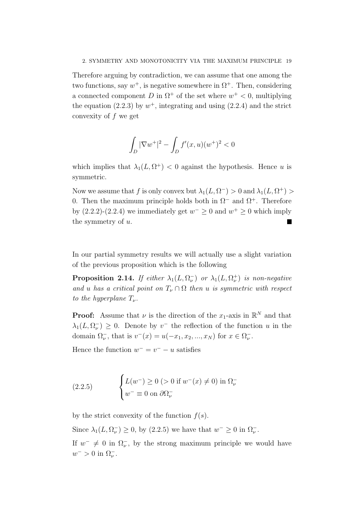Therefore arguing by contradiction, we can assume that one among the two functions, say  $w^+$ , is negative somewhere in  $\Omega^+$ . Then, considering a connected component D in  $\Omega^+$  of the set where  $w^+ < 0$ , multiplying the equation (2.2.3) by  $w^+$ , integrating and using (2.2.4) and the strict convexity of  $f$  we get

$$
\int_D |\nabla w^+|^2 - \int_D f'(x, u)(w^+)^2 < 0
$$

which implies that  $\lambda_1(L, \Omega^+) < 0$  against the hypothesis. Hence u is symmetric.

Now we assume that f is only convex but  $\lambda_1(L, \Omega^-) > 0$  and  $\lambda_1(L, \Omega^+) > 0$ 0. Then the maximum principle holds both in  $\Omega^-$  and  $\Omega^+$ . Therefore by  $(2.2.2)-(2.2.4)$  we immediately get  $w^{-} \geq 0$  and  $w^{+} \geq 0$  which imply the symmetry of u.

In our partial symmetry results we will actually use a slight variation of the previous proposition which is the following

**Proposition 2.14.** If either  $\lambda_1(L, \Omega)$  or  $\lambda_1(L, \Omega)$  is non-negative and u has a critical point on  $T_{\nu} \cap \Omega$  then u is symmetric with respect to the hyperplane  $T_{\nu}$ .

**Proof:** Assume that  $\nu$  is the direction of the  $x_1$ -axis in  $\mathbb{R}^N$  and that  $\lambda_1(L, \Omega_{\nu}) \geq 0$ . Denote by  $v^{-}$  the reflection of the function u in the domain  $\Omega_{\nu}^-$ , that is  $v^-(x) = u(-x_1, x_2, ..., x_N)$  for  $x \in \Omega_{\nu}^-$ .

Hence the function  $w^- = v^- - u$  satisfies

(2.2.5) 
$$
\begin{cases} L(w^-) \ge 0 \ (>0 \text{ if } w^-(x) \ne 0) \text{ in } \Omega^-_{\nu} \\ w^- \equiv 0 \text{ on } \partial \Omega^-_{\nu} \end{cases}
$$

by the strict convexity of the function  $f(s)$ .

Since  $\lambda_1(L, \Omega_{\nu}^-) \geq 0$ , by (2.2.5) we have that  $w^- \geq 0$  in  $\Omega_{\nu}^-$ .

If  $w^{-} \neq 0$  in  $\Omega_{\nu}^{-}$ , by the strong maximum principle we would have  $w^- > 0$  in  $\Omega_{\nu}^-$ .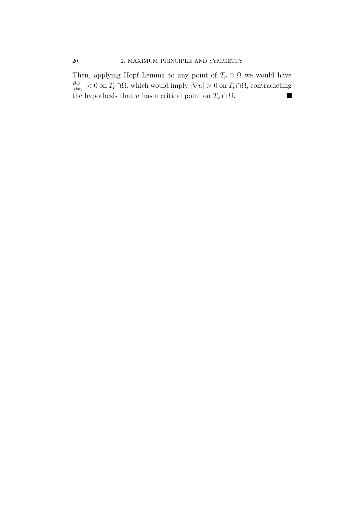Then, applying Hopf Lemma to any point of  $T_{\nu} \cap \Omega$  we would have ∂w<sup>−</sup>  $\frac{\partial w^-}{\partial x_1} < 0$  on  $T_{\nu} \cap \Omega$ , which would imply  $|\nabla u| > 0$  on  $T_{\nu} \cap \Omega$ , contradicting the hypothesis that u has a critical point on  $T_{\nu} \cap \Omega$ .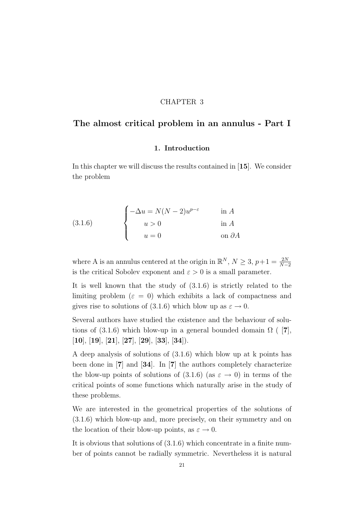### CHAPTER 3

## The almost critical problem in an annulus - Part I

#### 1. Introduction

In this chapter we will discuss the results contained in [15]. We consider the problem

(3.1.6) 
$$
\begin{cases}\n-\Delta u = N(N-2)u^{p-\varepsilon} & \text{in } A \\
u > 0 & \text{in } A \\
u = 0 & \text{on } \partial A\n\end{cases}
$$

where A is an annulus centered at the origin in  $\mathbb{R}^N$ ,  $N \geq 3$ ,  $p+1 = \frac{2N}{N-2}$ is the critical Sobolev exponent and  $\varepsilon > 0$  is a small parameter.

It is well known that the study of (3.1.6) is strictly related to the limiting problem  $(\varepsilon = 0)$  which exhibits a lack of compactness and gives rise to solutions of (3.1.6) which blow up as  $\varepsilon \to 0$ .

Several authors have studied the existence and the behaviour of solutions of (3.1.6) which blow-up in a general bounded domain  $\Omega$  ([7],  $[10], [19], [21], [27], [29], [33], [34].$ 

A deep analysis of solutions of (3.1.6) which blow up at k points has been done in [7] and [34]. In [7] the authors completely characterize the blow-up points of solutions of  $(3.1.6)$  (as  $\varepsilon \rightarrow 0$ ) in terms of the critical points of some functions which naturally arise in the study of these problems.

We are interested in the geometrical properties of the solutions of (3.1.6) which blow-up and, more precisely, on their symmetry and on the location of their blow-up points, as  $\varepsilon \to 0$ .

It is obvious that solutions of (3.1.6) which concentrate in a finite number of points cannot be radially symmetric. Nevertheless it is natural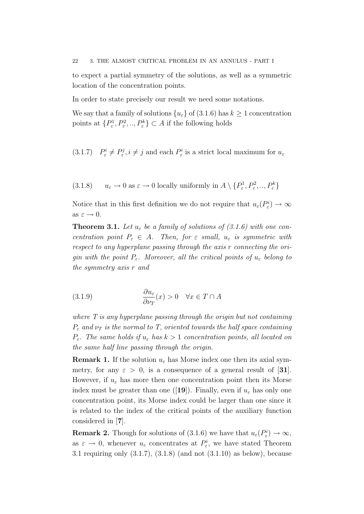22 3. THE ALMOST CRITICAL PROBLEM IN AN ANNULUS - PART I

to expect a partial symmetry of the solutions, as well as a symmetric location of the concentration points.

In order to state precisely our result we need some notations.

We say that a family of solutions  $\{u_{\varepsilon}\}\$  of  $(3.1.6)$  has  $k \ge 1$  concentration points at  $\{P_{\varepsilon}^1, P_{\varepsilon}^2, ..., P_{\varepsilon}^k\} \subset A$  if the following holds

(3.1.7)  $P_{\varepsilon}^{i} \neq P_{\varepsilon}^{j}, i \neq j$  and each  $P_{\varepsilon}^{i}$  is a strict local maximum for  $u_{\varepsilon}$ 

(3.1.8)  $u_{\varepsilon} \to 0$  as  $\varepsilon \to 0$  locally uniformly in  $A \setminus \{P_{\varepsilon}^1, P_{\varepsilon}^2, ..., P_{\varepsilon}^k\}$ 

Notice that in this first definition we do not require that  $u_{\varepsilon}(P_{\varepsilon}^i) \to \infty$ as  $\varepsilon \to 0$ .

**Theorem 3.1.** Let  $u_{\varepsilon}$  be a family of solutions of (3.1.6) with one concentration point  $P_{\varepsilon} \in A$ . Then, for  $\varepsilon$  small,  $u_{\varepsilon}$  is symmetric with respect to any hyperplane passing through the axis r connecting the origin with the point  $P_{\varepsilon}$ . Moreover, all the critical points of  $u_{\varepsilon}$  belong to the symmetry axis r and

(3.1.9) 
$$
\frac{\partial u_{\varepsilon}}{\partial \nu_{T}}(x) > 0 \quad \forall x \in T \cap A
$$

where  $T$  is any hyperplane passing through the origin but not containing  $P_{\varepsilon}$  and  $\nu_T$  is the normal to T, oriented towards the half space containing  $P_{\varepsilon}$ . The same holds if  $u_{\varepsilon}$  has  $k > 1$  concentration points, all located on the same half line passing through the origin.

**Remark 1.** If the solution  $u_{\varepsilon}$  has Morse index one then its axial symmetry, for any  $\varepsilon > 0$ , is a consequence of a general result of [31]. However, if  $u_{\varepsilon}$  has more then one concentration point then its Morse index must be greater than one ([19]). Finally, even if  $u_{\varepsilon}$  has only one concentration point, its Morse index could be larger than one since it is related to the index of the critical points of the auxiliary function considered in [7].

**Remark 2.** Though for solutions of  $(3.1.6)$  we have that  $u_{\varepsilon}(P_{\varepsilon}^i) \to \infty$ , as  $\varepsilon \to 0$ , whenever  $u_{\varepsilon}$  concentrates at  $P_{\varepsilon}^{i}$ , we have stated Theorem 3.1 requiring only (3.1.7), (3.1.8) (and not (3.1.10) as below), because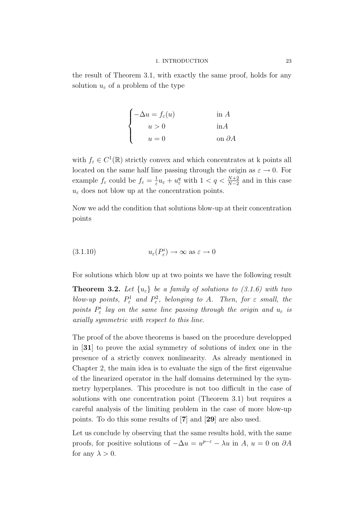the result of Theorem 3.1, with exactly the same proof, holds for any solution  $u_{\varepsilon}$  of a problem of the type

$$
\begin{cases}\n-\Delta u = f_{\varepsilon}(u) & \text{in } A \\
u > 0 & \text{in } A \\
u = 0 & \text{on } \partial A\n\end{cases}
$$

with  $f_{\varepsilon} \in C^1(\mathbb{R})$  strictly convex and which concentrates at k points all located on the same half line passing through the origin as  $\varepsilon \to 0$ . For example  $f_{\varepsilon}$  could be  $f_{\varepsilon} = \frac{1}{\varepsilon}$  $\frac{1}{\varepsilon}u_{\varepsilon} + u_{\varepsilon}^q$  with  $1 < q < \frac{N+2}{N-2}$  and in this case  $u_{\varepsilon}$  does not blow up at the concentration points.

Now we add the condition that solutions blow-up at their concentration points

(3.1.10) 
$$
u_{\varepsilon}(P_{\varepsilon}^{i}) \to \infty \text{ as } \varepsilon \to 0
$$

For solutions which blow up at two points we have the following result

**Theorem 3.2.** Let  $\{u_{\varepsilon}\}\$ be a family of solutions to (3.1.6) with two blow-up points,  $P^1_{\varepsilon}$  and  $P^2_{\varepsilon}$ , belonging to A. Then, for  $\varepsilon$  small, the points  $P^i_\varepsilon$  lay on the same line passing through the origin and  $u_\varepsilon$  is axially symmetric with respect to this line.

The proof of the above theorems is based on the procedure developped in [31] to prove the axial symmetry of solutions of index one in the presence of a strictly convex nonlinearity. As already mentioned in Chapter 2, the main idea is to evaluate the sign of the first eigenvalue of the linearized operator in the half domains determined by the symmetry hyperplanes. This procedure is not too difficult in the case of solutions with one concentration point (Theorem 3.1) but requires a careful analysis of the limiting problem in the case of more blow-up points. To do this some results of [7] and [29] are also used.

Let us conclude by observing that the same results hold, with the same proofs, for positive solutions of  $-\Delta u = u^{p-\varepsilon} - \lambda u$  in  $A, u = 0$  on  $\partial A$ for any  $\lambda > 0$ .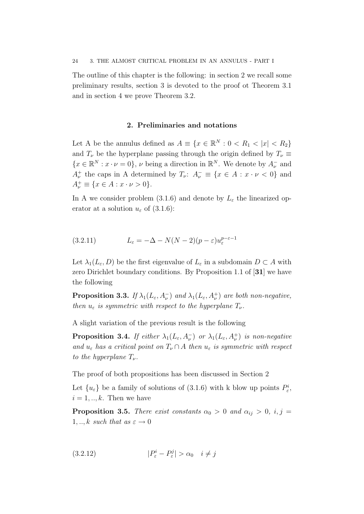The outline of this chapter is the following: in section 2 we recall some preliminary results, section 3 is devoted to the proof ot Theorem 3.1 and in section 4 we prove Theorem 3.2.

#### 2. Preliminaries and notations

Let A be the annulus defined as  $A \equiv \{x \in \mathbb{R}^N : 0 < R_1 < |x| < R_2\}$ and  $T_{\nu}$  be the hyperplane passing through the origin defined by  $T_{\nu} \equiv$  $\{x \in \mathbb{R}^N : x \cdot \nu = 0\}, \nu$  being a direction in  $\mathbb{R}^N$ . We denote by  $A_{\nu}^-$  and  $A_{\nu}^{+}$  the caps in A determined by  $T_{\nu}$ :  $A_{\nu}^{-} \equiv \{x \in A : x \cdot \nu < 0\}$  and  $A_{\nu}^{+} \equiv \{x \in A : x \cdot \nu > 0\}.$ 

In A we consider problem (3.1.6) and denote by  $L_{\varepsilon}$  the linearized operator at a solution  $u_{\varepsilon}$  of (3.1.6):

(3.2.11) 
$$
L_{\varepsilon} = -\Delta - N(N-2)(p - \varepsilon)u_{\varepsilon}^{p-\varepsilon-1}
$$

Let  $\lambda_1(L_\varepsilon, D)$  be the first eigenvalue of  $L_\varepsilon$  in a subdomain  $D \subset A$  with zero Dirichlet boundary conditions. By Proposition 1.1 of [31] we have the following

**Proposition 3.3.** If  $\lambda_1(L_\varepsilon, A_\nu^{-})$  and  $\lambda_1(L_\varepsilon, A_\nu^{+})$  are both non-negative, then  $u_{\varepsilon}$  is symmetric with respect to the hyperplane  $T_{\nu}$ .

A slight variation of the previous result is the following

**Proposition 3.4.** If either  $\lambda_1(L_\varepsilon, A_\nu^{-})$  or  $\lambda_1(L_\varepsilon, A_\nu^{+})$  is non-negative and  $u_{\varepsilon}$  has a critical point on  $T_{\nu} \cap A$  then  $u_{\varepsilon}$  is symmetric with respect to the hyperplane  $T_{\nu}$ .

The proof of both propositions has been discussed in Section 2

Let  ${u_\varepsilon}$  be a family of solutions of (3.1.6) with k blow up points  $P_\varepsilon^i$ ,  $i = 1, \ldots, k$ . Then we have

**Proposition 3.5.** There exist constants  $\alpha_0 > 0$  and  $\alpha_{ij} > 0$ , i, j =  $1, \ldots, k$  such that as  $\varepsilon \to 0$ 

$$
(3.2.12) \t\t |P_{\varepsilon}^{i} - P_{\varepsilon}^{j}| > \alpha_{0} \quad i \neq j
$$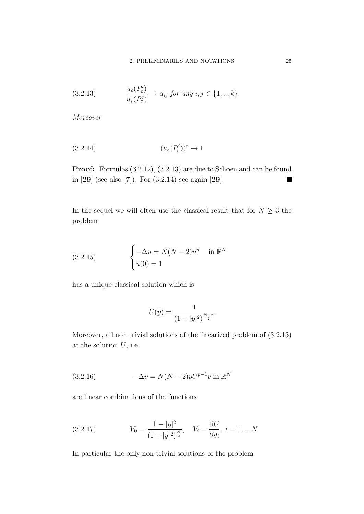(3.2.13) 
$$
\frac{u_{\varepsilon}(P_{\varepsilon}^{i})}{u_{\varepsilon}(P_{\varepsilon}^{j})} \to \alpha_{ij} \text{ for any } i, j \in \{1, ..., k\}
$$

Moreover

$$
(3.2.14) \qquad (u_{\varepsilon}(P_{\varepsilon}^{i}))^{\varepsilon} \to 1
$$

Proof: Formulas (3.2.12), (3.2.13) are due to Schoen and can be found in [29] (see also [7]). For (3.2.14) see again [29]. **The Second Service** 

In the sequel we will often use the classical result that for  $N\geq 3$  the problem

(3.2.15) 
$$
\begin{cases} -\Delta u = N(N-2)u^p & \text{in } \mathbb{R}^N \\ u(0) = 1 \end{cases}
$$

has a unique classical solution which is

$$
U(y) = \frac{1}{(1+|y|^2)^{\frac{N-2}{2}}}
$$

Moreover, all non trivial solutions of the linearized problem of (3.2.15) at the solution  $U$ , i.e.

(3.2.16) 
$$
-\Delta v = N(N-2)pU^{p-1}v \text{ in } \mathbb{R}^N
$$

are linear combinations of the functions

(3.2.17) 
$$
V_0 = \frac{1 - |y|^2}{(1 + |y|^2)^{\frac{N}{2}}}, \quad V_i = \frac{\partial U}{\partial y_i}, \quad i = 1, ..., N
$$

In particular the only non-trivial solutions of the problem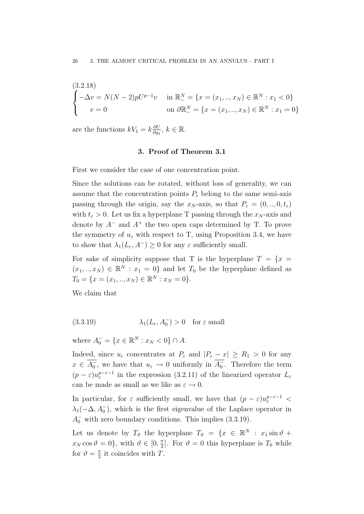$$
\begin{cases}\n(3.2.18) \\
-\Delta v = N(N-2)pU^{p-1}v & \text{in } \mathbb{R}^N = \{x = (x_1, ..., x_N) \in \mathbb{R}^N : x_1 < 0\} \\
v = 0 & \text{on } \partial \mathbb{R}^N = \{x = (x_1, ..., x_N) \in \mathbb{R}^N : x_1 = 0\}\n\end{cases}
$$

are the functions  $kV_1 = k \frac{\partial U}{\partial w_1}$  $\frac{\partial U}{\partial y_1}, k \in \mathbb{R}$ .

#### 3. Proof of Theorem 3.1

First we consider the case of one concentration point.

Since the solutions can be rotated, without loss of generality, we can assume that the concentration points  $P_{\varepsilon}$  belong to the same semi-axis passing through the origin, say the  $x_N$ -axis, so that  $P_\varepsilon = (0, ..., 0, t_\varepsilon)$ with  $t_{\varepsilon} > 0$ . Let us fix a hyperplane T passing through the  $x_N$ -axis and denote by  $A^-$  and  $A^+$  the two open caps determined by T. To prove the symmetry of  $u_{\varepsilon}$  with respect to T, using Proposition 3.4, we have to show that  $\lambda_1(L_\varepsilon, A^-) \geq 0$  for any  $\varepsilon$  sufficiently small.

For sake of simplicity suppose that T is the hyperplane  $T = \{x =$  $(x_1, ..., x_N) \in \mathbb{R}^N : x_1 = 0$  and let  $T_0$  be the hyperplane defined as  $T_0 = \{x = (x_1, ..., x_N) \in \mathbb{R}^N : x_N = 0\}.$ 

We claim that

(3.3.19) 
$$
\lambda_1(L_{\varepsilon}, A_0^-) > 0 \quad \text{for } \varepsilon \text{ small}
$$

where  $A_0^- = \{x \in \mathbb{R}^N : x_N < 0\} \cap A$ .

Indeed, since  $u_{\varepsilon}$  concentrates at  $P_{\varepsilon}$  and  $|P_{\varepsilon} - x| \ge R_1 > 0$  for any  $x \in \overline{A_0}$ , we have that  $u_{\varepsilon} \to 0$  uniformly in  $\overline{A_0}$ . Therefore the term  $(p - \varepsilon)u_{\varepsilon}^{p-\varepsilon-1}$  in the expression (3.2.11) of the linearized operator  $L_{\varepsilon}$ can be made as small as we like as  $\varepsilon \to 0$ .

In particular, for  $\varepsilon$  sufficiently small, we have that  $(p - \varepsilon)u_{\varepsilon}^{p-\varepsilon-1}$  $\lambda_1(-\Delta, A_0^-)$ , which is the first eigenvalue of the Laplace operator in  $A_0^-$  with zero boundary conditions. This implies (3.3.19).

Let us denote by  $T_{\vartheta}$  the hyperplane  $T_{\vartheta} = \{x \in \mathbb{R}^N : x_1 \sin \vartheta +$  $x_N \cos \vartheta = 0$ , with  $\vartheta \in [0, \frac{\pi}{2}]$  $\frac{\pi}{2}$ . For  $\vartheta = 0$  this hyperplane is  $T_0$  while for  $\vartheta = \frac{\pi}{2}$  $\frac{\pi}{2}$  it coincides with T.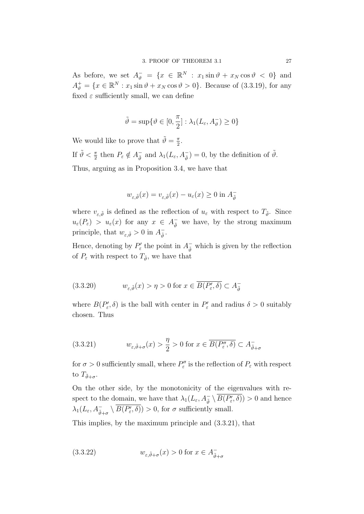As before, we set  $A_{\vartheta}^- = \{x \in \mathbb{R}^N : x_1 \sin \vartheta + x_N \cos \vartheta < 0\}$  and  $A_{\vartheta}^{+} = \{x \in \mathbb{R}^{N} : x_1 \sin \vartheta + x_N \cos \vartheta > 0\}.$  Because of (3.3.19), for any fixed  $\varepsilon$  sufficiently small, we can define

$$
\tilde{\vartheta} = \sup \{ \vartheta \in [0, \frac{\pi}{2}] : \lambda_1(L_{\varepsilon}, A_{\vartheta}^-) \ge 0 \}
$$

We would like to prove that  $\tilde{\vartheta} = \frac{\pi}{2}$  $\frac{\pi}{2}$ . If  $\tilde{\vartheta} < \frac{\pi}{2}$  then  $P_{\varepsilon} \notin A_{\tilde{\vartheta}}^ \frac{\overline{\phantom{a}}}{\tilde{\vartheta}}$  and  $\lambda_1(L_{\varepsilon}, A_{\tilde{\vartheta}}^-) = 0$ , by the definition of  $\tilde{\vartheta}$ . Thus, arguing as in Proposition 3.4, we have that

$$
w_{\varepsilon,\tilde{\vartheta}}(x)=v_{\varepsilon,\tilde{\vartheta}}(x)-u_{\varepsilon}(x)\geq 0\text{ in }A_{\tilde{\vartheta}}^-
$$

where  $v_{\varepsilon,\tilde{\vartheta}}$  is defined as the reflection of  $u_{\varepsilon}$  with respect to  $T_{\tilde{\vartheta}}$ . Since  $u_{\varepsilon}(P_{\varepsilon}) > u_{\varepsilon}(x)$  for any  $x \in A_{\tilde{\theta}}^-$  we have, by the strong maximum principle, that  $w_{\varepsilon,\tilde{\vartheta}} > 0$  in  $A_{\tilde{\vartheta}}^ \frac{1}{\tilde{\vartheta}}$ .

Hence, denoting by  $P'_{\varepsilon}$  the point in  $A_{\tilde{\theta}}^-$  which is given by the reflection of  $P_{\varepsilon}$  with respect to  $T_{\tilde{\vartheta}}$ , we have that

(3.3.20) 
$$
w_{\varepsilon,\tilde{\vartheta}}(x) > \eta > 0 \text{ for } x \in \overline{B(P'_{\varepsilon}, \delta)} \subset A_{\tilde{\vartheta}}^-
$$

where  $B(P'_{\varepsilon}, \delta)$  is the ball with center in  $P'_{\varepsilon}$  and radius  $\delta > 0$  suitably chosen. Thus

(3.3.21) 
$$
w_{\varepsilon,\tilde{\vartheta}+\sigma}(x) > \frac{\eta}{2} > 0 \text{ for } x \in \overline{B(P''_{\varepsilon},\delta)} \subset A_{\tilde{\vartheta}+\sigma}^-
$$

for  $\sigma > 0$  sufficiently small, where  $P''_{\varepsilon}$  is the reflection of  $P_{\varepsilon}$  with respect to  $T_{\tilde{\vartheta}+\sigma}$ .

On the other side, by the monotonicity of the eigenvalues with respect to the domain, we have that  $\lambda_1(L_\varepsilon, A_{\tilde{\theta}}^- \setminus \overline{B(P'_\varepsilon, \delta)}) > 0$  and hence  $\lambda_1(L_\varepsilon, A_{\tilde{\vartheta}+\sigma}^- \setminus \overline{B(P'_\varepsilon, \delta)}) > 0$ , for  $\sigma$  sufficiently small.

This implies, by the maximum principle and (3.3.21), that

(3.3.22) 
$$
w_{\varepsilon,\tilde{\vartheta}+\sigma}(x) > 0 \text{ for } x \in A_{\tilde{\vartheta}+\sigma}^-
$$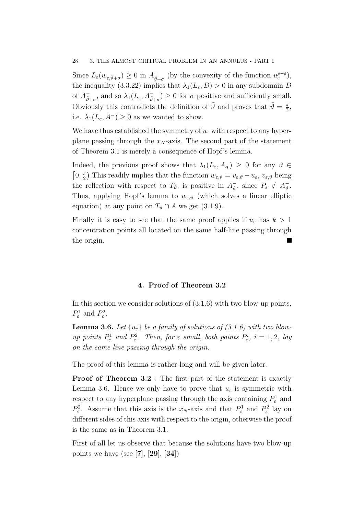Since  $L_{\varepsilon}(w_{\varepsilon,\tilde{\vartheta}+\sigma}) \geq 0$  in  $A_{\tilde{\vartheta}}^ \bar{\tilde{\vartheta}}+\sigma$  (by the convexity of the function  $u_{\varepsilon}^{p-\varepsilon}$ ), the inequality (3.3.22) implies that  $\lambda_1(L_\varepsilon, D) > 0$  in any subdomain D of  $A_{\tilde{a}}^ \bar{\psi}_{\bar{\theta}+\sigma}$ , and so  $\lambda_1(L_\varepsilon, A_{\tilde{\vartheta}+\sigma}^-) \geq 0$  for  $\sigma$  positive and sufficiently small. Obviously this contradicts the definition of  $\tilde{\vartheta}$  and proves that  $\tilde{\vartheta} = \frac{\pi}{2}$  $\frac{\pi}{2}$ i.e.  $\lambda_1(L_\varepsilon, A^-) \geq 0$  as we wanted to show.

We have thus established the symmetry of  $u_{\varepsilon}$  with respect to any hyperplane passing through the  $x_N$ -axis. The second part of the statement of Theorem 3.1 is merely a consequence of Hopf's lemma.

Indeed, the previous proof shows that  $\lambda_1(L_\varepsilon, A_\vartheta^-) \geq 0$  for any  $\vartheta \in$  $\left[0,\frac{\pi}{2}\right]$  $\frac{\pi}{2}$ ). This readily implies that the function  $w_{\varepsilon,\vartheta} = v_{\varepsilon,\vartheta} - u_{\varepsilon}, v_{\varepsilon,\vartheta}$  being the reflection with respect to  $T_{\vartheta}$ , is positive in  $A_{\vartheta}^ \overline{\vartheta}$ , since  $P_{\varepsilon} \notin A_{\vartheta}^ \frac{1}{\vartheta}$ . Thus, applying Hopf's lemma to  $w_{\varepsilon,\vartheta}$  (which solves a linear elliptic equation) at any point on  $T_{\vartheta} \cap A$  we get (3.1.9).

Finally it is easy to see that the same proof applies if  $u_{\varepsilon}$  has  $k > 1$ concentration points all located on the same half-line passing through the origin.

### 4. Proof of Theorem 3.2

In this section we consider solutions of (3.1.6) with two blow-up points,  $P^1_{\varepsilon}$  and  $P^2_{\varepsilon}$ .

**Lemma 3.6.** Let  $\{u_{\varepsilon}\}\$ be a family of solutions of (3.1.6) with two blowup points  $P_{\varepsilon}^1$  and  $P_{\varepsilon}^2$ . Then, for  $\varepsilon$  small, both points  $P_{\varepsilon}^i$ ,  $i = 1, 2$ , lay on the same line passing through the origin.

The proof of this lemma is rather long and will be given later.

**Proof of Theorem 3.2**: The first part of the statement is exactly Lemma 3.6. Hence we only have to prove that  $u_{\varepsilon}$  is symmetric with respect to any hyperplane passing through the axis containing  $P^1_\varepsilon$  and  $P_{\varepsilon}^2$ . Assume that this axis is the  $x_N$ -axis and that  $P_{\varepsilon}^1$  and  $P_{\varepsilon}^2$  lay on different sides of this axis with respect to the origin, otherwise the proof is the same as in Theorem 3.1.

First of all let us observe that because the solutions have two blow-up points we have (see [7], [29],  $[34]$ )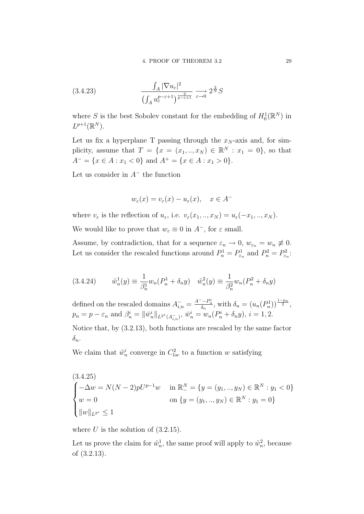(3.4.23) 
$$
\frac{\int_A |\nabla u_{\varepsilon}|^2}{\left(\int_A u_{\varepsilon}^{p-\varepsilon+1}\right)^{\frac{2}{p-\varepsilon+1}}} \xrightarrow{\varepsilon \to 0} 2^{\frac{2}{N}} S
$$

where S is the best Sobolev constant for the embedding of  $H_0^1(\mathbb{R}^N)$  in  $L^{p+1}(\mathbb{R}^N)$ .

Let us fix a hyperplane T passing through the  $x_N$ -axis and, for simplicity, assume that  $T = \{x = (x_1, ..., x_N) \in \mathbb{R}^N : x_1 = 0\}$ , so that  $A^{-} = \{x \in A : x_1 < 0\}$  and  $A^{+} = \{x \in A : x_1 > 0\}.$ 

Let us consider in  $A^-$  the function

$$
w_{\varepsilon}(x) = v_{\varepsilon}(x) - u_{\varepsilon}(x), \quad x \in A^-
$$

where  $v_{\varepsilon}$  is the reflection of  $u_{\varepsilon}$ , i.e.  $v_{\varepsilon}(x_1,..,x_N) = u_{\varepsilon}(-x_1,..,x_N)$ . We would like to prove that  $w_{\varepsilon} \equiv 0$  in  $A^-$ , for  $\varepsilon$  small.

Assume, by contradiction, that for a sequence  $\varepsilon_n \to 0$ ,  $w_{\varepsilon_n} = w_n \neq 0$ . Let us consider the rescaled functions around  $P_n^1 = P_{\varepsilon_n}^1$  and  $P_n^2 = P_{\varepsilon_n}^2$ :

(3.4.24) 
$$
\tilde{w}_n^1(y) \equiv \frac{1}{\beta_n^1} w_n (P_n^1 + \delta_n y) \quad \tilde{w}_n^2(y) \equiv \frac{1}{\beta_n^2} w_n (P_n^2 + \delta_n y)
$$

defined on the rescaled domains  $A_{i,n}^- = \frac{A^--P_n^i}{\delta_n}$ , with  $\delta_n = (u_n(P_n^1))^{\frac{1-p_n}{2}}$ ,  $p_n = p - \varepsilon_n$  and  $\beta_n^i = ||\bar{w}_n^i||_{L^{2^*}(A_{i,n}^-)}, \ \bar{w}_n^i = w_n(P_n^i + \delta_n y), \ i = 1, 2.$ 

Notice that, by (3.2.13), both functions are rescaled by the same factor  $\delta_n$ .

We claim that  $\tilde{w}_n^i$  converge in  $C_{loc}^2$  to a function w satisfying

$$
(3.4.25)
$$
  
\n
$$
\begin{cases}\n-\Delta w = N(N-2)pU^{p-1}w & \text{in } \mathbb{R}^N = \{y = (y_1, ..., y_N) \in \mathbb{R}^N : y_1 < 0\} \\
w = 0 & \text{on } \{y = (y_1, ..., y_N) \in \mathbb{R}^N : y_1 = 0\} \\
\|w\|_{L^{2^*}} \le 1\n\end{cases}
$$

where  $U$  is the solution of  $(3.2.15)$ .

Let us prove the claim for  $\tilde{w}_n^1$ , the same proof will apply to  $\tilde{w}_n^2$ , because of (3.2.13).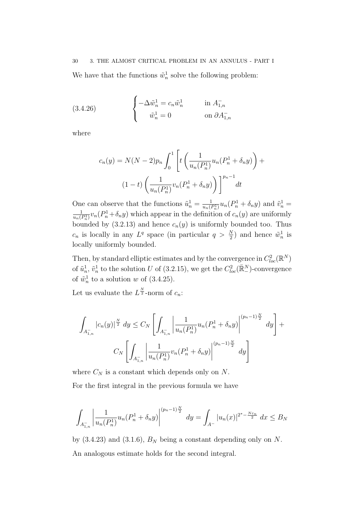#### 30 3. THE ALMOST CRITICAL PROBLEM IN AN ANNULUS - PART I

We have that the functions  $\tilde{w}_n^1$  solve the following problem:

(3.4.26) 
$$
\begin{cases}\n-\Delta \tilde{w}_n^1 = c_n \tilde{w}_n^1 & \text{in } A_{1,n}^- \\
\tilde{w}_n^1 = 0 & \text{on } \partial A_{1,n}^- \n\end{cases}
$$

where

$$
c_n(y) = N(N-2)p_n \int_0^1 \left[ t \left( \frac{1}{u_n(P_n^1)} u_n(P_n^1 + \delta_n y) \right) + (1-t) \left( \frac{1}{u_n(P_n^1)} v_n(P_n^1 + \delta_n y) \right) \right]^{p_n-1} dt
$$

One can observe that the functions  $\tilde{u}_n^1 = \frac{1}{u_n(i)}$  $\frac{1}{u_n(P_n^1)}u_n(P_n^1+\delta_n y)$  and  $\tilde{v}_n^1=$ 1  $\frac{1}{u_n(P_n^1)}v_n(P_n^1+\delta_n y)$  which appear in the definition of  $c_n(y)$  are uniformly bounded by  $(3.2.13)$  and hence  $c_n(y)$  is uniformly bounded too. Thus  $c_n$  is locally in any  $L^q$  space (in particular  $q > \frac{N}{2}$ ) and hence  $\tilde{w}_n^1$  is locally uniformly bounded.

Then, by standard elliptic estimates and by the convergence in  $C^2_{loc}(\mathbb{R}^N)$ of  $\tilde{u}_n^1$ ,  $\tilde{v}_n^1$  to the solution U of (3.2.15), we get the  $C^2_{loc}(\mathbb{R}^N)$ -convergence of  $\tilde{w}_n^1$  to a solution w of (3.4.25).

Let us evaluate the  $L^{\frac{N}{2}}$ -norm of  $c_n$ :

$$
\int_{A_{1,n}^{-}} |c_n(y)|^{\frac{N}{2}} dy \leq C_N \left[ \int_{A_{1,n}^{-}} \left| \frac{1}{u_n(P_n^1)} u_n(P_n^1 + \delta_n y) \right|^{(p_n - 1)\frac{N}{2}} dy \right] +
$$
  

$$
C_N \left[ \int_{A_{1,n}^{-}} \left| \frac{1}{u_n(P_n^1)} v_n(P_n^1 + \delta_n y) \right|^{(p_n - 1)\frac{N}{2}} dy \right]
$$

where  $C_N$  is a constant which depends only on N.

For the first integral in the previous formula we have

$$
\int_{A_{1,n}^{-}} \left| \frac{1}{u_n(P_n^1)} u_n(P_n^1 + \delta_n y) \right|^{(p_n - 1)\frac{N}{2}} dy = \int_{A^{-}} |u_n(x)|^{2^{*} - \frac{N\varepsilon_n}{2}} dx \leq B_N
$$

by  $(3.4.23)$  and  $(3.1.6)$ ,  $B_N$  being a constant depending only on N. An analogous estimate holds for the second integral.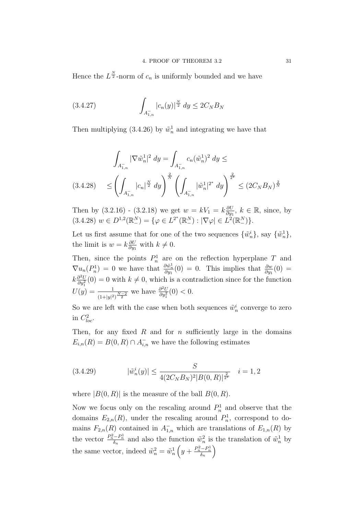Hence the  $L^{\frac{N}{2}}$ -norm of  $c_n$  is uniformly bounded and we have

(3.4.27) 
$$
\int_{A_{1,n}^-} |c_n(y)|^{\frac{N}{2}} dy \le 2C_N B_N
$$

Then multiplying (3.4.26) by  $\tilde{w}_n^1$  and integrating we have that

$$
\int_{A_{1,n}^-} |\nabla \tilde{w}_n^1|^2 dy = \int_{A_{1,n}^-} c_n (\tilde{w}_n^1)^2 dy \le
$$
\n
$$
(3.4.28) \le \left( \int_{A_{1,n}^-} |c_n|^{\frac{N}{2}} dy \right)^{\frac{2}{N}} \left( \int_{A_{1,n}^-} |\tilde{w}_n^1|^{2^*} dy \right)^{\frac{2}{2^*}} \le (2C_N B_N)^{\frac{2}{N}}
$$

Then by  $(3.2.16)$  -  $(3.2.18)$  we get  $w = kV_1 = k\frac{\partial U}{\partial w_1}$  $\frac{\partial U}{\partial y_1}$ ,  $k \in \mathbb{R}$ , since, by  $(3.4.28)$   $w \in D^{1,2}(\mathbb{R}^N_-) = \{ \varphi \in L^{2^*}(\mathbb{R}^N_-) : |\nabla \varphi| \in L^2(\mathbb{R}^N_-) \}.$ 

Let us first assume that for one of the two sequences  $\{\tilde{w}_n^i\}$ , say  $\{\tilde{w}_n^1\}$ , the limit is  $w = k \frac{\partial U}{\partial w}$  $\frac{\partial U}{\partial y_1}$  with  $k \neq 0$ .

Then, since the points  $P_n^1$  are on the reflection hyperplane T and  $\nabla u_n(P_n^1) = 0$  we have that  $\frac{\partial \tilde{w}_n^1}{\partial y_1}(0) = 0$ . This implies that  $\frac{\partial w}{\partial y_1}(0) =$  $k\frac{\partial^2 U}{\partial u^2}$  $\frac{\partial^2 U}{\partial y_1^2}(0) = 0$  with  $k \neq 0$ , which is a contradiction since for the function  $U(y) = \frac{1}{(1+|y|^2)^{\frac{N-2}{2}}}$  we have  $\frac{\partial^2 U}{\partial y_1^2}$  $\frac{\partial^2 U}{\partial y_1^2}(0) < 0.$ 

So we are left with the case when both sequences  $\tilde{w}_n^i$  converge to zero in  $C^2_{loc}$ .

Then, for any fixed  $R$  and for  $n$  sufficiently large in the domains  $E_{i,n}(R) = B(0, R) \cap A_{i,n}^-$  we have the following estimates

(3.4.29) 
$$
|\tilde{w}_n^i(y)| \le \frac{S}{4(2C_N B_N)^2 |B(0,R)|^{\frac{2}{2^*}}} \quad i = 1, 2
$$

where  $|B(0, R)|$  is the measure of the ball  $B(0, R)$ .

Now we focus only on the rescaling around  $P_n^1$  and observe that the domains  $E_{2,n}(R)$ , under the rescaling around  $P_n^1$ , correspond to domains  $F_{2,n}(R)$  contained in  $A_{1,n}^-$  which are translations of  $E_{1,n}(R)$  by the vector  $\frac{P_n^2 - P_n^1}{\delta_n}$  and also the function  $\tilde{w}_n^2$  is the translation of  $\tilde{w}_n^1$  by the same vector, indeed  $\tilde{w}_n^2 = \tilde{w}_n^1\left(y + \frac{P_n^2 - P_n^1}{\delta_n}\right)$  $\setminus$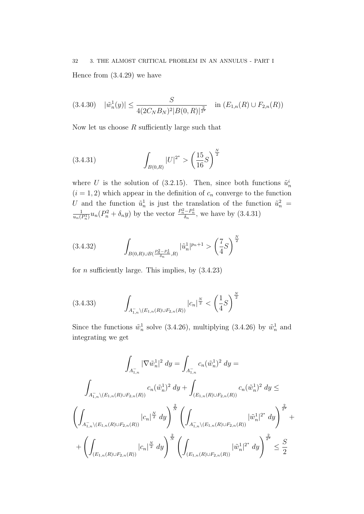# 32 3. THE ALMOST CRITICAL PROBLEM IN AN ANNULUS - PART I Hence from (3.4.29) we have

$$
(3.4.30) \quad |\tilde{w}_n^1(y)| \le \frac{S}{4(2C_NB_N)^2|B(0,R)|^{\frac{2}{2^*}}} \quad \text{in } (E_{1,n}(R) \cup F_{2,n}(R))
$$

Now let us choose  $R$  sufficiently large such that

(3.4.31) 
$$
\int_{B(0,R)} |U|^{2^*} > \left(\frac{15}{16}S\right)^{\frac{N}{2}}
$$

where U is the solution of (3.2.15). Then, since both functions  $\tilde{u}_n^i$  $(i = 1, 2)$  which appear in the definition of  $c_n$  converge to the function U and the function  $\tilde{u}_n^1$  is just the translation of the function  $\tilde{u}_n^2$  = 1  $\frac{1}{u_n(P_n^1)}u_n(P_n^2+\delta_n y)$  by the vector  $\frac{P_n^2-P_n^1}{\delta_n}$ , we have by  $(3.4.31)$ 

$$
(3.4.32) \qquad \int_{B(0,R)\cup B\left(\frac{P_n^2 - P_n^1}{\delta_n}, R\right)} |\tilde{u}_n^1|^{p_n+1} > \left(\frac{7}{4}S\right)^{\frac{N}{2}}
$$

for  $n$  sufficiently large. This implies, by  $(3.4.23)$ 

$$
(3.4.33) \qquad \int_{A^-_{1,n}\setminus (E_{1,n}(R)\cup F_{2,n}(R))} |c_n|^{\frac{N}{2}} < \left(\frac{1}{4}S\right)^{\frac{N}{2}}
$$

Since the functions  $\tilde{w}_n^1$  solve (3.4.26), multiplying (3.4.26) by  $\tilde{w}_n^1$  and integrating we get

$$
\int_{A_{1,n}^{-}} |\nabla \tilde{w}_{n}^{1}|^{2} dy = \int_{A_{1,n}^{-}} c_{n}(\tilde{w}_{n}^{1})^{2} dy =
$$
\n
$$
\int_{A_{1,n}^{-}} (E_{1,n}(R) \cup F_{2,n}(R)) c_{n}(\tilde{w}_{n}^{1})^{2} dy + \int_{(E_{1,n}(R) \cup F_{2,n}(R))} c_{n}(\tilde{w}_{n}^{1})^{2} dy \le
$$
\n
$$
\left( \int_{A_{1,n}^{-}} (E_{1,n}(R) \cup F_{2,n}(R)) |c_{n}|^{\frac{N}{2}} dy \right)^{\frac{2}{N}} \left( \int_{A_{1,n}^{-}} (E_{1,n}(R) \cup F_{2,n}(R)) |\tilde{w}_{n}^{1}|^{2^{*}} dy \right)^{\frac{2}{2^{*}}} +
$$
\n
$$
+ \left( \int_{(E_{1,n}(R) \cup F_{2,n}(R))} |c_{n}|^{\frac{N}{2}} dy \right)^{\frac{2}{N}} \left( \int_{(E_{1,n}(R) \cup F_{2,n}(R))} |\tilde{w}_{n}^{1}|^{2^{*}} dy \right)^{\frac{2}{2^{*}}} \leq \frac{S}{2}
$$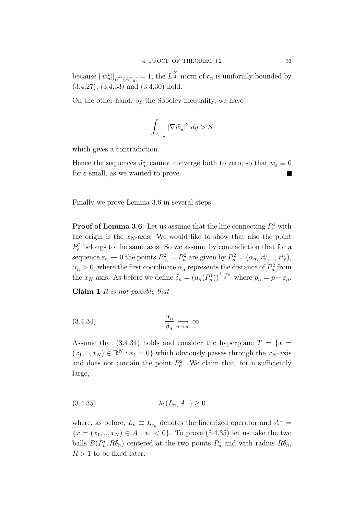because  $\|\tilde{w}_n^1\|_{L^{2^*}(A_{1,n}^-)} = 1$ , the  $L^{\frac{N}{2}}$ -norm of  $c_n$  is uniformly bounded by (3.4.27), (3.4.33) and (3.4.30) hold.

On the other hand, by the Sobolev inequality, we have

$$
\int_{A_{1,n}^-} |\nabla \tilde w_n^1|^2\ dy > S
$$

which gives a contradiction.

Hence the sequences  $\tilde{w}_n^i$  cannot converge both to zero, so that  $w_{\varepsilon} \equiv 0$ for  $\varepsilon$  small, as we wanted to prove.

Finally we prove Lemma 3.6 in several steps

**Proof of Lemma 3.6**: Let us assume that the line connecting  $P_{\varepsilon}^1$  with the origin is the  $x_N$ -axis. We would like to show that also the point  $P_{\varepsilon}^2$  belongs to the same axis. So we assume by contradiction that for a sequence  $\varepsilon_n \to 0$  the points  $P_{\varepsilon_n}^2 = P_n^2$  are given by  $P_n^2 = (\alpha_n, x_2^n, ..., x_N^n)$ ,  $\alpha_n > 0$ , where the first coordinate  $\alpha_n$  represents the distance of  $P_n^2$  from the  $x_N$ -axis. As before we define  $\delta_n = (u_n(P_n^1))^{\frac{1-p_n}{2}}$  where  $p_n = p - \varepsilon_n$ .

Claim 1 It is not possible that

$$
(3.4.34) \t\t \t\t \t \frac{\alpha_n}{\delta_n} \xrightarrow[n \to \infty]{} \infty
$$

Assume that (3.4.34) holds and consider the hyperplane  $T = \{x =$  $(x_1, ..., x_N) \in \mathbb{R}^N : x_1 = 0$  which obviously passes through the  $x_N$ -axis and does not contain the point  $P_n^2$ . We claim that, for n sufficiently large,

$$
(3.4.35)\qquad \qquad \lambda_1(L_n, A^-) \ge 0
$$

where, as before,  $L_n \equiv L_{\varepsilon_n}$  denotes the linearized operator and  $A^ {x = (x_1, ..., x_N) \in A : x_1 < 0}.$  To prove (3.4.35) let us take the two balls  $B(P_n^i, R\delta_n)$  centered at the two points  $P_n^i$  and with radius  $R\delta_n$ ,  $R > 1$  to be fixed later.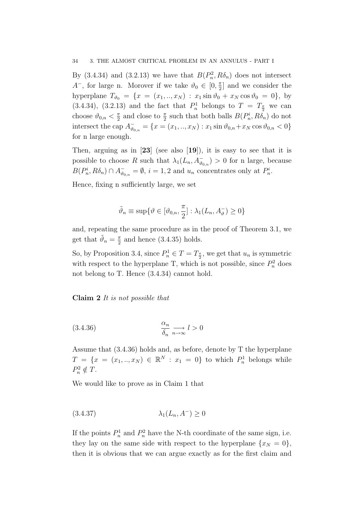By (3.4.34) and (3.2.13) we have that  $B(P_n^2, R\delta_n)$  does not intersect  $A^-$ , for large n. Morover if we take  $\vartheta_0 \in [0, \frac{\pi}{2}]$  $\frac{\pi}{2}$  and we consider the hyperplane  $T_{\theta_0} = \{x = (x_1, ..., x_N) : x_1 \sin \theta_0 + x_N \cos \theta_0 = 0\}$ , by (3.4.34), (3.2.13) and the fact that  $P_n^1$  belongs to  $T = T_{\frac{\pi}{2}}$  we can choose  $\vartheta_{0,n} < \frac{\pi}{2}$  $\frac{\pi}{2}$  and close to  $\frac{\pi}{2}$  such that both balls  $B(P_n^i, R\delta_n)$  do not intersect the cap  $A_{\vartheta_{0,n}}^- = \{x = (x_1, ..., x_N) : x_1 \sin \vartheta_{0,n} + x_N \cos \vartheta_{0,n} < 0\}$ for n large enough.

Then, arguing as in  $[23]$  (see also  $[19]$ ), it is easy to see that it is possible to choose R such that  $\lambda_1(L_n, A_{\vartheta_{0,n}}^-) > 0$  for n large, because  $B(P_n^i, R\delta_n) \cap A_{\vartheta_{0,n}}^- = \emptyset$ ,  $i = 1, 2$  and  $u_n$  concentrates only at  $P_n^i$ .

Hence, fixing n sufficiently large, we set

$$
\tilde{\vartheta}_n \equiv \sup \{ \vartheta \in [\vartheta_{0,n}, \frac{\pi}{2}] : \lambda_1(L_n, A_{\vartheta}^-) \ge 0 \}
$$

and, repeating the same procedure as in the proof of Theorem 3.1, we get that  $\tilde{\vartheta}_n = \frac{\pi}{2}$  $\frac{\pi}{2}$  and hence (3.4.35) holds.

So, by Proposition 3.4, since  $P_n^1 \in T = T_{\frac{\pi}{2}}$ , we get that  $u_n$  is symmetric with respect to the hyperplane T, which is not possible, since  $P_n^2$  does not belong to T. Hence (3.4.34) cannot hold.

Claim 2 It is not possible that

(3.4.36) 
$$
\frac{\alpha_n}{\delta_n} \underset{n \to \infty}{\longrightarrow} l > 0
$$

Assume that (3.4.36) holds and, as before, denote by T the hyperplane  $T = \{x = (x_1, ..., x_N) \in \mathbb{R}^N : x_1 = 0\}$  to which  $P_n^1$  belongs while  $P_n^2 \notin T$ .

We would like to prove as in Claim 1 that

$$
(3.4.37) \qquad \qquad \lambda_1(L_n, A^-) \ge 0
$$

If the points  $P_n^1$  and  $P_n^2$  have the N-th coordinate of the same sign, i.e. they lay on the same side with respect to the hyperplane  $\{x_N = 0\}$ , then it is obvious that we can argue exactly as for the first claim and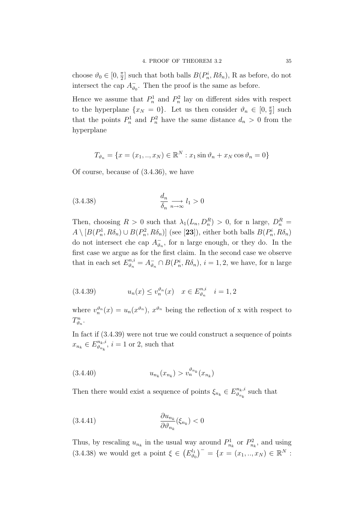choose  $\vartheta_0 \in [0, \frac{\pi}{2}]$  $\frac{\pi}{2}$  such that both balls  $B(P_n^i, R\delta_n)$ , R as before, do not intersect the cap  $A_{\vartheta}^ \bar{\theta}_0$ . Then the proof is the same as before.

Hence we assume that  $P_n^1$  and  $P_n^2$  lay on different sides with respect to the hyperplane  $\{x_N = 0\}$ . Let us then consider  $\vartheta_n \in [0, \frac{\pi}{2}]$  $\frac{\pi}{2}$  such that the points  $P_n^1$  and  $P_n^2$  have the same distance  $d_n > 0$  from the hyperplane

$$
T_{\vartheta_n} = \{ x = (x_1, ..., x_N) \in \mathbb{R}^N : x_1 \sin \vartheta_n + x_N \cos \vartheta_n = 0 \}
$$

Of course, because of (3.4.36), we have

$$
(3.4.38)\qquad \qquad \frac{d_n}{\delta_n} \underset{n \to \infty}{\longrightarrow} l_1 > 0
$$

Then, choosing  $R > 0$  such that  $\lambda_1(L_n, D_n^R) > 0$ , for n large,  $D_n^R =$  $A \setminus [B(P_n^1, R\delta_n) \cup B(P_n^2, R\delta_n)]$  (see [23]), either both balls  $B(P_n^i, R\delta_n)$ do not intersect che cap  $A_{\theta}^ \bar{\theta}_n$ , for n large enough, or they do. In the first case we argue as for the first claim. In the second case we observe that in each set  $E_{\vartheta_n}^{n,i} = A_{\vartheta_i}^ \bar{\theta}_n \cap B(P_n^i, R\delta_n), i = 1, 2$ , we have, for n large

(3.4.39) 
$$
u_n(x) \le v_n^{\vartheta_n}(x) \quad x \in E_{\vartheta_n}^{n,i} \quad i = 1, 2
$$

where  $v_n^{\vartheta_n}(x) = u_n(x^{\vartheta_n}), x^{\vartheta_n}$  being the reflection of x with respect to  $T_{\vartheta_n}^n$ .

In fact if (3.4.39) were not true we could construct a sequence of points  $x_{n_k} \in E_{\vartheta_{n_k}}^{n_k,i}$  $\binom{n_k, i}{\vartheta_{n_k}}$ ,  $i = 1$  or 2, such that

$$
(3.4.40) \t\t\t  $u_{n_k}(x_{n_k}) > v_n^{\vartheta_{n_k}}(x_{n_k})$
$$

Then there would exist a sequence of points  $\xi_{n_k} \in E_{\vartheta_{n_k}}^{n_k,i}$  $\sum_{\vartheta_{n_k}}^{n_k,i}$  such that

$$
(3.4.41) \qquad \qquad \frac{\partial u_{n_k}}{\partial \vartheta_{n_k}}(\xi_{n_k}) < 0
$$

Thus, by rescaling  $u_{n_k}$  in the usual way around  $P_{n_k}^1$  or  $P_{n_k}^2$ , and using  $(3.4.38)$  we would get a point  $\xi \in (E_{\theta}^{l_1})$  $\binom{d_1}{\vartheta_0}^{\dagger} = \{x = (x_1,..,x_N) \in \mathbb{R}^N :$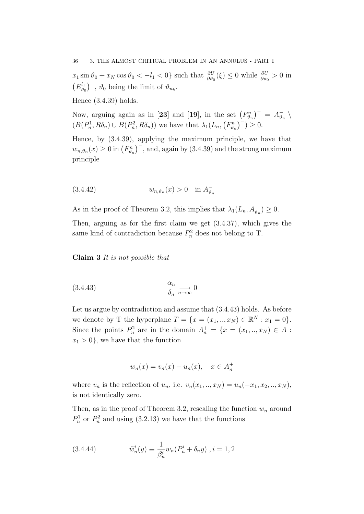$x_1 \sin \vartheta_0 + x_N \cos \vartheta_0 < -l_1 < 0$  such that  $\frac{\partial U}{\partial \vartheta_0}(\xi) \le 0$  while  $\frac{\partial U}{\partial \vartheta_0} > 0$  in  $(E_{\vartheta_{\alpha}}^{l_1})$  $(\theta_0^{l_1})^{\dagger}$ ,  $\vartheta_0$  being the limit of  $\vartheta_{n_k}$ .

Hence (3.4.39) holds.

Now, arguing again as in [23] and [19], in the set  $(F_{\vartheta_n}^n)^{-} = A_{\vartheta_n}^{-}$  $\frac{\overline{\phantom{a}}}{\vartheta_n}$  $(B(P_n^1, R\delta_n) \cup B(P_n^2, R\delta_n))$  we have that  $\lambda_1(L_n, (F_{\vartheta_n}^n)^{-}) \geq 0$ .

Hence, by (3.4.39), applying the maximum principle, we have that  $w_{n,\vartheta_n}(x) \ge 0$  in  $(F_{\vartheta_n}^n)^{-1}$ , and, again by (3.4.39) and the strong maximum principle

(3.4.42) wn,ϑ<sup>n</sup> (x) > 0 in A − ϑn

As in the proof of Theorem 3.2, this implies that  $\lambda_1(L_n, A_{\vartheta_n}^-) \geq 0$ .

Then, arguing as for the first claim we get (3.4.37), which gives the same kind of contradiction because  $P_n^2$  does not belong to T.

Claim 3 It is not possible that

$$
\frac{\alpha_n}{\delta_n} \underset{n \to \infty}{\longrightarrow} 0
$$

Let us argue by contradiction and assume that (3.4.43) holds. As before we denote by T the hyperplane  $T = \{x = (x_1, ..., x_N) \in \mathbb{R}^N : x_1 = 0\}.$ Since the points  $P_n^2$  are in the domain  $A_n^+ = \{x = (x_1, ..., x_N) \in A$ :  $x_1 > 0$ , we have that the function

$$
w_n(x) = v_n(x) - u_n(x), \quad x \in A_n^+
$$

where  $v_n$  is the reflection of  $u_n$ , i.e.  $v_n(x_1,..,x_N) = u_n(-x_1, x_2,..,x_N)$ , is not identically zero.

Then, as in the proof of Theorem 3.2, rescaling the function  $w_n$  around  $P_n^1$  or  $P_n^2$  and using (3.2.13) we have that the functions

(3.4.44) 
$$
\tilde{w}_n^i(y) \equiv \frac{1}{\beta_n^i} w_n (P_n^i + \delta_n y), i = 1, 2
$$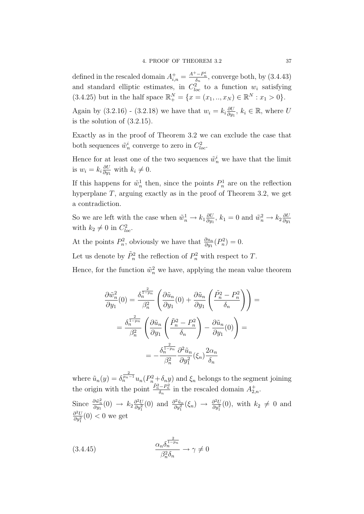defined in the rescaled domain  $A_{i,n}^+ = \frac{A^+ - P_n^i}{\delta_n}$ , converge both, by (3.4.43) and standard elliptic estimates, in  $C_{loc}^2$  to a function  $w_i$  satisfying (3.4.25) but in the half space  $\mathbb{R}^N_+ = \{x = (x_1, ..., x_N) \in \mathbb{R}^N : x_1 > 0\}.$ 

Again by  $(3.2.16)$  -  $(3.2.18)$  we have that  $w_i = k_i \frac{\partial U}{\partial w_i}$  $\frac{\partial U}{\partial y_1}$ ,  $k_i \in \mathbb{R}$ , where U is the solution of (3.2.15).

Exactly as in the proof of Theorem 3.2 we can exclude the case that both sequences  $\tilde{w}_n^i$  converge to zero in  $C_{loc}^2$ .

Hence for at least one of the two sequences  $\tilde{w}_n^i$  we have that the limit is  $w_i = k_i \frac{\partial U}{\partial w_i}$  $\frac{\partial U}{\partial y_1}$  with  $k_i \neq 0$ .

If this happens for  $\tilde{w}_n^1$  then, since the points  $P_n^1$  are on the reflection hyperplane  $T$ , arguing exactly as in the proof of Theorem 3.2, we get a contradiction.

So we are left with the case when  $\tilde{w}_n^1 \to k_1 \frac{\partial U}{\partial w_1}$  $\frac{\partial U}{\partial y_1}$ ,  $k_1 = 0$  and  $\tilde{w}_n^2 \rightarrow k_2 \frac{\partial U}{\partial y_1}$  $\partial y_1$ with  $k_2 \neq 0$  in  $C_{loc}^2$ .

At the points  $P_n^2$ , obviously we have that  $\frac{\partial u_n}{\partial y_1}(P_n^2) = 0$ .

Let us denote by  $\tilde{P}_n^2$  the reflection of  $P_n^2$  with respect to T.

Hence, for the function  $\tilde{w}_n^2$  we have, applying the mean value theorem

$$
\frac{\partial \tilde{w}_n^2}{\partial y_1}(0) = \frac{\delta_n^{\frac{2}{1-p_n}}}{\beta_n^2} \left( \frac{\partial \tilde{u}_n}{\partial y_1}(0) + \frac{\partial \tilde{u}_n}{\partial y_1} \left( \frac{\tilde{P}_n^2 - P_n^2}{\delta_n} \right) \right) =
$$

$$
= \frac{\delta_n^{\frac{2}{1-p_n}}}{\beta_n^2} \left( \frac{\partial \tilde{u}_n}{\partial y_1} \left( \frac{\tilde{P}_n^2 - P_n^2}{\delta_n} \right) - \frac{\partial \tilde{u}_n}{\partial y_1}(0) \right) =
$$

$$
= -\frac{\delta_n^{\frac{2}{1-p_n}}}{\beta_n^2} \frac{\partial^2 \tilde{u}_n}{\partial y_1^2} (\xi_n) \frac{2\alpha_n}{\delta_n}
$$

where  $\tilde{u}_n(y) = \delta_n^{\frac{2}{p_n-1}} u_n(P_n^2 + \delta_n y)$  and  $\xi_n$  belongs to the segment joining the origin with the point  $\frac{\tilde{P}_n^2 - P_n^2}{\delta_n}$  in the rescaled domain  $A_{2,n}^+$ .

Since  $\frac{\partial \tilde{w}_n^2}{\partial y_1}(0) \rightarrow k_2 \frac{\partial^2 U}{\partial y_1^2}$  $\frac{\partial^2 U}{\partial y_1^2}(0)$  and  $\frac{\partial^2 \tilde{u}_n}{\partial y_1^2}$  $\frac{\partial^2 \tilde{u}_n}{\partial y_1^2}(\xi_n) \rightarrow \frac{\partial^2 U}{\partial y_1^2}$  $\frac{\partial^2 U}{\partial y_1^2}(0)$ , with  $k_2 \neq 0$  and  $\partial^2 U$  $\frac{\partial^2 U}{\partial y_1^2}(0) < 0$  we get

(3.4.45) 
$$
\frac{\alpha_n \delta_n^{\frac{2}{1-p_n}}}{\beta_n^2 \delta_n} \to \gamma \neq 0
$$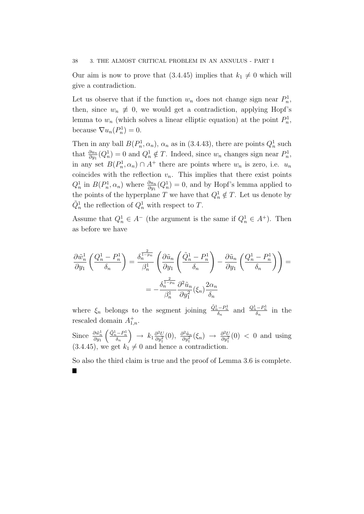#### 38 3. THE ALMOST CRITICAL PROBLEM IN AN ANNULUS - PART I

Our aim is now to prove that  $(3.4.45)$  implies that  $k_1 \neq 0$  which will give a contradiction.

Let us observe that if the function  $w_n$  does not change sign near  $P_n^1$ , then, since  $w_n \neq 0$ , we would get a contradiction, applying Hopf's lemma to  $w_n$  (which solves a linear elliptic equation) at the point  $P_n^1$ , because  $\nabla u_n(P_n^1) = 0$ .

Then in any ball  $B(P_n^1, \alpha_n)$ ,  $\alpha_n$  as in (3.4.43), there are points  $Q_n^1$  such that  $\frac{\partial u_n}{\partial y_1}(Q_n^1) = 0$  and  $Q_n^1 \notin T$ . Indeed, since  $w_n$  changes sign near  $P_n^1$ , in any set  $B(P_n^1, \alpha_n) \cap A^+$  there are points where  $w_n$  is zero, i.e.  $u_n$ coincides with the reflection  $v_n$ . This implies that there exist points  $Q_n^1$  in  $B(P_n^1, \alpha_n)$  where  $\frac{\partial u_n}{\partial y_1}(Q_n^1) = 0$ , and by Hopf's lemma applied to the points of the hyperplane T we have that  $Q_n^1 \notin T$ . Let us denote by  $\tilde{Q}_n^1$  the reflection of  $Q_n^1$  with respect to T.

Assume that  $Q_n^1 \in A^-$  (the argument is the same if  $Q_n^1 \in A^+$ ). Then as before we have

$$
\frac{\partial \tilde{w}_n^1}{\partial y_1} \left( \frac{Q_n^1 - P_n^1}{\delta_n} \right) = \frac{\delta_n^{\frac{2}{1 - p_n}}}{\beta_n^1} \left( \frac{\partial \tilde{u}_n}{\partial y_1} \left( \frac{\tilde{Q}_n^1 - P_n^1}{\delta_n} \right) - \frac{\partial \tilde{u}_n}{\partial y_1} \left( \frac{Q_n^1 - P_n^1}{\delta_n} \right) \right) =
$$

$$
= -\frac{\delta_n^{\frac{2}{1 - p_n}}}{\beta_n^1} \frac{\partial^2 \tilde{u}_n}{\partial y_1^2} (\xi_n) \frac{2\alpha_n}{\delta_n}
$$

where  $\xi_n$  belongs to the segment joining  $\frac{\tilde{Q}_n^1 - P_n^1}{\delta_n}$  and  $\frac{Q_n^1 - P_n^1}{\delta_n}$  in the rescaled domain  $A^+_{1,n}$ .

Since  $\frac{\partial \tilde{w}_n^1}{\partial y_1}$  $\begin{pmatrix} \tilde{Q}_n^1-P_n^1 \\ \delta_n \end{pmatrix}$  $\Big\} \rightarrow k_1 \frac{\partial^2 U}{\partial u^2}$  $\frac{\partial^2 U}{\partial y_1^2}(0), \frac{\partial^2 \tilde{u}_n}{\partial y_1^2}$  $\frac{\partial^2 \tilde{u}_n}{\partial y_1^2}(\xi_n) \rightarrow \frac{\partial^2 U}{\partial y_1^2}$  $\frac{\partial^2 U}{\partial y_1^2}(0)$  < 0 and using  $(3.4.45)$ , we get  $k_1 \neq 0$  and hence a contradiction.

So also the third claim is true and the proof of Lemma 3.6 is complete.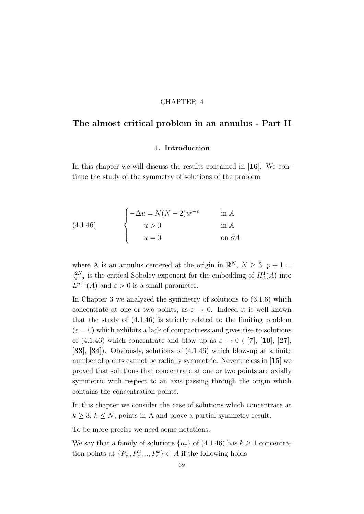## CHAPTER 4

# The almost critical problem in an annulus - Part II

### 1. Introduction

In this chapter we will discuss the results contained in [16]. We continue the study of the symmetry of solutions of the problem

(4.1.46) 
$$
\begin{cases}\n-\Delta u = N(N-2)u^{p-\varepsilon} & \text{in } A \\
u > 0 & \text{in } A \\
u = 0 & \text{on } \partial A\n\end{cases}
$$

where A is an annulus centered at the origin in  $\mathbb{R}^N$ ,  $N \geq 3$ ,  $p+1 =$  $2N$  $\frac{2N}{N-2}$  is the critical Sobolev exponent for the embedding of  $H_0^1(A)$  into  $L^{p+1}(A)$  and  $\varepsilon > 0$  is a small parameter.

In Chapter 3 we analyzed the symmetry of solutions to (3.1.6) which concentrate at one or two points, as  $\varepsilon \to 0$ . Indeed it is well known that the study of (4.1.46) is strictly related to the limiting problem  $(\varepsilon = 0)$  which exhibits a lack of compactness and gives rise to solutions of (4.1.46) which concentrate and blow up as  $\varepsilon \to 0$  ([7], [10], [27], [33], [34]). Obviously, solutions of (4.1.46) which blow-up at a finite number of points cannot be radially symmetric. Nevertheless in [15] we proved that solutions that concentrate at one or two points are axially symmetric with respect to an axis passing through the origin which contains the concentration points.

In this chapter we consider the case of solutions which concentrate at  $k \geq 3, k \leq N$ , points in A and prove a partial symmetry result.

To be more precise we need some notations.

We say that a family of solutions  $\{u_{\varepsilon}\}\$  of (4.1.46) has  $k \geq 1$  concentration points at  $\{P_{\varepsilon}^1, P_{\varepsilon}^2, ..., P_{\varepsilon}^k\} \subset A$  if the following holds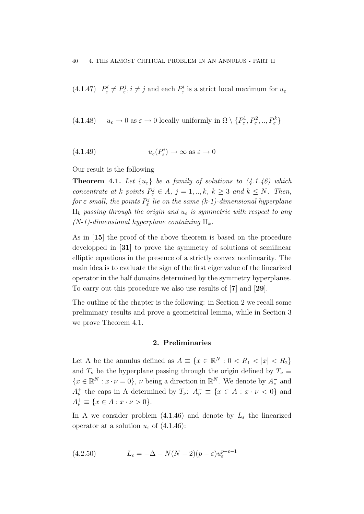(4.1.47)  $P_{\varepsilon}^{i} \neq P_{\varepsilon}^{j}$ ,  $i \neq j$  and each  $P_{\varepsilon}^{i}$  is a strict local maximum for  $u_{\varepsilon}$ 

(4.1.48) 
$$
u_{\varepsilon} \to 0
$$
 as  $\varepsilon \to 0$  locally uniformly in  $\Omega \setminus \{P_{\varepsilon}^1, P_{\varepsilon}^2, ..., P_{\varepsilon}^k\}$ 

(4.1.49) 
$$
u_{\varepsilon}(P_{\varepsilon}^{i}) \to \infty \text{ as } \varepsilon \to 0
$$

Our result is the following

**Theorem 4.1.** Let  $\{u_{\varepsilon}\}\$ be a family of solutions to  $(4.1.46)$  which concentrate at k points  $P^j_{\varepsilon} \in A$ ,  $j = 1, ..., k$ ,  $k \geq 3$  and  $k \leq N$ . Then, for  $\varepsilon$  small, the points  $P^j_\varepsilon$  lie on the same (k-1)-dimensional hyperplane  $\Pi_k$  passing through the origin and  $u_{\varepsilon}$  is symmetric with respect to any  $(N-1)$ -dimensional hyperplane containing  $\Pi_k$ .

As in [15] the proof of the above theorem is based on the procedure developped in [31] to prove the symmetry of solutions of semilinear elliptic equations in the presence of a strictly convex nonlinearity. The main idea is to evaluate the sign of the first eigenvalue of the linearized operator in the half domains determined by the symmetry hyperplanes. To carry out this procedure we also use results of [7] and [29].

The outline of the chapter is the following: in Section 2 we recall some preliminary results and prove a geometrical lemma, while in Section 3 we prove Theorem 4.1.

### 2. Preliminaries

Let A be the annulus defined as  $A \equiv \{x \in \mathbb{R}^N : 0 < R_1 < |x| < R_2\}$ and  $T_{\nu}$  be the hyperplane passing through the origin defined by  $T_{\nu} \equiv$  $\{x \in \mathbb{R}^N : x \cdot \nu = 0\}, \nu$  being a direction in  $\mathbb{R}^N$ . We denote by  $A_{\nu}^-$  and  $A_{\nu}^{+}$  the caps in A determined by  $T_{\nu}$ :  $A_{\nu}^{-} \equiv \{x \in A : x \cdot \nu < 0\}$  and  $A_{\nu}^{+} \equiv \{x \in A : x \cdot \nu > 0\}.$ 

In A we consider problem (4.1.46) and denote by  $L_{\varepsilon}$  the linearized operator at a solution  $u_{\varepsilon}$  of (4.1.46):

(4.2.50) 
$$
L_{\varepsilon} = -\Delta - N(N-2)(p - \varepsilon)u_{\varepsilon}^{p-\varepsilon-1}
$$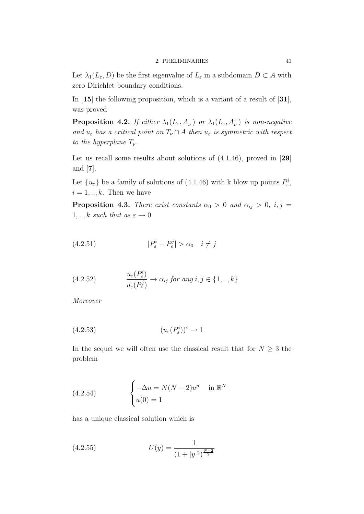Let  $\lambda_1(L_\varepsilon, D)$  be the first eigenvalue of  $L_\varepsilon$  in a subdomain  $D \subset A$  with zero Dirichlet boundary conditions.

In [15] the following proposition, which is a variant of a result of [31], was proved

**Proposition 4.2.** If either  $\lambda_1(L_\varepsilon, A_\nu^{-})$  or  $\lambda_1(L_\varepsilon, A_\nu^{+})$  is non-negative and  $u_{\varepsilon}$  has a critical point on  $T_{\nu} \cap A$  then  $u_{\varepsilon}$  is symmetric with respect to the hyperplane  $T_{\nu}$ .

Let us recall some results about solutions of  $(4.1.46)$ , proved in [29] and [7].

Let  $\{u_{\varepsilon}\}\$ be a family of solutions of  $(4.1.46)$  with k blow up points  $P_{\varepsilon}^i$ ,  $i = 1, \ldots, k$ . Then we have

**Proposition 4.3.** There exist constants  $\alpha_0 > 0$  and  $\alpha_{ij} > 0$ , i, j =  $1, \ldots, k$  such that as  $\varepsilon \to 0$ 

$$
(4.2.51) \t\t |P_{\varepsilon}^{i} - P_{\varepsilon}^{j}| > \alpha_{0} \quad i \neq j
$$

(4.2.52) 
$$
\frac{u_{\varepsilon}(P_{\varepsilon}^{i})}{u_{\varepsilon}(P_{\varepsilon}^{j})} \to \alpha_{ij} \text{ for any } i, j \in \{1, ..., k\}
$$

Moreover

$$
(4.2.53) \qquad (u_{\varepsilon}(P_{\varepsilon}^{i}))^{\varepsilon} \to 1
$$

In the sequel we will often use the classical result that for  $N \geq 3$  the problem

(4.2.54) 
$$
\begin{cases} -\Delta u = N(N-2)u^p & \text{in } \mathbb{R}^N \\ u(0) = 1 \end{cases}
$$

has a unique classical solution which is

(4.2.55) 
$$
U(y) = \frac{1}{(1+|y|^2)^{\frac{N-2}{2}}}
$$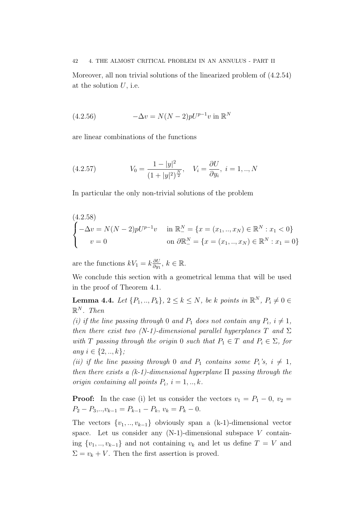42 4. THE ALMOST CRITICAL PROBLEM IN AN ANNULUS - PART II

Moreover, all non trivial solutions of the linearized problem of (4.2.54) at the solution  $U$ , i.e.

(4.2.56) 
$$
-\Delta v = N(N-2)pU^{p-1}v \text{ in } \mathbb{R}^N
$$

are linear combinations of the functions

(4.2.57) 
$$
V_0 = \frac{1 - |y|^2}{(1 + |y|^2)^{\frac{N}{2}}}, \quad V_i = \frac{\partial U}{\partial y_i}, \quad i = 1, ..., N
$$

In particular the only non-trivial solutions of the problem

$$
\begin{cases}\n(4.2.58) \\
-\Delta v = N(N-2)pU^{p-1}v & \text{in } \mathbb{R}^N = \{x = (x_1, ..., x_N) \in \mathbb{R}^N : x_1 < 0\} \\
v = 0 & \text{on } \partial \mathbb{R}^N = \{x = (x_1, ..., x_N) \in \mathbb{R}^N : x_1 = 0\}\n\end{cases}
$$

are the functions  $kV_1 = k \frac{\partial U}{\partial w_1}$  $\frac{\partial U}{\partial y_1}, k \in \mathbb{R}$ .

We conclude this section with a geometrical lemma that will be used in the proof of Theorem 4.1.

**Lemma 4.4.** Let  $\{P_1, ..., P_k\}$ ,  $2 \le k \le N$ , be k points in  $\mathbb{R}^N$ ,  $P_i \neq 0 \in$  $\mathbb{R}^N$ . Then

(i) if the line passing through 0 and  $P_1$  does not contain any  $P_i$ ,  $i \neq 1$ , then there exist two (N-1)-dimensional parallel hyperplanes T and  $\Sigma$ with T passing through the origin 0 such that  $P_1 \in T$  and  $P_i \in \Sigma$ , for any  $i \in \{2, ..., k\}$ ;

(ii) if the line passing through 0 and  $P_1$  contains some  $P_i$ 's,  $i \neq 1$ , then there exists a  $(k-1)$ -dimensional hyperplane  $\Pi$  passing through the origin containing all points  $P_i$ ,  $i = 1,..,k$ .

**Proof:** In the case (i) let us consider the vectors  $v_1 = P_1 - 0$ ,  $v_2 =$  $P_2 - P_3, \ldots, v_{k-1} = P_{k-1} - P_k, v_k = P_k - 0.$ 

The vectors  $\{v_1, \ldots, v_{k-1}\}$  obviously span a (k-1)-dimensional vector space. Let us consider any  $(N-1)$ -dimensional subspace V containing  $\{v_1, ..., v_{k-1}\}\$  and not containing  $v_k$  and let us define  $T = V$  and  $\Sigma = v_k + V$ . Then the first assertion is proved.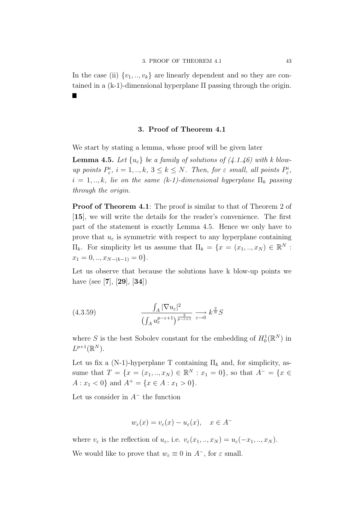In the case (ii)  $\{v_1, \ldots, v_k\}$  are linearly dependent and so they are contained in a  $(k-1)$ -dimensional hyperplane  $\Pi$  passing through the origin. ٦

## 3. Proof of Theorem 4.1

We start by stating a lemma, whose proof will be given later

**Lemma 4.5.** Let  $\{u_{\varepsilon}\}\$ be a family of solutions of  $(4.1.46)$  with k blowup points  $P_{\varepsilon}^i$ ,  $i = 1, ..., k$ ,  $3 \leq k \leq N$ . Then, for  $\varepsilon$  small, all points  $P_{\varepsilon}^i$ ,  $i = 1, \ldots, k$ , lie on the same (k-1)-dimensional hyperplane  $\Pi_k$  passing through the origin.

Proof of Theorem 4.1: The proof is similar to that of Theorem 2 of [15], we will write the details for the reader's convenience. The first part of the statement is exactly Lemma 4.5. Hence we only have to prove that  $u_{\varepsilon}$  is symmetric with respect to any hyperplane containing  $\Pi_k$ . For simplicity let us assume that  $\Pi_k = \{x = (x_1, \dots, x_N) \in \mathbb{R}^N :$  $x_1 = 0, \ldots, x_{N-(k-1)} = 0$ .

Let us observe that because the solutions have k blow-up points we have (see [7], [29], [34])

(4.3.59) 
$$
\frac{\int_A |\nabla u_{\varepsilon}|^2}{\left(\int_A u_{\varepsilon}^{p-\varepsilon+1}\right)^{\frac{2}{p-\varepsilon+1}}} \xrightarrow{\varepsilon \to 0} k^{\frac{2}{N}} S
$$

where S is the best Sobolev constant for the embedding of  $H_0^1(\mathbb{R}^N)$  in  $L^{p+1}(\mathbb{R}^N)$ .

Let us fix a (N-1)-hyperplane T containing  $\Pi_k$  and, for simplicity, assume that  $T = \{x = (x_1, ..., x_N) \in \mathbb{R}^N : x_1 = 0\}$ , so that  $A^- = \{x \in$  $A: x_1 < 0$  and  $A^+ = \{x \in A: x_1 > 0\}.$ 

Let us consider in  $A^-$  the function

$$
w_{\varepsilon}(x) = v_{\varepsilon}(x) - u_{\varepsilon}(x), \quad x \in A^-
$$

where  $v_{\varepsilon}$  is the reflection of  $u_{\varepsilon}$ , i.e.  $v_{\varepsilon}(x_1,..,x_N) = u_{\varepsilon}(-x_1,..,x_N)$ . We would like to prove that  $w_{\varepsilon} \equiv 0$  in  $A^-$ , for  $\varepsilon$  small.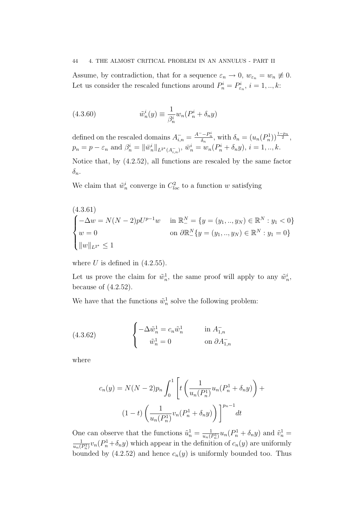### 44 4. THE ALMOST CRITICAL PROBLEM IN AN ANNULUS - PART II

Assume, by contradiction, that for a sequence  $\varepsilon_n \to 0$ ,  $w_{\varepsilon_n} = w_n \neq 0$ . Let us consider the rescaled functions around  $P_n^i = P_{\varepsilon_n}^i$ ,  $i = 1, ..., k$ :

(4.3.60) 
$$
\tilde{w}_n^i(y) \equiv \frac{1}{\beta_n^i} w_n (P_n^i + \delta_n y)
$$

defined on the rescaled domains  $A_{i,n}^- = \frac{A^--P_n^i}{\delta_n}$ , with  $\delta_n = (u_n(P_n^1))^{\frac{1-p_n}{2}}$ ,  $p_n = p - \varepsilon_n$  and  $\beta_n^i = ||\bar{w}_n^i||_{L^{2^*}(A_{i,n}^-)}, \ \bar{w}_n^i = w_n(P_n^i + \delta_n y), \ i = 1, ..., k.$ 

Notice that, by (4.2.52), all functions are rescaled by the same factor  $\delta_n$ .

We claim that  $\tilde{w}_n^i$  converge in  $C_{loc}^2$  to a function w satisfying

$$
\begin{cases}\n(4.3.61) \\
-\Delta w = N(N-2)pU^{p-1}w & \text{in } \mathbb{R}^N = \{y = (y_1, ..., y_N) \in \mathbb{R}^N : y_1 < 0\} \\
w = 0 & \text{on } \partial \mathbb{R}^N_-\{y = (y_1, ..., y_N) \in \mathbb{R}^N : y_1 = 0\} \\
\|w\|_{L^{2^*}} \le 1\n\end{cases}
$$

where  $U$  is defined in  $(4.2.55)$ .

Let us prove the claim for  $\tilde{w}_n^1$ , the same proof will apply to any  $\tilde{w}_n^i$ , because of  $(4.2.52)$ .

We have that the functions  $\tilde{w}_n^1$  solve the following problem:

(4.3.62) 
$$
\begin{cases} -\Delta \tilde{w}_n^1 = c_n \tilde{w}_n^1 & \text{in } A_{1,n}^- \\ \tilde{w}_n^1 = 0 & \text{on } \partial A_{1,n}^- \end{cases}
$$

where

$$
c_n(y) = N(N-2)p_n \int_0^1 \left[ t \left( \frac{1}{u_n(P_n^1)} u_n(P_n^1 + \delta_n y) \right) + (1-t) \left( \frac{1}{u_n(P_n^1)} v_n(P_n^1 + \delta_n y) \right) \right]^{p_n-1} dt
$$

One can observe that the functions  $\tilde{u}_n^1 = \frac{1}{u_n(i)}$  $\frac{1}{u_n(P_n^1)}u_n(P_n^1+\delta_n y)$  and  $\tilde{v}_n^1=$ 1  $\frac{1}{u_n(P_n^1)}v_n(P_n^1+\delta_n y)$  which appear in the definition of  $c_n(y)$  are uniformly bounded by (4.2.52) and hence  $c_n(y)$  is uniformly bounded too. Thus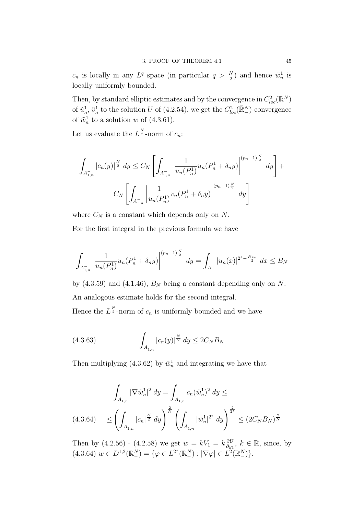$c_n$  is locally in any  $L^q$  space (in particular  $q > \frac{N}{2}$ ) and hence  $\tilde{w}_n^1$  is locally uniformly bounded.

Then, by standard elliptic estimates and by the convergence in  $C^2_{loc}(\mathbb{R}^N)$ of  $\tilde{u}_n^1$ ,  $\tilde{v}_n^1$  to the solution U of (4.2.54), we get the  $C^2_{loc}(\mathbb{R}^N_-)$ -convergence of  $\tilde{w}_n^1$  to a solution w of (4.3.61).

Let us evaluate the  $L^{\frac{N}{2}}$ -norm of  $c_n$ :

$$
\int_{A_{1,n}^-} |c_n(y)|^{\frac{N}{2}} dy \le C_N \left[ \int_{A_{1,n}^-} \left| \frac{1}{u_n(P_n^1)} u_n(P_n^1 + \delta_n y) \right|^{(p_n - 1)\frac{N}{2}} dy \right] +
$$
  

$$
C_N \left[ \int_{A_{1,n}^-} \left| \frac{1}{u_n(P_n^1)} v_n(P_n^1 + \delta_n y) \right|^{(p_n - 1)\frac{N}{2}} dy \right]
$$

where  $C_N$  is a constant which depends only on N. For the first integral in the previous formula we have

$$
\int_{A_{1,n}^{-}} \left| \frac{1}{u_n(P_n^1)} u_n(P_n^1 + \delta_n y) \right|^{(p_n - 1)\frac{N}{2}} dy = \int_{A^{-}} |u_n(x)|^{2^{*} - \frac{N\varepsilon_n}{2}} dx \leq B_N
$$

by  $(4.3.59)$  and  $(4.1.46)$ ,  $B_N$  being a constant depending only on N. An analogous estimate holds for the second integral.

Hence the  $L^{\frac{N}{2}}$ -norm of  $c_n$  is uniformly bounded and we have

(4.3.63) 
$$
\int_{A_{1,n}^-}|c_n(y)|^{\frac{N}{2}} dy \le 2C_N B_N
$$

Then multiplying (4.3.62) by  $\tilde{w}_n^1$  and integrating we have that

$$
\int_{A_{1,n}^{-}} |\nabla \tilde{w}_n^1|^2 dy = \int_{A_{1,n}^{-}} c_n (\tilde{w}_n^1)^2 dy \le
$$
\n
$$
(4.3.64) \le \left( \int_{A_{1,n}^{-}} |c_n|^{\frac{N}{2}} dy \right)^{\frac{2}{N}} \left( \int_{A_{1,n}^{-}} |\tilde{w}_n^1|^{2^*} dy \right)^{\frac{2}{2^*}} \le (2C_N B_N)^{\frac{2}{N}}
$$

Then by  $(4.2.56)$  -  $(4.2.58)$  we get  $w = kV_1 = k\frac{\partial U}{\partial w_1}$  $\frac{\partial U}{\partial y_1}$ ,  $k \in \mathbb{R}$ , since, by  $(4.3.64)$   $w \in D^{1,2}(\mathbb{R}^N_-) = \{ \varphi \in L^{2^*}(\mathbb{R}^N_-) : |\nabla \varphi| \in L^2(\mathbb{R}^N_-) \}.$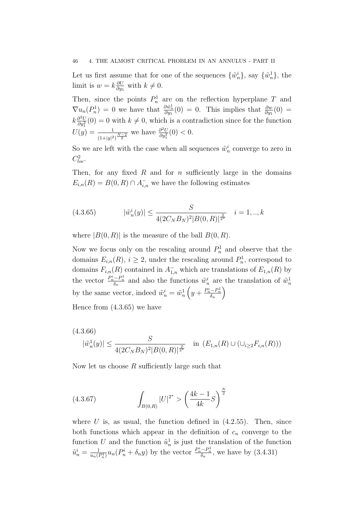#### 46 4. THE ALMOST CRITICAL PROBLEM IN AN ANNULUS - PART II

Let us first assume that for one of the sequences  $\{\tilde{w}_n^i\}$ , say  $\{\tilde{w}_n^1\}$ , the limit is  $w = k \frac{\partial U}{\partial w}$  $\frac{\partial U}{\partial y_1}$  with  $k \neq 0$ .

Then, since the points  $P_n^1$  are on the reflection hyperplane T and  $\nabla u_n(P_n^1) = 0$  we have that  $\frac{\partial \tilde{w}_n^1}{\partial y_1}(0) = 0$ . This implies that  $\frac{\partial w}{\partial y_1}(0) =$  $k\frac{\partial^2 U}{\partial u^2}$  $\frac{\partial^2 U}{\partial y_1^2}(0) = 0$  with  $k \neq 0$ , which is a contradiction since for the function  $U(y) = \frac{1}{(1+|y|^2)^{\frac{N-2}{2}}}$  we have  $\frac{\partial^2 U}{\partial y_1^2}$  $\frac{\partial^2 U}{\partial y_1^2}(0) < 0.$ 

So we are left with the case when all sequences  $\tilde{w}_n^i$  converge to zero in  $C^2_{loc}.$ 

Then, for any fixed  $R$  and for  $n$  sufficiently large in the domains  $E_{i,n}(R) = B(0, R) \cap A_{i,n}^-$  we have the following estimates

(4.3.65) 
$$
|\tilde{w}_n^i(y)| \le \frac{S}{4(2C_NB_N)^2|B(0,R)|^{\frac{2}{2^*}}} \quad i=1,..,k
$$

where  $|B(0, R)|$  is the measure of the ball  $B(0, R)$ .

Now we focus only on the rescaling around  $P_n^1$  and observe that the domains  $E_{i,n}(R)$ ,  $i \geq 2$ , under the rescaling around  $P_n^1$ , correspond to domains  $F_{i,n}(R)$  contained in  $\overline{A}_{1,n}^-$  which are translations of  $E_{1,n}(R)$  by the vector  $\frac{P_n^i - P_n^1}{\delta_n}$  and also the functions  $\tilde{w}_n^i$  are the translation of  $\tilde{w}_n^1$ by the same vector, indeed  $\tilde{w}_n^i = \tilde{w}_n^1\left(y + \frac{P_n^i - P_n^1}{\delta_n}\right)$  $\setminus$ 

Hence from (4.3.65) we have

$$
(4.3.66)
$$
  

$$
|\tilde{w}_n^1(y)| \le \frac{S}{4(2C_N B_N)^2 |B(0,R)|^{\frac{2}{2^*}}}
$$
 in  $(E_{1,n}(R) \cup (\cup_{i \ge 2} F_{i,n}(R)))$ 

Now let us choose  $R$  sufficiently large such that

(4.3.67) 
$$
\int_{B(0,R)} |U|^{2^*} > \left(\frac{4k-1}{4k}S\right)^{\frac{N}{2}}
$$

where  $U$  is, as usual, the function defined in  $(4.2.55)$ . Then, since both functions which appear in the definition of  $c_n$  converge to the function U and the function  $\tilde{u}_n^1$  is just the translation of the function  $\tilde{u}_n^i = \frac{1}{u_n(i)}$  $\frac{1}{u_n(P_n^1)}u_n(P_n^i + \delta_n y)$  by the vector  $\frac{P_n^i - P_n^1}{\delta_n}$ , we have by  $(3.4.31)$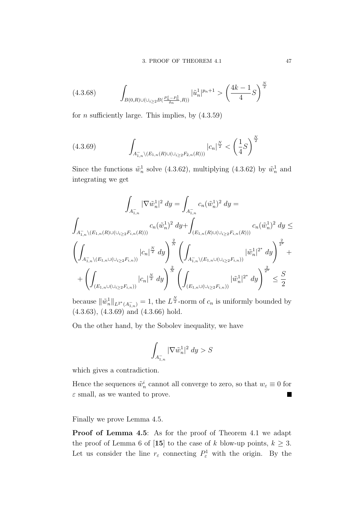$$
(4.3.68) \qquad \int_{B(0,R)\cup(\cup_{i\geq 2}B(\frac{P_n^i - P_n^1}{\delta_n},R))} |\tilde{u}_n^1|^{p_n+1} > \left(\frac{4k-1}{4}S\right)^{\frac{N}{2}}
$$

for *n* sufficiently large. This implies, by  $(4.3.59)$ 

$$
(4.3.69) \qquad \int_{A^-_{1,n}\setminus (E_{1,n}(R)\cup(\bigcup_{i\geq 2}F_{2,n}(R)))} |c_n|^{\frac{N}{2}} < \left(\frac{1}{4}S\right)^{\frac{N}{2}}
$$

Since the functions  $\tilde{w}_n^1$  solve (4.3.62), multiplying (4.3.62) by  $\tilde{w}_n^1$  and integrating we get

$$
\int_{A_{1,n}^-} |\nabla \tilde{w}_n^1|^2 dy = \int_{A_{1,n}^-} c_n (\tilde{w}_n^1)^2 dy =
$$
\n
$$
\int_{A_{1,n}^- \backslash (E_{1,n}(R) \cup (\cup_{i \ge 2} F_{i,n}(R)))} c_n (\tilde{w}_n^1)^2 dy + \int_{(E_{1,n}(R) \cup (\cup_{i \ge 2} F_{i,n}(R)))} c_n (\tilde{w}_n^1)^2 dy \le
$$
\n
$$
\left( \int_{A_{1,n}^- \backslash (E_{1,n} \cup (\cup_{i \ge 2} F_{i,n}))} |c_n|^{\frac{N}{2}} dy \right)^{\frac{2}{N}} \left( \int_{A_{1,n}^- \backslash (E_{1,n} \cup (\cup_{i \ge 2} F_{i,n}))} |\tilde{w}_n^1|^{2^*} dy \right)^{\frac{2}{2^*}} +
$$
\n
$$
+ \left( \int_{(E_{1,n} \cup (\cup_{i \ge 2} F_{i,n}))} |c_n|^{\frac{N}{2}} dy \right)^{\frac{2}{N}} \left( \int_{(E_{1,n} \cup (\cup_{i \ge 2} F_{i,n}))} |\tilde{w}_n^1|^{2^*} dy \right)^{\frac{2}{2^*}} \le \frac{S}{2}
$$

because  $\|\tilde{w}_n^1\|_{L^{2^*}(A_{1,n}^-)} = 1$ , the  $L^{\frac{N}{2}}$ -norm of  $c_n$  is uniformly bounded by (4.3.63), (4.3.69) and (4.3.66) hold.

On the other hand, by the Sobolev inequality, we have

$$
\int_{A_{1,n}^-} |\nabla \tilde w_n^1|^2\ dy > S
$$

which gives a contradiction.

Hence the sequences  $\tilde{w}_n^i$  cannot all converge to zero, so that  $w_{\varepsilon} \equiv 0$  for  $\varepsilon$  small, as we wanted to prove. ×

Finally we prove Lemma 4.5.

Proof of Lemma 4.5: As for the proof of Theorem 4.1 we adapt the proof of Lemma 6 of [15] to the case of k blow-up points,  $k \geq 3$ . Let us consider the line  $r_{\varepsilon}$  connecting  $P_{\varepsilon}^1$  with the origin. By the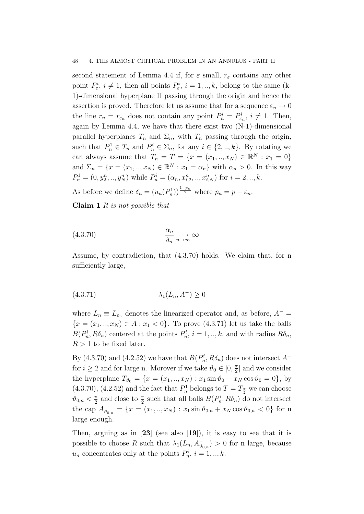second statement of Lemma 4.4 if, for  $\varepsilon$  small,  $r_{\varepsilon}$  contains any other point  $P_{\varepsilon}^{i}$ ,  $i \neq 1$ , then all points  $P_{\varepsilon}^{i}$ ,  $i = 1, ..., k$ , belong to the same (k-1)-dimensional hyperplane Π passing through the origin and hence the assertion is proved. Therefore let us assume that for a sequence  $\varepsilon_n \to 0$ the line  $r_n = r_{\epsilon_n}$  does not contain any point  $P_n^i = P_{\epsilon_n}^i$ ,  $i \neq 1$ . Then, again by Lemma 4.4, we have that there exist two (N-1)-dimensional parallel hyperplanes  $T_n$  and  $\Sigma_n$ , with  $T_n$  passing through the origin, such that  $P_n^1 \in T_n$  and  $P_n^i \in \Sigma_n$ , for any  $i \in \{2, ..., k\}$ . By rotating we can always assume that  $T_n = T = \{x = (x_1, ..., x_N) \in \mathbb{R}^N : x_1 = 0\}$ and  $\Sigma_n = \{x = (x_1, ..., x_N) \in \mathbb{R}^N : x_1 = \alpha_n\}$  with  $\alpha_n > 0$ . In this way  $P_n^1 = (0, y_2^n, ..., y_N^n)$  while  $P_n^i = (\alpha_n, x_{i,2}^n, ..., x_{i,N}^n)$  for  $i = 2, ..., k$ .

As before we define  $\delta_n = (u_n(P_n^1))^{\frac{1-p_n}{2}}$  where  $p_n = p - \varepsilon_n$ .

Claim 1 It is not possible that

(4.3.70) <sup>α</sup><sup>n</sup> δn −→n→∞ ∞

Assume, by contradiction, that (4.3.70) holds. We claim that, for n sufficiently large,

$$
(4.3.71)\qquad \qquad \lambda_1(L_n, A^-) \ge 0
$$

where  $L_n \equiv L_{\varepsilon_n}$  denotes the linearized operator and, as before,  $A^ {x = (x_1, ..., x_N) \in A : x_1 < 0}.$  To prove (4.3.71) let us take the balls  $B(P_n^i, R\delta_n)$  centered at the points  $P_n^i$ ,  $i = 1, ..., k$ , and with radius  $R\delta_n$ ,  $R > 1$  to be fixed later.

By (4.3.70) and (4.2.52) we have that  $B(P_n^i, R\delta_n)$  does not intersect  $A^$ for  $i \geq 2$  and for large n. Morover if we take  $\vartheta_0 \in [0, \frac{\pi}{2}]$  $\frac{\pi}{2}$  and we consider the hyperplane  $T_{\vartheta_0} = \{x = (x_1, ..., x_N) : x_1 \sin \vartheta_0 + x_N \cos \vartheta_0 = 0\}$ , by (4.3.70), (4.2.52) and the fact that  $P_n^1$  belongs to  $T = T_{\frac{\pi}{2}}$  we can choose  $\vartheta_{0,n} < \frac{\pi}{2}$  $\frac{\pi}{2}$  and close to  $\frac{\pi}{2}$  such that all balls  $B(P_n^i, R\delta_n)$  do not intersect the cap  $A_{\vartheta_{0,n}}^- = \{x = (x_1,..,x_N) : x_1 \sin \vartheta_{0,n} + x_N \cos \vartheta_{0,n} < 0\}$  for n large enough.

Then, arguing as in  $[23]$  (see also  $[19]$ ), it is easy to see that it is possible to choose R such that  $\lambda_1(L_n, A_{\vartheta_{0,n}}^-) > 0$  for n large, because  $u_n$  concentrates only at the points  $P_n^i$ ,  $i = 1, ..., k$ .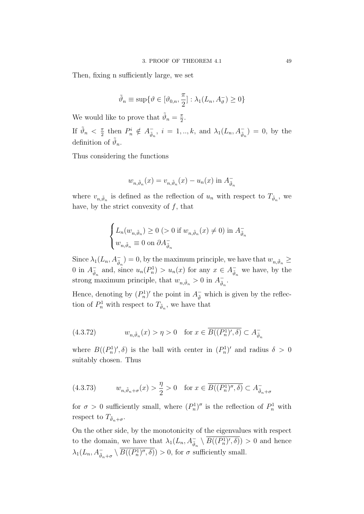Then, fixing n sufficiently large, we set

$$
\tilde{\vartheta}_n \equiv \sup \{ \vartheta \in [\vartheta_{0,n}, \frac{\pi}{2}] : \lambda_1(L_n, A_{\vartheta}^-) \ge 0 \}
$$

We would like to prove that  $\tilde{\vartheta}_n = \frac{\pi}{2}$  $\frac{\pi}{2}$ .

If  $\tilde{\vartheta}_n < \frac{\pi}{2}$  $\frac{\pi}{2}$  then  $P_n^i \notin A_{\tilde{\vartheta}_i}^ \bar{a}_n, i = 1, ..., k$ , and  $\lambda_1(L_n, A_{\bar{a}_n}^-) = 0$ , by the definition of  $\tilde{\vartheta}_n$ .

Thus considering the functions

$$
w_{n,\tilde{\vartheta}_n}(x) = v_{n,\tilde{\vartheta}_n}(x) - u_n(x) \text{ in } A_{\tilde{\vartheta}_n}
$$

where  $v_{n,\tilde{\vartheta}_n}$  is defined as the reflection of  $u_n$  with respect to  $T_{\tilde{\vartheta}_n}$ , we have, by the strict convexity of  $f$ , that

$$
\begin{cases} L_n(w_{n,\tilde{\vartheta}_n}) \ge 0 \ (>0 \text{ if } w_{n,\tilde{\vartheta}_n}(x) \ne 0) \text{ in } A_{\tilde{\vartheta}_n}^- \\ w_{n,\tilde{\vartheta}_n} \equiv 0 \text{ on } \partial A_{\tilde{\vartheta}_n}^- \end{cases}
$$

Since  $\lambda_1(L_n, A_{\tilde{\vartheta}_n}^-) = 0$ , by the maximum principle, we have that  $w_{n,\tilde{\vartheta}_n} \geq$ 0 in  $A_{\tilde{a}}^ \bar{v}_n$  and, since  $u_n(P_n^1) > u_n(x)$  for any  $x \in A_{\tilde{\theta}_n}^ \bar{\tilde{\vartheta}}_n$  we have, by the strong maximum principle, that  $w_{n,\tilde{\vartheta}_n} > 0$  in  $A_{\tilde{\vartheta}_n}^ \bar{\tilde{\vartheta}}_n$  .

Hence, denoting by  $(P_n^1)'$  the point in  $A_{\tilde{\theta}}^-$  which is given by the reflection of  $P_n^1$  with respect to  $T_{\tilde{\vartheta}_n}$ , we have that

(4.3.72) 
$$
w_{n,\tilde{\vartheta}_n}(x) > \eta > 0 \quad \text{for } x \in \overline{B((P_n^1)',\delta)} \subset A_{\tilde{\vartheta}_n}^-
$$

where  $B((P_n^1)', \delta)$  is the ball with center in  $(P_n^1)'$  and radius  $\delta > 0$ suitably chosen. Thus

(4.3.73) 
$$
w_{n,\tilde{\vartheta}_n+\sigma}(x) > \frac{\eta}{2} > 0 \quad \text{for } x \in \overline{B((P_n^1)'', \delta)} \subset A_{\tilde{\vartheta}_n+\sigma}^-
$$

for  $\sigma > 0$  sufficiently small, where  $(P_n^1)''$  is the reflection of  $P_n^1$  with respect to  $T_{\tilde{\vartheta}_n+\sigma}$ .

On the other side, by the monotonicity of the eigenvalues with respect to the domain, we have that  $\lambda_1(L_n, A_{\tilde{\vartheta}_n}^- \setminus \overline{B((P_n^1)', \delta)}) > 0$  and hence  $\lambda_1(L_n, A_{\tilde{\vartheta}_n+\sigma}^- \setminus \overline{B((P_n^1)'', \delta)}) > 0$ , for  $\sigma$  sufficiently small.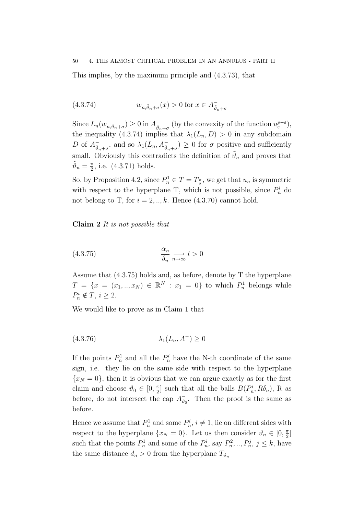This implies, by the maximum principle and (4.3.73), that

(4.3.74) 
$$
w_{n,\tilde{\vartheta}_n+\sigma}(x) > 0 \text{ for } x \in A_{\tilde{\vartheta}_n+\sigma}^-
$$

Since  $L_n(w_{n,\tilde{\vartheta}_n+\sigma}) \geq 0$  in  $A_{\tilde{\vartheta}_n}^ \bar{\tilde{\vartheta}}_n + \sigma$  (by the convexity of the function  $u_{\varepsilon}^{p-\varepsilon}$ ), the inequality (4.3.74) implies that  $\lambda_1(L_n, D) > 0$  in any subdomain D of  $A_{\tilde{\mathfrak{s}}}^ \bar{\phi}_{n+\sigma}$ , and so  $\lambda_1(L_n, A_{\tilde{\phi}_{n+\sigma}}) \geq 0$  for  $\sigma$  positive and sufficiently small. Obviously this contradicts the definition of  $\tilde{\vartheta}_n$  and proves that  $\tilde{\vartheta}_n = \frac{\pi}{2}$  $\frac{\pi}{2}$ , i.e. (4.3.71) holds.

So, by Proposition 4.2, since  $P_n^1 \in T = T_{\frac{\pi}{2}}$ , we get that  $u_n$  is symmetric with respect to the hyperplane T, which is not possible, since  $P_n^i$  do not belong to T, for  $i = 2, \ldots, k$ . Hence  $(4.3.70)$  cannot hold.

Claim 2 It is not possible that

(4.3.75) 
$$
\frac{\alpha_n}{\delta_n} \underset{n \to \infty}{\longrightarrow} l > 0
$$

Assume that (4.3.75) holds and, as before, denote by T the hyperplane  $T = \{x = (x_1, ..., x_N) \in \mathbb{R}^N : x_1 = 0\}$  to which  $P_n^1$  belongs while  $P_n^i \notin T, i \geq 2.$ 

We would like to prove as in Claim 1 that

$$
(4.3.76)\qquad \qquad \lambda_1(L_n, A^-) \ge 0
$$

If the points  $P_n^1$  and all the  $P_n^i$  have the N-th coordinate of the same sign, i.e. they lie on the same side with respect to the hyperplane  ${x_N = 0}$ , then it is obvious that we can argue exactly as for the first claim and choose  $\vartheta_0 \in [0, \frac{\pi}{2}]$  $\frac{\pi}{2}$  such that all the balls  $B(P_n^i, R\delta_n)$ , R as before, do not intersect the cap  $A_{\theta}^ \bar{v}_0$ . Then the proof is the same as before.

Hence we assume that  $P_n^1$  and some  $P_n^i$ ,  $i \neq 1$ , lie on different sides with respect to the hyperplane  $\{x_N = 0\}$ . Let us then consider  $\vartheta_n \in [0, \frac{\pi}{2}]$  $\frac{\pi}{2}$ ] such that the points  $P_n^1$  and some of the  $P_n^i$ , say  $P_n^2, ..., P_n^j, j \leq k$ , have the same distance  $d_n > 0$  from the hyperplane  $T_{\vartheta_n}$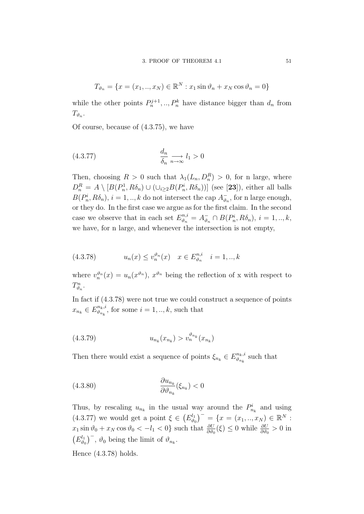$$
T_{\vartheta_n} = \{ x = (x_1, ..., x_N) \in \mathbb{R}^N : x_1 \sin \vartheta_n + x_N \cos \vartheta_n = 0 \}
$$

while the other points  $P_n^{j+1},..., P_n^k$  have distance bigger than  $d_n$  from  $T_{\vartheta_n}$ .

Of course, because of (4.3.75), we have

$$
\frac{d_n}{\delta_n} \underset{n \to \infty}{\longrightarrow} l_1 > 0
$$

Then, choosing  $R > 0$  such that  $\lambda_1(L_n, D_n^R) > 0$ , for n large, where  $D_n^R = A \setminus [B(P_n^1, R\delta_n) \cup (\cup_{i \geq 2} B(P_n^i, R\delta_n))]$  (see [23]), either all balls  $B(P_n^i, R\delta_n), i = 1, ..., k$  do not intersect the cap  $A_{\vartheta_i}^ \overline{\theta}_n$ , for n large enough, or they do. In the first case we argue as for the first claim. In the second case we observe that in each set  $E_{\vartheta_n}^{n,i} = A_{\vartheta_i}^{-}$  $\bar{v}_n \cap B(P_n^i, R\delta_n), i = 1, ..., k,$ we have, for n large, and whenever the intersection is not empty,

(4.3.78) 
$$
u_n(x) \le v_n^{\vartheta_n}(x) \quad x \in E_{\vartheta_n}^{n,i} \quad i = 1,..,k
$$

where  $v_n^{\vartheta_n}(x) = u_n(x^{\vartheta_n}), x^{\vartheta_n}$  being the reflection of x with respect to  $T_{\vartheta_n}^n$ .

In fact if (4.3.78) were not true we could construct a sequence of points  $x_{n_k} \in E_{\vartheta_{n_k}}^{n_k,i}$  $\mathcal{L}_{\vartheta_{n_k}}^{n_k, i}$ , for some  $i = 1, ..., k$ , such that

(4.3.79) 
$$
u_{n_k}(x_{n_k}) > v_n^{\vartheta_{n_k}}(x_{n_k})
$$

Then there would exist a sequence of points  $\xi_{n_k} \in E_{\vartheta_{n_k}}^{n_k,i}$  $\mathbb{E}_{\vartheta_{n_k}}^{n_k,i}$  such that

(4.3.80) 
$$
\frac{\partial u_{n_k}}{\partial \vartheta_{n_k}}(\xi_{n_k}) < 0
$$

Thus, by rescaling  $u_{n_k}$  in the usual way around the  $P_{n_k}^i$  and using  $(4.3.77)$  we would get a point  $\xi \in (E_{\theta}^{l_1})$  $\binom{d_1}{\vartheta_0}^{\dagger} = \{x = (x_1,..,x_N) \in \mathbb{R}^N :$  $x_1 \sin \vartheta_0 + x_N \cos \vartheta_0 < -l_1 < 0$  such that  $\frac{\partial U}{\partial \vartheta_0}(\xi) \le 0$  while  $\frac{\partial U}{\partial \vartheta_0} > 0$  in  $(E_{\vartheta_{\alpha}}^{l_1})$  $(\theta_0^{l_1})^{\dagger}$ ,  $\vartheta_0$  being the limit of  $\vartheta_{n_k}$ .

Hence (4.3.78) holds.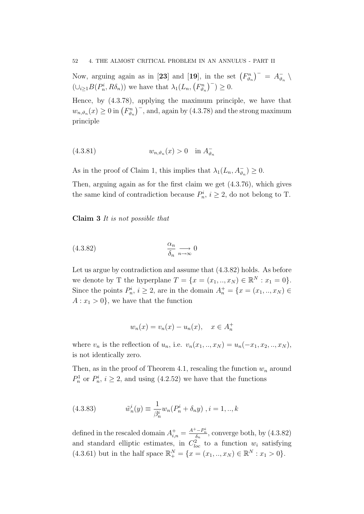52 4. THE ALMOST CRITICAL PROBLEM IN AN ANNULUS - PART II

Now, arguing again as in [23] and [19], in the set  $(F_{\vartheta_n}^n)^{-} = A_{\vartheta_n}^{-}$  $\frac{1}{\vartheta_n}$  $(\cup_{i\geq 1} B(P_n^i, R\delta_n))$  we have that  $\lambda_1(L_n, (F_{\vartheta_n}^n)^-) \geq 0$ .

Hence, by (4.3.78), applying the maximum principle, we have that  $w_{n,\vartheta_n}(x) \ge 0$  in  $(F_{\vartheta_n}^n)^{-1}$ , and, again by (4.3.78) and the strong maximum principle

$$
(4.3.81) \t\t w_{n,\vartheta_n}(x) > 0 \t\t in A_{\vartheta_n}^-
$$

As in the proof of Claim 1, this implies that  $\lambda_1(L_n, A_{\vartheta_n}^-) \geq 0$ .

Then, arguing again as for the first claim we get (4.3.76), which gives the same kind of contradiction because  $P_n^i$ ,  $i \geq 2$ , do not belong to T.

Claim 3 It is not possible that

$$
\frac{\alpha_n}{\delta_n} \underset{n \to \infty}{\longrightarrow} 0
$$

Let us argue by contradiction and assume that (4.3.82) holds. As before we denote by T the hyperplane  $T = \{x = (x_1, ..., x_N) \in \mathbb{R}^N : x_1 = 0\}.$ Since the points  $P_n^i$ ,  $i \geq 2$ , are in the domain  $A_n^+ = \{x = (x_1, ..., x_N) \in$  $A: x_1 > 0$ , we have that the function

$$
w_n(x) = v_n(x) - u_n(x), \quad x \in A_n^+
$$

where  $v_n$  is the reflection of  $u_n$ , i.e.  $v_n(x_1,..,x_N) = u_n(-x_1, x_2,..,x_N)$ , is not identically zero.

Then, as in the proof of Theorem 4.1, rescaling the function  $w_n$  around  $P_n^1$  or  $P_n^i$ ,  $i \geq 2$ , and using (4.2.52) we have that the functions

(4.3.83) 
$$
\tilde{w}_n^i(y) \equiv \frac{1}{\beta_n^i} w_n (P_n^i + \delta_n y) , i = 1, ..., k
$$

defined in the rescaled domain  $A_{i,n}^{+} = \frac{A^{+} - P_{n}^{i}}{\delta_{n}}$ , converge both, by (4.3.82) and standard elliptic estimates, in  $C_{loc}^2$  to a function  $w_i$  satisfying (4.3.61) but in the half space  $\mathbb{R}^N_+ = \{x = (x_1, ..., x_N) \in \mathbb{R}^N : x_1 > 0\}.$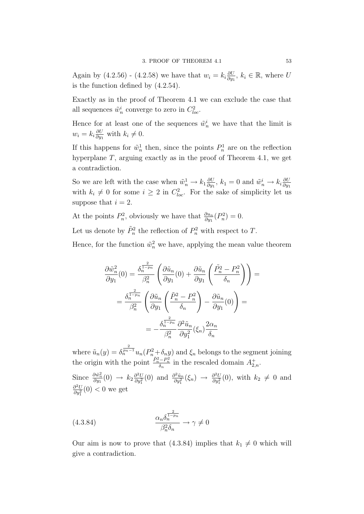Again by (4.2.56) - (4.2.58) we have that  $w_i = k_i \frac{\partial U}{\partial w_i}$  $\frac{\partial U}{\partial y_1}$ ,  $k_i \in \mathbb{R}$ , where U is the function defined by (4.2.54).

Exactly as in the proof of Theorem 4.1 we can exclude the case that all sequences  $\tilde{w}_n^i$  converge to zero in  $C_{loc}^2$ .

Hence for at least one of the sequences  $\tilde{w}_n^i$  we have that the limit is  $w_i = k_i \frac{\partial U}{\partial w_i}$  $\frac{\partial U}{\partial y_1}$  with  $k_i \neq 0$ .

If this happens for  $\tilde{w}_n^1$  then, since the points  $P_n^1$  are on the reflection hyperplane  $T$ , arguing exactly as in the proof of Theorem 4.1, we get a contradiction.

So we are left with the case when  $\tilde{w}_n^1 \to k_1 \frac{\partial U}{\partial y_1}$  $\frac{\partial U}{\partial y_1}$ ,  $k_1 = 0$  and  $\tilde{w}_n^i \rightarrow k_i \frac{\partial U}{\partial y_1}$  $\partial y_1$ with  $k_i \neq 0$  for some  $i \geq 2$  in  $C_{loc}^2$ . For the sake of simplicity let us suppose that  $i = 2$ .

At the points  $P_n^2$ , obviously we have that  $\frac{\partial u_n}{\partial y_1}(P_n^2) = 0$ .

Let us denote by  $\tilde{P}_n^2$  the reflection of  $P_n^2$  with respect to T.

Hence, for the function  $\tilde{w}_n^2$  we have, applying the mean value theorem

$$
\frac{\partial \tilde{w}_n^2}{\partial y_1}(0) = \frac{\delta_n^{\frac{2}{1-p_n}}}{\beta_n^2} \left( \frac{\partial \tilde{u}_n}{\partial y_1}(0) + \frac{\partial \tilde{u}_n}{\partial y_1} \left( \frac{\tilde{P}_n^2 - P_n^2}{\delta_n} \right) \right) =
$$

$$
= \frac{\delta_n^{\frac{2}{1-p_n}}}{\beta_n^2} \left( \frac{\partial \tilde{u}_n}{\partial y_1} \left( \frac{\tilde{P}_n^2 - P_n^2}{\delta_n} \right) - \frac{\partial \tilde{u}_n}{\partial y_1}(0) \right) =
$$

$$
= -\frac{\delta_n^{\frac{2}{1-p_n}}}{\beta_n^2} \frac{\partial^2 \tilde{u}_n}{\partial y_1^2} (\xi_n) \frac{2\alpha_n}{\delta_n}
$$

where  $\tilde{u}_n(y) = \delta_n^{\frac{2}{p_n-1}} u_n(P_n^2 + \delta_n y)$  and  $\xi_n$  belongs to the segment joining the origin with the point  $\frac{\tilde{P}_n^2 - P_n^2}{\delta_n}$  in the rescaled domain  $A_{2,n}^+$ .

Since  $\frac{\partial \tilde{w}_n^2}{\partial y_1}(0) \rightarrow k_2 \frac{\partial^2 U}{\partial y_1^2}$  $\frac{\partial^2 U}{\partial y_1^2}(0)$  and  $\frac{\partial^2 \tilde{u}_n}{\partial y_1^2}$  $\frac{\partial^2 \tilde{u}_n}{\partial y_1^2}(\xi_n) \rightarrow \frac{\partial^2 U}{\partial y_1^2}$  $\frac{\partial^2 U}{\partial y_1^2}(0)$ , with  $k_2 \neq 0$  and  $\partial^2 U$  $\frac{\partial^2 U}{\partial y_1^2}(0) < 0$  we get

(4.3.84) 
$$
\frac{\alpha_n \delta_n^{\frac{2}{1-p_n}}}{\beta_n^2 \delta_n} \to \gamma \neq 0
$$

Our aim is now to prove that (4.3.84) implies that  $k_1 \neq 0$  which will give a contradiction.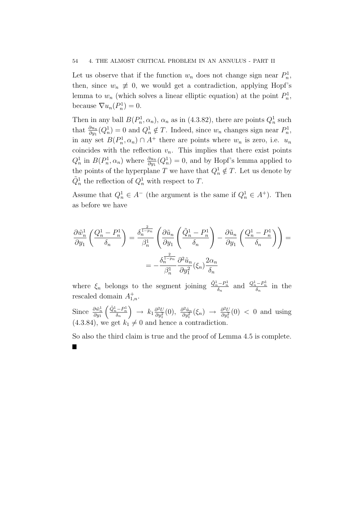#### 54 4. THE ALMOST CRITICAL PROBLEM IN AN ANNULUS - PART II

Let us observe that if the function  $w_n$  does not change sign near  $P_n^1$ , then, since  $w_n \neq 0$ , we would get a contradiction, applying Hopf's lemma to  $w_n$  (which solves a linear elliptic equation) at the point  $P_n^1$ , because  $\nabla u_n(P_n^1) = 0$ .

Then in any ball  $B(P_n^1, \alpha_n)$ ,  $\alpha_n$  as in (4.3.82), there are points  $Q_n^1$  such that  $\frac{\partial u_n}{\partial y_1}(Q_n^1) = 0$  and  $Q_n^1 \notin T$ . Indeed, since  $w_n$  changes sign near  $P_n^1$ , in any set  $B(P_n^1, \alpha_n) \cap A^+$  there are points where  $w_n$  is zero, i.e.  $u_n$ coincides with the reflection  $v_n$ . This implies that there exist points  $Q_n^1$  in  $B(P_n^1, \alpha_n)$  where  $\frac{\partial u_n}{\partial y_1}(Q_n^1) = 0$ , and by Hopf's lemma applied to the points of the hyperplane T we have that  $Q_n^1 \notin T$ . Let us denote by  $\tilde{Q}_n^1$  the reflection of  $Q_n^1$  with respect to T.

Assume that  $Q_n^1 \in A^-$  (the argument is the same if  $Q_n^1 \in A^+$ ). Then as before we have

$$
\frac{\partial \tilde{w}_n^1}{\partial y_1} \left( \frac{Q_n^1 - P_n^1}{\delta_n} \right) = \frac{\delta_n^{\frac{2}{1 - p_n}}}{\beta_n^1} \left( \frac{\partial \tilde{u}_n}{\partial y_1} \left( \frac{\tilde{Q}_n^1 - P_n^1}{\delta_n} \right) - \frac{\partial \tilde{u}_n}{\partial y_1} \left( \frac{Q_n^1 - P_n^1}{\delta_n} \right) \right) =
$$
  
=  $-\frac{\delta_n^{\frac{2}{1 - p_n}}}{\beta_n^1} \frac{\partial^2 \tilde{u}_n}{\partial y_1^2} (\xi_n) \frac{2\alpha_n}{\delta_n}$ 

where  $\xi_n$  belongs to the segment joining  $\frac{\tilde{Q}_n^1 - P_n^1}{\delta_n}$  and  $\frac{Q_n^1 - P_n^1}{\delta_n}$  in the rescaled domain  $A^+_{1,n}$ .

Since  $\frac{\partial \tilde{w}_n^1}{\partial y_1}$  $\begin{pmatrix} \tilde{Q}_n^1-P_n^1 \\ \delta_n \end{pmatrix}$  $\Big\} \rightarrow k_1 \frac{\partial^2 U}{\partial u^2}$  $\frac{\partial^2 U}{\partial y_1^2}(0), \frac{\partial^2 \tilde{u}_n}{\partial y_1^2}$  $\frac{\partial^2 \tilde{u}_n}{\partial y_1^2}(\xi_n) \rightarrow \frac{\partial^2 U}{\partial y_1^2}$  $\frac{\partial^2 U}{\partial y_1^2}(0)$  < 0 and using  $(4.3.84)$ , we get  $k_1 \neq 0$  and hence a contradiction.

So also the third claim is true and the proof of Lemma 4.5 is complete.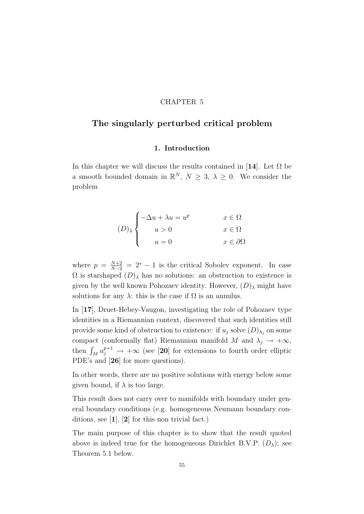## CHAPTER 5

# The singularly perturbed critical problem

## 1. Introduction

In this chapter we will discuss the results contained in [14]. Let  $\Omega$  be a smooth bounded domain in  $\mathbb{R}^N$ ,  $N \geq 3$ ,  $\lambda \geq 0$ . We consider the problem

$$
(D)_{\lambda} \begin{cases} -\Delta u + \lambda u = u^p & x \in \Omega \\ u > 0 & x \in \Omega \\ u = 0 & x \in \partial\Omega \end{cases}
$$

where  $p = \frac{N+2}{N-2} = 2^* - 1$  is the critical Sobolev exponent. In case  $\Omega$  is starshaped  $(D)$ <sub>λ</sub> has no solutions: an obstruction to existence is given by the well known Pohozaev identity. However,  $(D)$ <sub>λ</sub> might have solutions for any  $\lambda$ : this is the case if  $\Omega$  is an annulus.

In [17], Druet-Hebey-Vaugon, investigating the role of Pohozaev type identities in a Riemannian context, discovered that such identities still provide some kind of obstruction to existence: if  $u_j$  solve  $(D)_{\lambda_j}$  on some compact (conformally flat) Riemannian manifold M and  $\lambda_j \to +\infty$ , then  $\int_M u_j^{p+1} \to +\infty$  (see [20] for extensions to fourth order elliptic PDE's and [26] for more questions).

In other words, there are no positive solutions with energy below some given bound, if  $\lambda$  is too large.

This result does not carry over to manifolds with boundary under general boundary conditions (e.g. homogeneous Neumann boundary conditions, see  $\left[1\right]$ ,  $\left[2\right]$  for this non trivial fact.)

The main purpose of this chapter is to show that the result quoted above is indeed true for the homogeneous Dirichlet B.V.P.  $(D_{\lambda})$ ; see Theorem 5.1 below.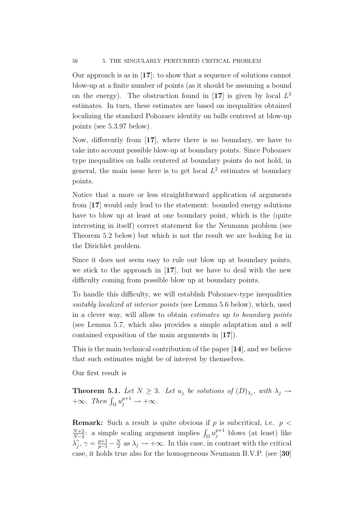Our approach is as in [17]: to show that a sequence of solutions cannot blow-up at a finite number of points (as it should be assuming a bound on the energy). The obstruction found in [17] is given by local  $L^2$ estimates. In turn, these estimates are based on inequalities obtained localizing the standard Pohozaev identity on balls centered at blow-up points (see 5.3.97 below).

Now, differently from [17], where there is no boundary, we have to take into account possible blow-up at boundary points. Since Pohozaev type inequalities on balls centered at boundary points do not hold, in general, the main issue here is to get local  $L^2$  estimates at boundary points.

Notice that a more or less straightforward application of arguments from [17] would only lead to the statement: bounded energy solutions have to blow up at least at one boundary point, which is the (quite interesting in itself) correct statement for the Neumann problem (see Theorem 5.2 below) but which is not the result we are looking for in the Dirichlet problem.

Since it does not seem easy to rule out blow up at boundary points, we stick to the approach in [17], but we have to deal with the new difficulty coming from possible blow up at boundary points.

To handle this difficulty, we will establish Pohozaev-type inequalities suitably localized at interior points (see Lemma 5.6 below), which, used in a clever way, will allow to obtain estimates up to boundary points (see Lemma 5.7, which also provides a simple adaptation and a self contained exposition of the main arguments in [17]).

This is the main technical contribution of the paper [14], and we believe that such estimates might be of interest by themselves.

Our first result is

**Theorem 5.1.** Let  $N \geq 3$ . Let  $u_j$  be solutions of  $(D)_{\lambda_j}$ , with  $\lambda_j \to$  $+\infty$ . Then  $\int_{\Omega} u_j^{p+1} \to +\infty$ .

**Remark:** Such a result is quite obvious if p is subcritical, i.e.  $p <$  $N+2$  $\frac{N+2}{N-2}$ : a simple scaling argument implies  $\int_{\Omega} u_j^{p+1}$  blows (at least) like  $\lambda_i^{\gamma}$  $j^{\gamma}, \gamma = \frac{p+1}{p-1} - \frac{N}{2}$  $\frac{N}{2}$  as  $\lambda_j \to +\infty$ . In this case, in contrast with the critical case, it holds true also for the homogeneous Neumann B.V.P. (see [30]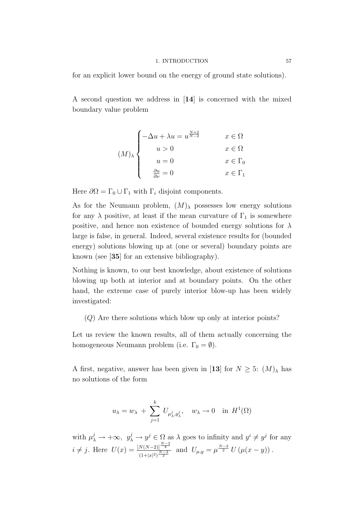#### 1. INTRODUCTION 57

for an explicit lower bound on the energy of ground state solutions).

A second question we address in [14] is concerned with the mixed boundary value problem

$$
(M)_{\lambda} \begin{cases}\n-\Delta u + \lambda u = u^{\frac{N+2}{N-2}} & x \in \Omega \\
u > 0 & x \in \Omega \\
u = 0 & x \in \Gamma_0 \\
\frac{\partial u}{\partial \nu} = 0 & x \in \Gamma_1\n\end{cases}
$$

Here  $\partial\Omega = \Gamma_0 \cup \Gamma_1$  with  $\Gamma_i$  disjoint components.

As for the Neumann problem,  $(M)_{\lambda}$  possesses low energy solutions for any  $\lambda$  positive, at least if the mean curvature of  $\Gamma_1$  is somewhere positive, and hence non existence of bounded energy solutions for  $\lambda$ large is false, in general. Indeed, several existence results for (bounded energy) solutions blowing up at (one or several) boundary points are known (see [35] for an extensive bibliography).

Nothing is known, to our best knowledge, about existence of solutions blowing up both at interior and at boundary points. On the other hand, the extreme case of purely interior blow-up has been widely investigated:

(Q) Are there solutions which blow up only at interior points?

Let us review the known results, all of them actually concerning the homogeneous Neumann problem (i.e.  $\Gamma_0 = \emptyset$ ).

A first, negative, answer has been given in [13] for  $N \geq 5$ :  $(M)_{\lambda}$  has no solutions of the form

$$
u_{\lambda} = w_{\lambda} + \sum_{j=1}^{k} U_{\mu_{\lambda}^{j}, y_{\lambda}^{j}}, \quad w_{\lambda} \to 0 \quad \text{in } H^{1}(\Omega)
$$

with  $\mu_\lambda^j \to +\infty$ ,  $y_\lambda^j \to y^j \in \Omega$  as  $\lambda$  goes to infinity and  $y^i \neq y^j$  for any  $i \neq j$ . Here  $U(x) = \frac{[N(N-2)]^{\frac{N-2}{4}}}{[N-2]^{N-2}}$  $\frac{N(N-2)!^{\frac{\gamma}{4}}}{(1+|x|^2)^{\frac{N-2}{2}}}$  and  $U_{\mu,y} = \mu^{\frac{N-2}{2}} U(\mu(x-y)).$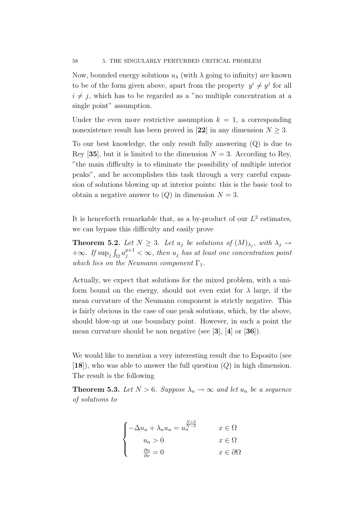Now, bounded energy solutions  $u_\lambda$  (with  $\lambda$  going to infinity) are known to be of the form given above, apart from the property  $y^{i} \neq y^{j}$  for all  $i \neq j$ , which has to be regarded as a "no multiple concentration at a single point" assumption.

Under the even more restrictive assumption  $k = 1$ , a corresponding nonexistence result has been proved in [22] in any dimension  $N \geq 3$ .

To our best knowledge, the only result fully answering (Q) is due to Rey [35], but it is limited to the dimension  $N = 3$ . According to Rey, "the main difficulty is to eliminate the possibility of multiple interior peaks", and he accomplishes this task through a very careful expansion of solutions blowing up at interior points: this is the basic tool to obtain a negative answer to  $(Q)$  in dimension  $N = 3$ .

It is henceforth remarkable that, as a by-product of our  $L^2$  estimates, we can bypass this difficulty and easily prove

**Theorem 5.2.** Let  $N \geq 3$ . Let  $u_j$  be solutions of  $(M)_{\lambda_j}$ , with  $\lambda_j \to$  $+\infty$ . If  $\sup_j \int_{\Omega} u_j^{p+1} < \infty$ , then  $u_j$  has at least one concentration point which lies on the Neumann component  $\Gamma_1$ .

Actually, we expect that solutions for the mixed problem, with a uniform bound on the energy, should not even exist for  $\lambda$  large, if the mean curvature of the Neumann component is strictly negative. This is fairly obvious in the case of one peak solutions, which, by the above, should blow-up at one boundary point. However, in such a point the mean curvature should be non negative (see [3], [4] or [36]).

We would like to mention a very interesting result due to Esposito (see  $[18]$ , who was able to answer the full question  $(Q)$  in high dimension. The result is the following

**Theorem 5.3.** Let  $N > 6$ . Suppose  $\lambda_n \to \infty$  and let  $u_n$  be a sequence of solutions to

$$
\begin{cases}\n-\Delta u_n + \lambda_n u_n = u_n^{\frac{N+2}{N-2}} & x \in \Omega \\
u_n > 0 & x \in \Omega \\
\frac{\partial u}{\partial \nu} = 0 & x \in \partial\Omega\n\end{cases}
$$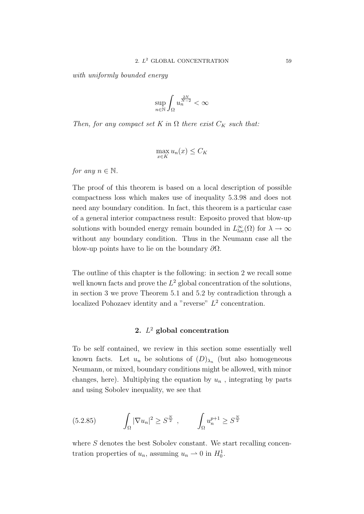with uniformly bounded energy

$$
\sup_{n \in \mathbb{N}} \int_{\Omega} u_n^{\frac{2N}{N-2}} < \infty
$$

Then, for any compact set K in  $\Omega$  there exist  $C_K$  such that:

$$
\max_{x \in K} u_n(x) \le C_K
$$

for any  $n \in \mathbb{N}$ .

The proof of this theorem is based on a local description of possible compactness loss which makes use of inequality 5.3.98 and does not need any boundary condition. In fact, this theorem is a particular case of a general interior compactness result: Esposito proved that blow-up solutions with bounded energy remain bounded in  $L^{\infty}_{loc}(\Omega)$  for  $\lambda \to \infty$ without any boundary condition. Thus in the Neumann case all the blow-up points have to lie on the boundary  $\partial\Omega$ .

The outline of this chapter is the following: in section 2 we recall some well known facts and prove the  $L^2$  global concentration of the solutions, in section 3 we prove Theorem 5.1 and 5.2 by contradiction through a localized Pohozaev identity and a "reverse"  $L^2$  concentration.

# 2.  $L^2$  global concentration

To be self contained, we review in this section some essentially well known facts. Let  $u_n$  be solutions of  $(D)_{\lambda_n}$  (but also homogeneous Neumann, or mixed, boundary conditions might be allowed, with minor changes, here). Multiplying the equation by  $u_n$ , integrating by parts and using Sobolev inequality, we see that

(5.2.85) 
$$
\int_{\Omega} |\nabla u_n|^2 \geq S^{\frac{N}{2}}, \qquad \int_{\Omega} u_n^{p+1} \geq S^{\frac{N}{2}}
$$

where  $S$  denotes the best Sobolev constant. We start recalling concentration properties of  $u_n$ , assuming  $u_n \rightharpoonup 0$  in  $H_0^1$ .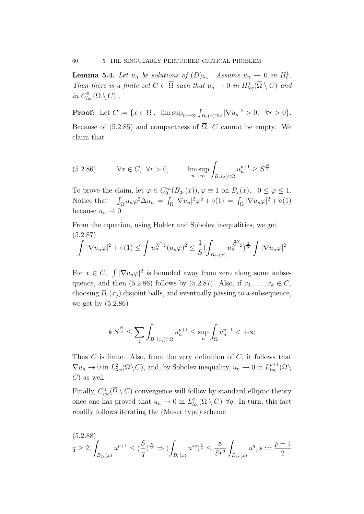**Lemma 5.4.** Let  $u_n$  be solutions of  $(D)_{\lambda_n}$ . Assume  $u_n \rightharpoonup 0$  in  $H_0^1$ . Then there is a finite set  $C \subset \overline{\Omega}$  such that  $u_n \to 0$  in  $H^1_{loc}(\overline{\Omega} \setminus C)$  and in  $C^0_{loc}(\overline{\Omega}\setminus C)$ .

**Proof:** Let  $C := \{x \in \overline{\Omega} : \limsup_{n \to \infty} \int_{B_r(x) \cap \Omega} |\nabla u_n|^2 > 0, \forall r > 0\}.$ Because of (5.2.85) and compactness of  $\overline{\Omega}$ , C cannot be empty. We claim that

(5.2.86) ∀x ∈ C, ∀r > 0, lim sup <sup>n</sup>→∞ <sup>Z</sup> Br(x)∩Ω u p+1 <sup>n</sup> ≥ S N 2

To prove the claim, let  $\varphi \in C_0^{\infty}(B_{2r}(x)), \varphi \equiv 1$  on  $B_r(x), 0 \le \varphi \le 1$ . Notice that  $-\int_{\Omega} u_n \varphi^2 \Delta u_n = \int_{\Omega} |\nabla u_n|^2 \varphi^2 + o(1) = \int_{\Omega} |\nabla u_n \varphi|^2 + o(1)$ because  $u_n \rightharpoonup 0$ 

From the equation, using Holder and Sobolev inequalities, we get (5.2.87)

$$
\int |\nabla u_n \varphi|^2 + o(1) \le \int u_n^{\frac{4}{N-2}} (u_n \varphi)^2 \le \frac{1}{S} (\int_{B_{2r}(x)} u_n^{\frac{2N}{N-2}})^{\frac{2}{N}} \int |\nabla u_n \varphi|^2
$$

For  $x \in C$ ,  $\int |\nabla u_n \varphi|^2$  is bounded away from zero along some subsequence, and then (5.2.86) follows by (5.2.87). Also, if  $x_1, \ldots, x_k \in C$ , choosing  $B_r(x_i)$  disjoint balls, and eventually passing to a subsequence, we get by (5.2.86)

$$
k S^{\frac{N}{2}} \le \sum_{j} \int_{B_r(x_j)\cap\Omega} u_n^{p+1} \le \sup_n \int_{\Omega} u_n^{p+1} < +\infty
$$

Thus  $C$  is finite. Also, from the very definition of  $C$ , it follows that  $\nabla u_n \to 0$  in  $L^2_{loc}(\Omega \setminus C)$ , and, by Sobolev inequality,  $u_n \to 0$  in  $L^{p+1}_{loc}(\Omega \setminus C)$  $C$ ) as well.

Finally,  $C^0_{loc}(\overline{\Omega} \setminus C)$  convergence will follow by standard elliptic theory once one has proved that  $u_n \to 0$  in  $L^q_{loc}(\Omega \setminus C)$   $\forall q$ . In turn, this fact readily follows iterating the (Moser type) scheme

$$
(5.2.88)
$$

$$
q \ge 2, \int_{B_{2r}(x)} u^{p+1} \le (\frac{S}{q})^{\frac{N}{2}} \Rightarrow (\int_{B_r(x)} u^{sq})^{\frac{1}{s}} \le \frac{8}{Sr^2} \int_{B_{2r}(x)} u^q, s := \frac{p+1}{2}
$$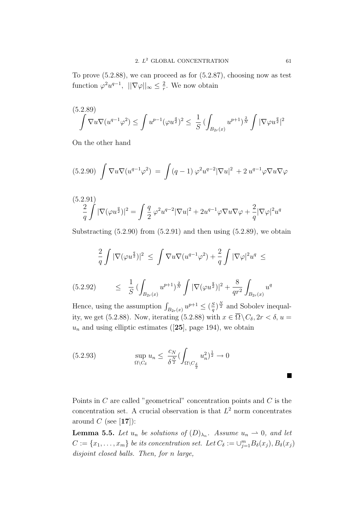To prove (5.2.88), we can proceed as for (5.2.87), choosing now as test function  $\varphi^2 u^{q-1}$ ,  $||\nabla \varphi||_{\infty} \leq \frac{2}{r}$  $\frac{2}{r}$ . We now obtain

$$
(5.2.89)
$$

$$
\int \nabla u \nabla (u^{q-1} \varphi^2) \le \int u^{p-1} (\varphi u^{\frac{q}{2}})^2 \le \frac{1}{S} \left( \int_{B_{2r}(x)} u^{p+1} \right)^{\frac{2}{N}} \int |\nabla \varphi u^{\frac{q}{2}}|^2
$$

On the other hand

$$
(5.2.90) \int \nabla u \nabla (u^{q-1} \varphi^2) = \int (q-1) \varphi^2 u^{q-2} |\nabla u|^2 + 2 u^{q-1} \varphi \nabla u \nabla \varphi
$$

$$
\frac{2}{q}\int |\nabla(\varphi u^{\frac{q}{2}})|^2 = \int \frac{q}{2} \varphi^2 u^{q-2} |\nabla u|^2 + 2u^{q-1}\varphi \nabla u \nabla \varphi + \frac{2}{q} |\nabla \varphi|^2 u^q
$$

Substracting  $(5.2.90)$  from  $(5.2.91)$  and then using  $(5.2.89)$ , we obtain

$$
\frac{2}{q}\int |\nabla(\varphi u^{\frac{q}{2}})|^2 \ \leq \ \int \nabla u \nabla(u^{q-1}\varphi^2) + \frac{2}{q}\int |\nabla \varphi|^2 u^q \ \leq
$$

$$
(5.2.92) \qquad \leq \frac{1}{S} \left( \int_{B_{2r}(x)} u^{p+1} \right)^{\frac{2}{N}} \int |\nabla (\varphi u^{\frac{q}{2}})|^2 + \frac{8}{qr^2} \int_{B_{2r}(x)} u^q
$$

Hence, using the assumption  $\int_{B_{2r}(x)} u^{p+1} \leq (\frac{S}{q})$  $\frac{S}{q}$ )<sup> $\frac{N}{2}$ </sup> and Sobolev inequality, we get (5.2.88). Now, iterating (5.2.88) with  $x \in \overline{\Omega} \setminus C_{\delta}, 2r < \delta, u =$  $u_n$  and using elliptic estimates ([25], page 194), we obtain

$$
(5.2.93) \quad \sup_{\Omega \setminus C_{\delta}} u_n \leq \frac{c_N}{\delta^{\frac{N}{2}}} (\int_{\Omega \setminus C_{\frac{\delta}{2}}} u_n^2)^{\frac{1}{2}} \to 0
$$

Points in  $C$  are called "geometrical" concentration points and  $C$  is the concentration set. A crucial observation is that  $L^2$  norm concentrates around  $C$  (see [17]):

**Lemma 5.5.** Let  $u_n$  be solutions of  $(D)_{\lambda_n}$ . Assume  $u_n \rightharpoonup 0$ , and let  $C := \{x_1, \ldots, x_m\}$  be its concentration set. Let  $C_{\delta} := \bigcup_{j=1}^m B_{\delta}(x_j), B_{\delta}(x_j)$ disjoint closed balls. Then, for n large,

 $\blacksquare$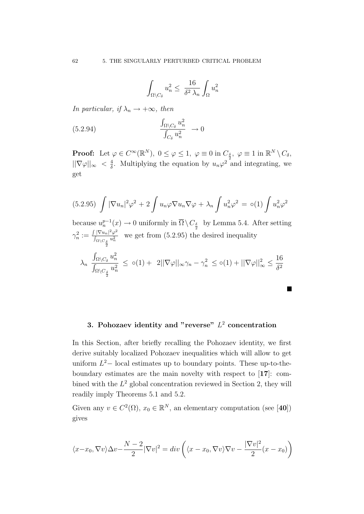$$
\int_{\Omega\setminus C_\delta} u_n^2 \le \ \frac{16}{\delta^2 \lambda_n} \int_{\Omega} u_n^2
$$

In particular, if  $\lambda_n \to +\infty$ , then

 $\overline{2}$ 

$$
(5.2.94) \qquad \qquad \frac{\int_{\Omega \setminus C_\delta} u_n^2}{\int_{C_\delta} u_n^2} \to 0
$$

**Proof:** Let  $\varphi \in C^{\infty}(\mathbb{R}^N)$ ,  $0 \le \varphi \le 1$ ,  $\varphi \equiv 0$  in  $C_{\frac{\delta}{2}}$ ,  $\varphi \equiv 1$  in  $\mathbb{R}^N \setminus C_{\delta}$ ,  $||\nabla \varphi||_{\infty} < \frac{4}{\delta}$  $\frac{4}{\delta}$ . Multiplying the equation by  $u_n\varphi^2$  and integrating, we get

$$
(5.2.95)\int |\nabla u_n|^2 \varphi^2 + 2 \int u_n \varphi \nabla u_n \nabla \varphi + \lambda_n \int u_n^2 \varphi^2 = o(1) \int u_n^2 \varphi^2
$$

because  $u_n^{p-1}(x) \to 0$  uniformly in  $\overline{\Omega} \setminus C_{\frac{\delta}{2}}$  by Lemma 5.4. After setting  $\gamma_n^2 := \frac{\int |\nabla u_n|^2 \varphi^2}{\int_{\Omega \setminus G} u_n^2}$  $\frac{|\nabla u_n|^2 \varphi^2}{\int_{\Omega \setminus C_{\underline{\delta}}} u_n^2}$  we get from (5.2.95) the desired inequality

$$
\lambda_n \frac{\int_{\Omega \setminus C_\delta} u_n^2}{\int_{\Omega \setminus C_{\frac{\delta}{2}}} u_n^2} \le o(1) + 2||\nabla \varphi||_{\infty} \gamma_n - \gamma_n^2 \le o(1) + ||\nabla \varphi||_{\infty}^2 \le \frac{16}{\delta^2}
$$

**In the case of the case of the case** 

# 3. Pohozaev identity and "reverse"  $L^2$  concentration

In this Section, after briefly recalling the Pohozaev identity, we first derive suitably localized Pohozaev inequalities which will allow to get uniform  $L^2-$  local estimates up to boundary points. These up-to-theboundary estimates are the main novelty with respect to [17]: combined with the  $L^2$  global concentration reviewed in Section 2, they will readily imply Theorems 5.1 and 5.2.

Given any  $v \in C^2(\Omega)$ ,  $x_0 \in \mathbb{R}^N$ , an elementary computation (see [40]) gives

$$
\langle x-x_0, \nabla v \rangle \Delta v - \frac{N-2}{2} |\nabla v|^2 = \operatorname{div} \left( \langle x-x_0, \nabla v \rangle \nabla v - \frac{|\nabla v|^2}{2} (x - x_0) \right)
$$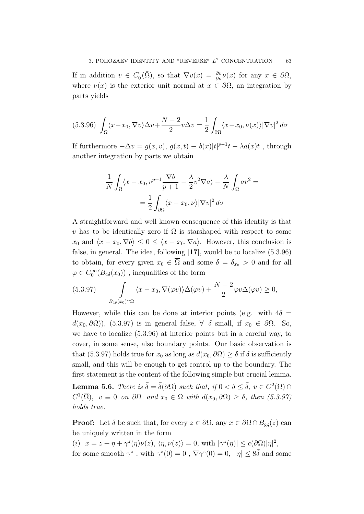If in addition  $v \in C_0^1(\overline{\Omega})$ , so that  $\nabla v(x) = \frac{\partial v}{\partial \nu} \nu(x)$  for any  $x \in \partial \Omega$ , where  $\nu(x)$  is the exterior unit normal at  $x \in \partial\Omega$ , an integration by parts yields

$$
(5.3.96)\ \int_{\Omega} \langle x - x_0, \nabla v \rangle \Delta v + \frac{N-2}{2} v \Delta v = \frac{1}{2} \int_{\partial \Omega} \langle x - x_0, \nu(x) \rangle |\nabla v|^2 d\sigma
$$

If furthermore  $-\Delta v = g(x, v)$ ,  $g(x, t) \equiv b(x)|t|^{p-1}t - \lambda a(x)t$ , through another integration by parts we obtain

$$
\frac{1}{N} \int_{\Omega} \langle x - x_0, v^{p+1} \frac{\nabla b}{p+1} - \frac{\lambda}{2} v^2 \nabla a \rangle - \frac{\lambda}{N} \int_{\Omega} a v^2 =
$$

$$
= \frac{1}{2} \int_{\partial \Omega} \langle x - x_0, v \rangle |\nabla v|^2 d\sigma
$$

A straightforward and well known consequence of this identity is that v has to be identically zero if  $\Omega$  is starshaped with respect to some  $x_0$  and  $\langle x - x_0, \nabla b \rangle \leq 0 \leq \langle x - x_0, \nabla a \rangle$ . However, this conclusion is false, in general. The idea, following [17], would be to localize (5.3.96) to obtain, for every given  $x_0 \in \overline{\Omega}$  and some  $\delta = \delta_{x_0} > 0$  and for all  $\varphi \in C_0^{\infty}(B_{4\delta}(x_0))$ , inequalities of the form

$$
(5.3.97) \qquad \int\limits_{B_{4\delta}(x_0)\cap\Omega} \langle x-x_0, \nabla(\varphi v)\rangle \Delta(\varphi v) + \frac{N-2}{2}\varphi v\Delta(\varphi v) \ge 0,
$$

However, while this can be done at interior points (e.g. with  $4\delta =$  $d(x_0, \partial\Omega)$ , (5.3.97) is in general false,  $\forall \delta$  small, if  $x_0 \in \partial\Omega$ . So, we have to localize (5.3.96) at interior points but in a careful way, to cover, in some sense, also boundary points. Our basic observation is that (5.3.97) holds true for  $x_0$  as long as  $d(x_0, \partial\Omega) > \delta$  if  $\delta$  is sufficiently small, and this will be enough to get control up to the boundary. The first statement is the content of the following simple but crucial lemma. **Lemma 5.6.** There is  $\bar{\delta} = \bar{\delta}(\partial\Omega)$  such that, if  $0 < \delta \leq \bar{\delta}$ ,  $v \in C^2(\Omega)$  $C^1(\overline{\Omega})$ ,  $v \equiv 0$  on  $\partial\Omega$  and  $x_0 \in \Omega$  with  $d(x_0, \partial\Omega) \ge \delta$ , then  $(5.3.97)$ holds true.

**Proof:** Let  $\bar{\delta}$  be such that, for every  $z \in \partial\Omega$ , any  $x \in \partial\Omega \cap B_{8\bar{\delta}}(z)$  can be uniquely written in the form

(i)  $x = z + \eta + \gamma^{z}(\eta)\nu(z), \langle \eta, \nu(z) \rangle = 0$ , with  $|\gamma^{z}(\eta)| \leq c(\partial \Omega)|\eta|^{2}$ , for some smooth  $\gamma^z$ , with  $\gamma^z(0) = 0$ ,  $\nabla \gamma^z(0) = 0$ ,  $|\eta| \leq 8\bar{\delta}$  and some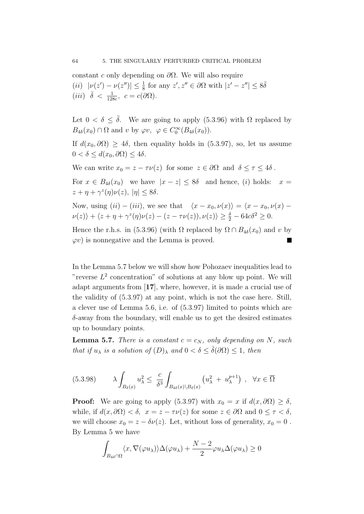constant c only depending on  $\partial\Omega$ . We will also require (*ii*)  $|\nu(z') - \nu(z'')| \leq \frac{1}{8}$  for any  $z', z'' \in \partial\Omega$  with  $|z' - z''| \leq 8\overline{\delta}$ (iii)  $\bar{\delta} < \frac{1}{128c}, \ c = c(\partial \Omega).$ 

Let  $0 < \delta \leq \overline{\delta}$ . We are going to apply (5.3.96) with  $\Omega$  replaced by  $B_{4\delta}(x_0) \cap \Omega$  and v by  $\varphi v, \varphi \in C_0^{\infty}(B_{4\delta}(x_0)).$ 

If  $d(x_0, \partial \Omega) \geq 4\delta$ , then equality holds in (5.3.97), so, let us assume  $0 < \delta \leq d(x_0, \partial \Omega) \leq 4\delta.$ 

We can write  $x_0 = z - \tau \nu(z)$  for some  $z \in \partial \Omega$  and  $\delta \le \tau \le 4\delta$ .

For  $x \in B_{4\delta}(x_0)$  we have  $|x - z| \le 8\delta$  and hence, (i) holds:  $x =$  $z + \eta + \gamma^z(\eta)\nu(z), |\eta| \le 8\delta.$ 

Now, using  $(ii) - (iii)$ , we see that  $\langle x - x_0, \nu(x) \rangle = \langle x - x_0, \nu(x) \nu(z)$ ) +  $\langle z + \eta + \gamma^z(\eta)\nu(z) - (z - \tau\nu(z)), \nu(z) \rangle \ge \frac{\delta}{2} - 64c\delta^2 \ge 0.$ 

Hence the r.h.s. in (5.3.96) (with  $\Omega$  replaced by  $\Omega \cap B_{4\delta}(x_0)$  and v by  $\varphi v$ ) is nonnegative and the Lemma is proved.

In the Lemma 5.7 below we will show how Pohozaev inequalities lead to "reverse  $L^2$  concentration" of solutions at any blow up point. We will adapt arguments from [17], where, however, it is made a crucial use of the validity of (5.3.97) at any point, which is not the case here. Still, a clever use of Lemma 5.6, i.e. of (5.3.97) limited to points which are  $\delta$ -away from the boundary, will enable us to get the desired estimates up to boundary points.

**Lemma 5.7.** There is a constant  $c = c_N$ , only depending on N, such that if  $u_{\lambda}$  is a solution of  $(D)_{\lambda}$  and  $0 < \delta \leq \overline{\delta}(\partial \Omega) \leq 1$ , then

$$
(5.3.98) \qquad \lambda \int_{B_{\delta}(x)} u_{\lambda}^{2} \leq \frac{c}{\delta^{3}} \int_{B_{4\delta}(x) \setminus B_{\delta}(x)} \left( u_{\lambda}^{2} + u_{\lambda}^{p+1} \right) , \quad \forall x \in \overline{\Omega}
$$

**Proof:** We are going to apply (5.3.97) with  $x_0 = x$  if  $d(x, \partial\Omega) \ge \delta$ , while, if  $d(x, \partial \Omega) < \delta$ ,  $x = z - \tau \nu(z)$  for some  $z \in \partial \Omega$  and  $0 \le \tau < \delta$ . we will choose  $x_0 = z - \delta \nu(z)$ . Let, without loss of generality,  $x_0 = 0$ . By Lemma 5 we have

$$
\int_{B_{4\delta}\cap\Omega} \langle x, \nabla(\varphi u_\lambda)\rangle \Delta(\varphi u_\lambda) + \frac{N-2}{2}\varphi u_\lambda \Delta(\varphi u_\lambda) \ge 0
$$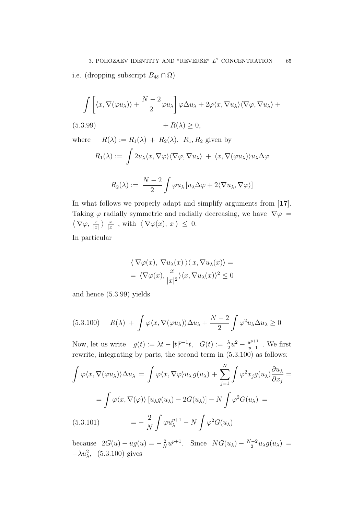$$
\int \left[ \langle x, \nabla(\varphi u_\lambda) \rangle + \frac{N-2}{2} \varphi u_\lambda \right] \varphi \Delta u_\lambda + 2 \varphi \langle x, \nabla u_\lambda \rangle \langle \nabla \varphi, \nabla u_\lambda \rangle +
$$

(5.3.99)  $+ R(\lambda) \ge 0,$ 

where  $R(\lambda) := R_1(\lambda) + R_2(\lambda)$ ,  $R_1, R_2$  given by

$$
R_1(\lambda) := \int 2u_\lambda \langle x, \nabla \varphi \rangle \langle \nabla \varphi, \nabla u_\lambda \rangle + \langle x, \nabla(\varphi u_\lambda) \rangle u_\lambda \Delta \varphi
$$

$$
R_2(\lambda) := \frac{N-2}{2} \int \varphi u_\lambda \left[ u_\lambda \Delta \varphi + 2 \langle \nabla u_\lambda, \nabla \varphi \rangle \right]
$$

In what follows we properly adapt and simplify arguments from [17]. Taking  $\varphi$  radially symmetric and radially decreasing, we have  $\nabla \varphi =$  $\langle \nabla \varphi, \frac{x}{|x|} \rangle \frac{x}{|x|}$  $\frac{x}{|x|}$ , with  $\langle \nabla \varphi(x), x \rangle \leq 0.$ 

In particular

$$
\langle \nabla \varphi(x), \nabla u_{\lambda}(x) \rangle \langle x, \nabla u_{\lambda}(x) \rangle =
$$
  
=  $\langle \nabla \varphi(x), \frac{x}{|x|^2} \rangle \langle x, \nabla u_{\lambda}(x) \rangle^2 \le 0$ 

and hence (5.3.99) yields

$$
(5.3.100) \t R(\lambda) + \int \varphi\langle x, \nabla(\varphi u_\lambda) \rangle \Delta u_\lambda + \frac{N-2}{2} \int \varphi^2 u_\lambda \Delta u_\lambda \ge 0
$$

Now, let us write  $g(t) := \lambda t - |t|^{p-1}t$ ,  $G(t) := \frac{\lambda}{2}u^2 - \frac{u^{p+1}}{p+1}$ . We first rewrite, integrating by parts, the second term in (5.3.100) as follows:

$$
\int \varphi \langle x, \nabla(\varphi u_{\lambda}) \rangle \Delta u_{\lambda} = \int \varphi \langle x, \nabla \varphi \rangle u_{\lambda} g(u_{\lambda}) + \sum_{j=1}^{N} \int \varphi^{2} x_{j} g(u_{\lambda}) \frac{\partial u_{\lambda}}{\partial x_{j}} =
$$

$$
= \int \varphi \langle x, \nabla(\varphi) \rangle [u_{\lambda} g(u_{\lambda}) - 2G(u_{\lambda})] - N \int \varphi^{2} G(u_{\lambda}) =
$$

$$
(5.3.101) = -\frac{2}{N} \int \varphi u_{\lambda}^{p+1} - N \int \varphi^{2} G(u_{\lambda})
$$

because  $2G(u) - ug(u) = -\frac{2}{\lambda}$  $\frac{2}{N}u^{p+1}$ . Since  $NG(u_\lambda) - \frac{N-2}{2}$  $\frac{-2}{2}u_{\lambda}g(u_{\lambda}) =$  $-\lambda u_\lambda^2$ , (5.3.100) gives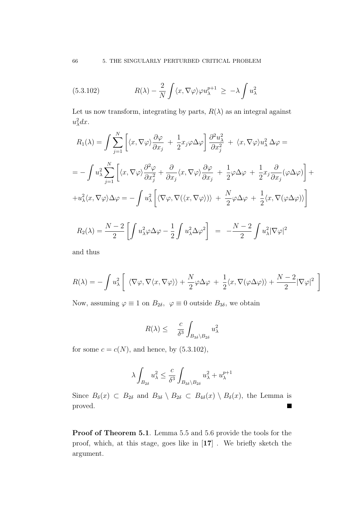(5.3.102) 
$$
R(\lambda) - \frac{2}{N} \int \langle x, \nabla \varphi \rangle \varphi u_{\lambda}^{p+1} \geq -\lambda \int u_{\lambda}^2
$$

Let us now transform, integrating by parts,  $R(\lambda)$  as an integral against  $u_{\lambda}^2 dx$ .

$$
R_1(\lambda) = \int \sum_{j=1}^N \left[ \langle x, \nabla \varphi \rangle \frac{\partial \varphi}{\partial x_j} + \frac{1}{2} x_j \varphi \Delta \varphi \right] \frac{\partial^2 u_{\lambda}^2}{\partial x_j^2} + \langle x, \nabla \varphi \rangle u_{\lambda}^2 \Delta \varphi =
$$
  
\n
$$
= - \int u_{\lambda}^2 \sum_{j=1}^N \left[ \langle x, \nabla \varphi \rangle \frac{\partial^2 \varphi}{\partial x_j^2} + \frac{\partial}{\partial x_j} \langle x, \nabla \varphi \rangle \frac{\partial \varphi}{\partial x_j} + \frac{1}{2} \varphi \Delta \varphi + \frac{1}{2} x_j \frac{\partial}{\partial x_j} (\varphi \Delta \varphi) \right] +
$$
  
\n
$$
+ u_{\lambda}^2 \langle x, \nabla \varphi \rangle \Delta \varphi = - \int u_{\lambda}^2 \left[ \langle \nabla \varphi, \nabla (\langle x, \nabla \varphi \rangle) \rangle + \frac{N}{2} \varphi \Delta \varphi + \frac{1}{2} \langle x, \nabla (\varphi \Delta \varphi) \rangle \right]
$$
  
\n
$$
R_2(\lambda) = \frac{N-2}{2} \left[ \int u_{\lambda}^2 \varphi \Delta \varphi - \frac{1}{2} \int u_{\lambda}^2 \Delta \varphi^2 \right] = -\frac{N-2}{2} \int u_{\lambda}^2 |\nabla \varphi|^2
$$

and thus

$$
R(\lambda) = -\int u_{\lambda}^{2} \left[ \langle \nabla \varphi, \nabla \langle x, \nabla \varphi \rangle \rangle + \frac{N}{2} \varphi \Delta \varphi + \frac{1}{2} \langle x, \nabla (\varphi \Delta \varphi) \rangle + \frac{N-2}{2} |\nabla \varphi|^{2} \right]
$$

Now, assuming  $\varphi \equiv 1$  on  $B_{2\delta}$ ,  $\varphi \equiv 0$  outside  $B_{3\delta}$ , we obtain

$$
R(\lambda) \leq \frac{c}{\delta^3} \int_{B_{3\delta} \setminus B_{2\delta}} u_{\lambda}^2
$$

for some  $c = c(N)$ , and hence, by  $(5.3.102)$ ,

$$
\lambda \int_{B_{2\delta}} u_{\lambda}^2 \le \frac{c}{\delta^3} \int_{B_{3\delta} \setminus B_{2\delta}} u_{\lambda}^2 + u_{\lambda}^{p+1}
$$

Since  $B_\delta(x) \subset B_{2\delta}$  and  $B_{3\delta} \setminus B_{2\delta} \subset B_{4\delta}(x) \setminus B_{\delta}(x)$ , the Lemma is proved.  $\blacksquare$ 

Proof of Theorem 5.1. Lemma 5.5 and 5.6 provide the tools for the proof, which, at this stage, goes like in [17] . We briefly sketch the argument.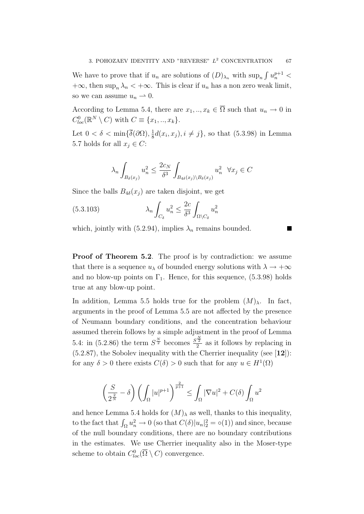We have to prove that if  $u_n$  are solutions of  $(D)_{\lambda_n}$  with  $\sup_n \int u_n^{p+1}$  <  $+\infty$ , then sup<sub>n</sub>  $\lambda_n < +\infty$ . This is clear if  $u_n$  has a non zero weak limit, so we can assume  $u_n \rightharpoonup 0$ .

According to Lemma 5.4, there are  $x_1, ..., x_k \in \overline{\Omega}$  such that  $u_n \to 0$  in  $C^0_{loc}(\mathbb{R}^N\setminus C)$  with  $C\equiv \{x_1,..,x_k\}.$ 

Let  $0 < \delta < \min\{\overline{\delta}(\partial\Omega), \frac{1}{8}\}$  $\frac{1}{8}d(x_i, x_j), i \neq j\},$  so that (5.3.98) in Lemma 5.7 holds for all  $x_i \in C$ :

$$
\lambda_n \int_{B_\delta(x_j)} u_n^2 \le \frac{2c_N}{\delta^3} \int_{B_{4\delta}(x_j) \setminus B_\delta(x_j)} u_n^2 \quad \forall x_j \in C
$$

Since the balls  $B_{4\delta}(x_i)$  are taken disjoint, we get

(5.3.103) 
$$
\lambda_n \int_{C_\delta} u_n^2 \leq \frac{2c}{\delta^3} \int_{\Omega \setminus C_\delta} u_n^2
$$

which, jointly with (5.2.94), implies  $\lambda_n$  remains bounded.

**Proof of Theorem 5.2.** The proof is by contradiction: we assume that there is a sequence  $u_\lambda$  of bounded energy solutions with  $\lambda \to +\infty$ and no blow-up points on  $\Gamma_1$ . Hence, for this sequence, (5.3.98) holds true at any blow-up point.

In addition, Lemma 5.5 holds true for the problem  $(M)_{\lambda}$ . In fact, arguments in the proof of Lemma 5.5 are not affected by the presence of Neumann boundary conditions, and the concentration behaviour assumed therein follows by a simple adjustment in the proof of Lemma 5.4: in (5.2.86) the term  $S^{\frac{N}{2}}$  becomes  $\frac{S^{\frac{N}{2}}}{2}$  $\frac{1}{2}$  as it follows by replacing in  $(5.2.87)$ , the Sobolev inequality with the Cherrier inequality (see [12]): for any  $\delta > 0$  there exists  $C(\delta) > 0$  such that for any  $u \in H^1(\Omega)$ 

$$
\left(\frac{S}{2^{\frac{2}{N}}}-\delta\right)\left(\int_{\Omega}|u|^{p+1}\right)^{\frac{2}{p+1}} \leq \int_{\Omega}|\nabla u|^{2} + C(\delta)\int_{\Omega}u^{2}
$$

and hence Lemma 5.4 holds for  $(M)_{\lambda}$  as well, thanks to this inequality, to the fact that  $\int_{\Omega} u_n^2 \to 0$  (so that  $C(\delta)|u_n|^2 = o(1)$ ) and since, because of the null boundary conditions, there are no boundary contributions in the estimates. We use Cherrier inequality also in the Moser-type scheme to obtain  $C^0_{loc}(\overline{\Omega} \setminus C)$  convergence.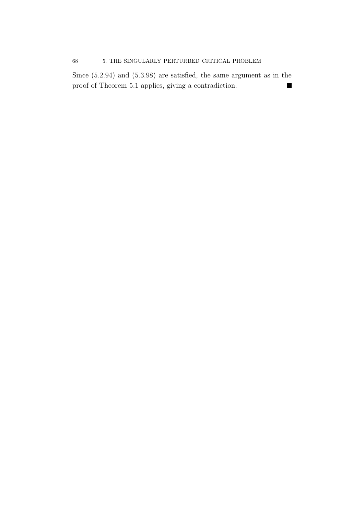## 68 5. THE SINGULARLY PERTURBED CRITICAL PROBLEM

Since (5.2.94) and (5.3.98) are satisfied, the same argument as in the proof of Theorem 5.1 applies, giving a contradiction. $\blacksquare$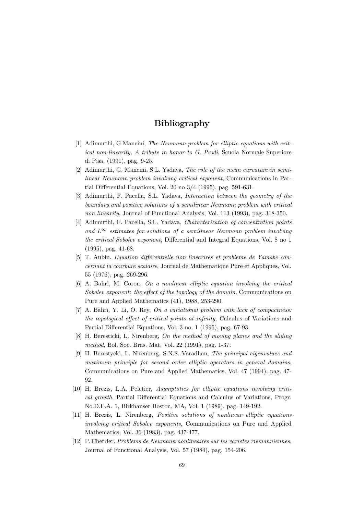# Bibliography

- [1] Adimurthi, G.Mancini, The Neumann problem for elliptic equations with critical non-linearity, A tribute in honor to G. Prodi, Scuola Normale Superiore di Pisa, (1991), pag. 9-25.
- [2] Adimurthi, G. Mancini, S.L. Yadava, The role of the mean curvature in semilinear Neumann problem involving critical exponent, Communications in Partial Differential Equations, Vol. 20 no 3/4 (1995), pag. 591-631.
- [3] Adimurthi, F. Pacella, S.L. Yadava, Interaction between the geometry of the boundary and positive solutions of a semilinear Neumann problem with critical non linearity, Journal of Functional Analysis, Vol. 113 (1993), pag. 318-350.
- [4] Adimurthi, F. Pacella, S.L. Yadava, Characterization of concentration points and  $L^{\infty}$  estimates for solutions of a semilinear Neumann problem involving the critical Sobolev exponent, Differential and Integral Equations, Vol. 8 no 1 (1995), pag. 41-68.
- [5] T. Aubin, Equation differentielle non linearires et probleme de Yamabe concernant la courbure scalaire, Journal de Mathematique Pure et Appliques, Vol. 55 (1976), pag. 269-296.
- [6] A. Bahri, M. Coron, On a nonlinear elliptic equation involving the critical Sobolev exponent: the effect of the topology of the domain, Communications on Pure and Applied Mathematics (41), 1988, 253-290.
- $[7]$  A. Bahri, Y. Li, O. Rey, On a variational problem with lack of compactness: the topological effect of critical points at infinity, Calculus of Variations and Partial Differential Equations, Vol. 3 no. 1 (1995), pag. 67-93.
- [8] H. Beresticki, L. Nirenberg, On the method of moving planes and the sliding method, Bol. Soc. Bras. Mat, Vol. 22 (1991), pag. 1-37.
- [9] H. Berestycki, L. Nirenberg, S.N.S. Varadhan, The principal eigenvalues and maximum principle for second order elliptic operators in general domains. Communications on Pure and Applied Mathematics, Vol. 47 (1994), pag. 47- 92.
- [10] H. Brezis, L.A. Peletier, Asymptotics for elliptic equations involving critical growth, Partial Differential Equations and Calculus of Variations, Progr. No.D.E.A. 1, Birkhauser Boston, MA, Vol. 1 (1989), pag. 149-192.
- [11] H. Brezis, L. Nirenberg, Positive solutions of nonlinear elliptic equations involving critical Sobolev exponents, Communications on Pure and Applied Mathematics, Vol. 36 (1983), pag. 437-477.
- [12] P. Cherrier, Problems de Neumann nonlineaires sur les varietes riemanniennes, Journal of Functional Analysis, Vol. 57 (1984), pag. 154-206.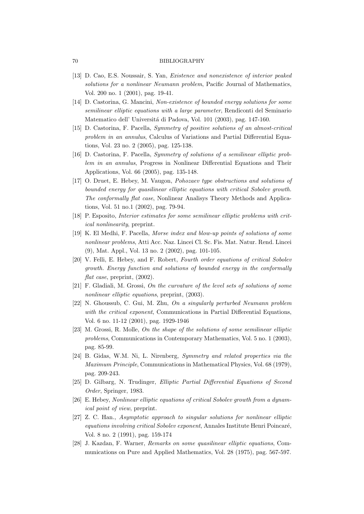#### 70 BIBLIOGRAPHY

- [13] D. Cao, E.S. Noussair, S. Yan, Existence and nonexistence of interior peaked solutions for a nonlinear Neumann problem, Pacific Journal of Mathematics. Vol. 200 no. 1 (2001), pag. 19-41.
- [14] D. Castorina, G. Mancini, Non-existence of bounded energy solutions for some semilinear elliptic equations with a large parameter, Rendiconti del Seminario Matematico dell' Universitá di Padova, Vol. 101 (2003), pag. 147-160.
- [15] D. Castorina, F. Pacella, Symmetry of positive solutions of an almost-critical problem in an annulus, Calculus of Variations and Partial Differential Equations, Vol. 23 no. 2 (2005), pag. 125-138.
- [16] D. Castorina, F. Pacella, Symmetry of solutions of a semilinear elliptic problem in an annulus, Progress in Nonlinear Differential Equations and Their Applications, Vol. 66 (2005), pag. 135-148.
- [17] O. Druet, E. Hebey, M. Vaugon, Pohozaev type obstructions and solutions of bounded energy for quasilinear elliptic equations with critical Sobolev growth. The conformally flat case, Nonlinear Analisys Theory Methods and Applications, Vol. 51 no.1 (2002), pag. 79-94.
- [18] P. Esposito, Interior estimates for some semilinear elliptic problems with critical nonlinearity, preprint.
- [19] K. El Medhi, F. Pacella, Morse index and blow-up points of solutions of some nonlinear problems, Atti Acc. Naz. Lincei Cl. Sc. Fis. Mat. Natur. Rend. Lincei (9), Mat. Appl., Vol. 13 no. 2 (2002), pag. 101-105.
- [20] V. Felli, E. Hebey, and F. Robert, Fourth order equations of critical Sobolev growth. Energy function and solutions of bounded energy in the conformally flat case, preprint,  $(2002)$ .
- [21] F. Gladiali, M. Grossi, On the curvature of the level sets of solutions of some nonlinear elliptic equations, preprint, (2003).
- [22] N. Ghoussub, C. Gui, M. Zhu, On a singularly perturbed Neumann problem with the critical exponent, Communications in Partial Differential Equations. Vol. 6 no. 11-12 (2001), pag. 1929-1946
- [23] M. Grossi, R. Molle, On the shape of the solutions of some semilinear elliptic problems, Communications in Contemporary Mathematics, Vol. 5 no. 1 (2003), pag. 85-99.
- [24] B. Gidas, W.M. Ni, L. Nirenberg, Symmetry and related properties via the Maximum Principle, Communications in Mathematical Physics, Vol. 68 (1979), pag. 209-243.
- [25] D. Gilbarg, N. Trudinger, Elliptic Partial Differential Equations of Second Order, Springer, 1983.
- [26] E. Hebey, Nonlinear elliptic equations of critical Sobolev growth from a dynamical point of view, preprint.
- [27] Z. C. Han., Asymptotic approach to singular solutions for nonlinear elliptic equations involving critical Sobolev exponent, Annales Institute Henri Poincaré, Vol. 8 no. 2 (1991), pag. 159-174
- [28] J. Kazdan, F. Warner, Remarks on some quasilinear elliptic equations, Communications on Pure and Applied Mathematics, Vol. 28 (1975), pag. 567-597.